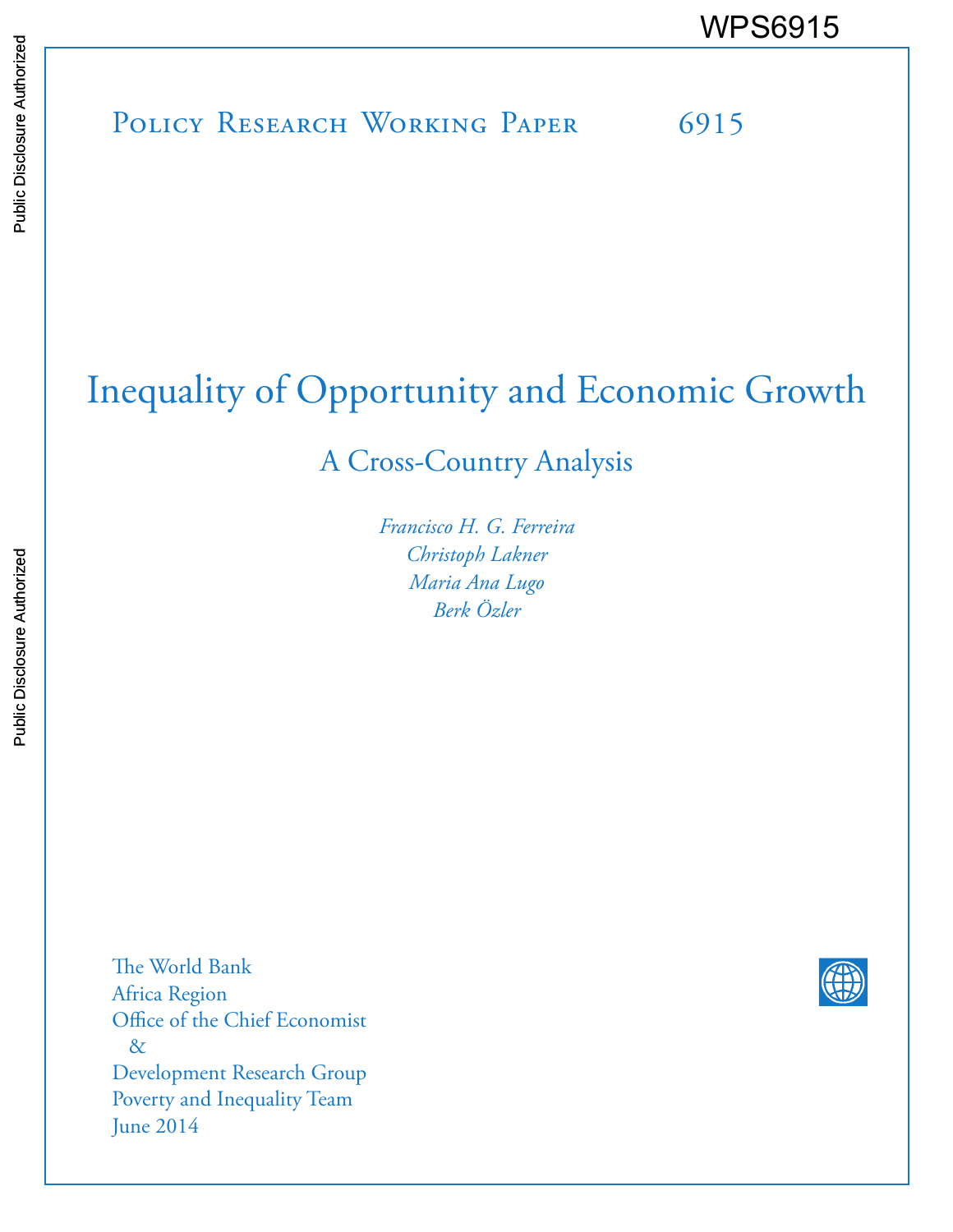POLICY RESEARCH WORKING PAPER 6915 WPS6915<br>
Media<br>
Media<br>
Band<br>
Band<br>
Band<br>
Band<br>
Band<br>
Band<br>
Band<br>
Band<br>
Band<br>
Band<br>
Band<br>
Band<br>
Band<br>
Band<br>
Band<br>
Band<br>
Band<br>
Band<br>
Band<br>
Band<br>
Band<br>
Band<br>
Band<br>
Band<br>
Band<br>
Band<br>
Band<br>
Band<br>
Band<br>
Band<br>
Band<br>
Band<br>
Band<br>
B

# Inequality of Opportunity and Economic Growth

A Cross-Country Analysis

*Francisco H. G. Ferreira Christoph Lakner Maria Ana Lugo Berk Özler* 

The World Bank Africa Region Office of the Chief Economist & Development Research Group Poverty and Inequality Team June 2014

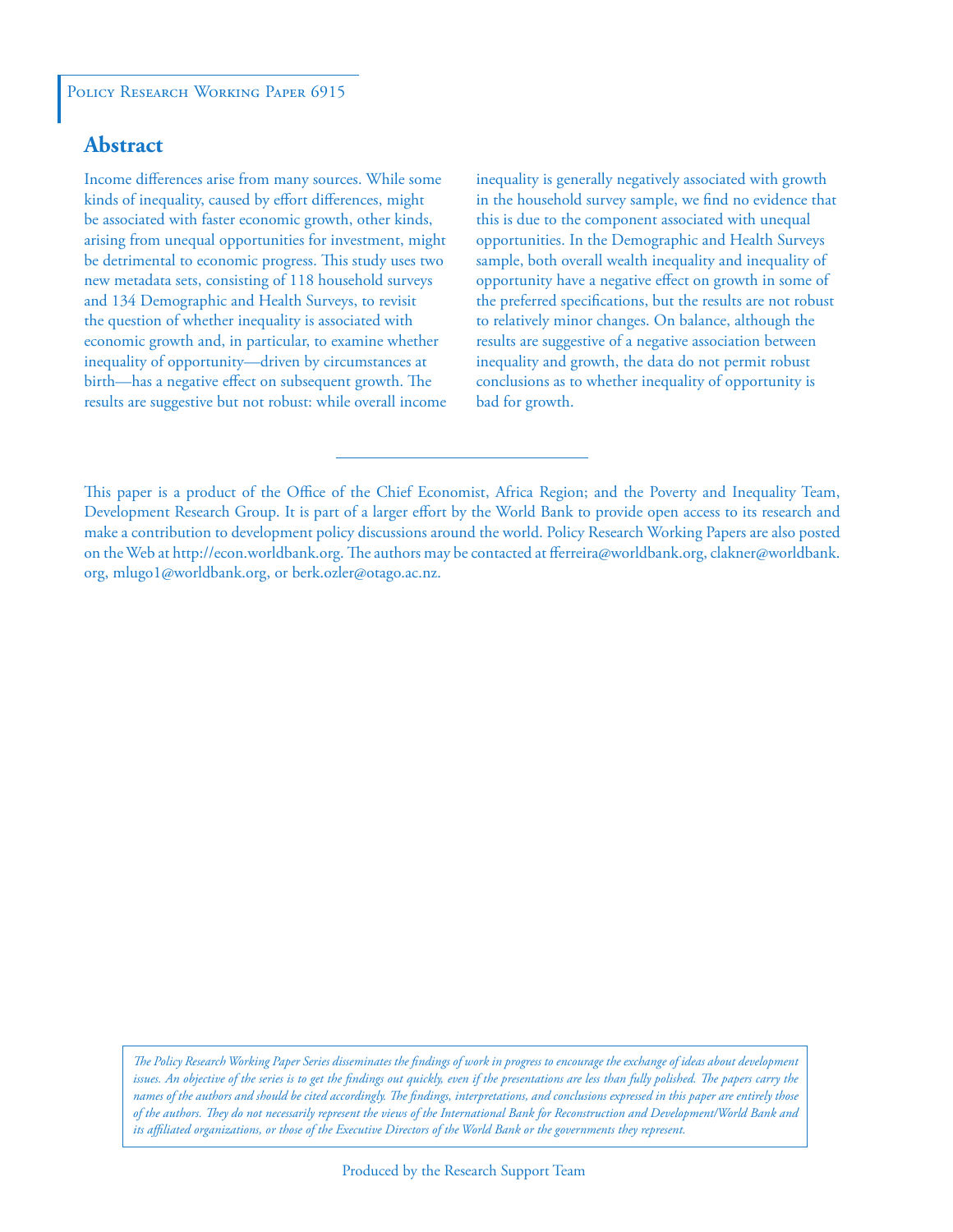# **Abstract**

Income differences arise from many sources. While some kinds of inequality, caused by effort differences, might be associated with faster economic growth, other kinds, arising from unequal opportunities for investment, might be detrimental to economic progress. This study uses two new metadata sets, consisting of 118 household surveys and 134 Demographic and Health Surveys, to revisit the question of whether inequality is associated with economic growth and, in particular, to examine whether inequality of opportunity—driven by circumstances at birth—has a negative effect on subsequent growth. The results are suggestive but not robust: while overall income inequality is generally negatively associated with growth in the household survey sample, we find no evidence that this is due to the component associated with unequal opportunities. In the Demographic and Health Surveys sample, both overall wealth inequality and inequality of opportunity have a negative effect on growth in some of the preferred specifications, but the results are not robust to relatively minor changes. On balance, although the results are suggestive of a negative association between inequality and growth, the data do not permit robust conclusions as to whether inequality of opportunity is bad for growth.

This paper is a product of the Office of the Chief Economist, Africa Region; and the Poverty and Inequality Team, Development Research Group. It is part of a larger effort by the World Bank to provide open access to its research and make a contribution to development policy discussions around the world. Policy Research Working Papers are also posted on the Web at http://econ.worldbank.org. The authors may be contacted at fferreira@worldbank.org, clakner@worldbank. org, mlugo1@worldbank.org, or berk.ozler@otago.ac.nz.

*The Policy Research Working Paper Series disseminates the findings of work in progress to encourage the exchange of ideas about development*  issues. An objective of the series is to get the findings out quickly, even if the presentations are less than fully polished. The papers carry the *names of the authors and should be cited accordingly. The findings, interpretations, and conclusions expressed in this paper are entirely those of the authors. They do not necessarily represent the views of the International Bank for Reconstruction and Development/World Bank and its affiliated organizations, or those of the Executive Directors of the World Bank or the governments they represent.*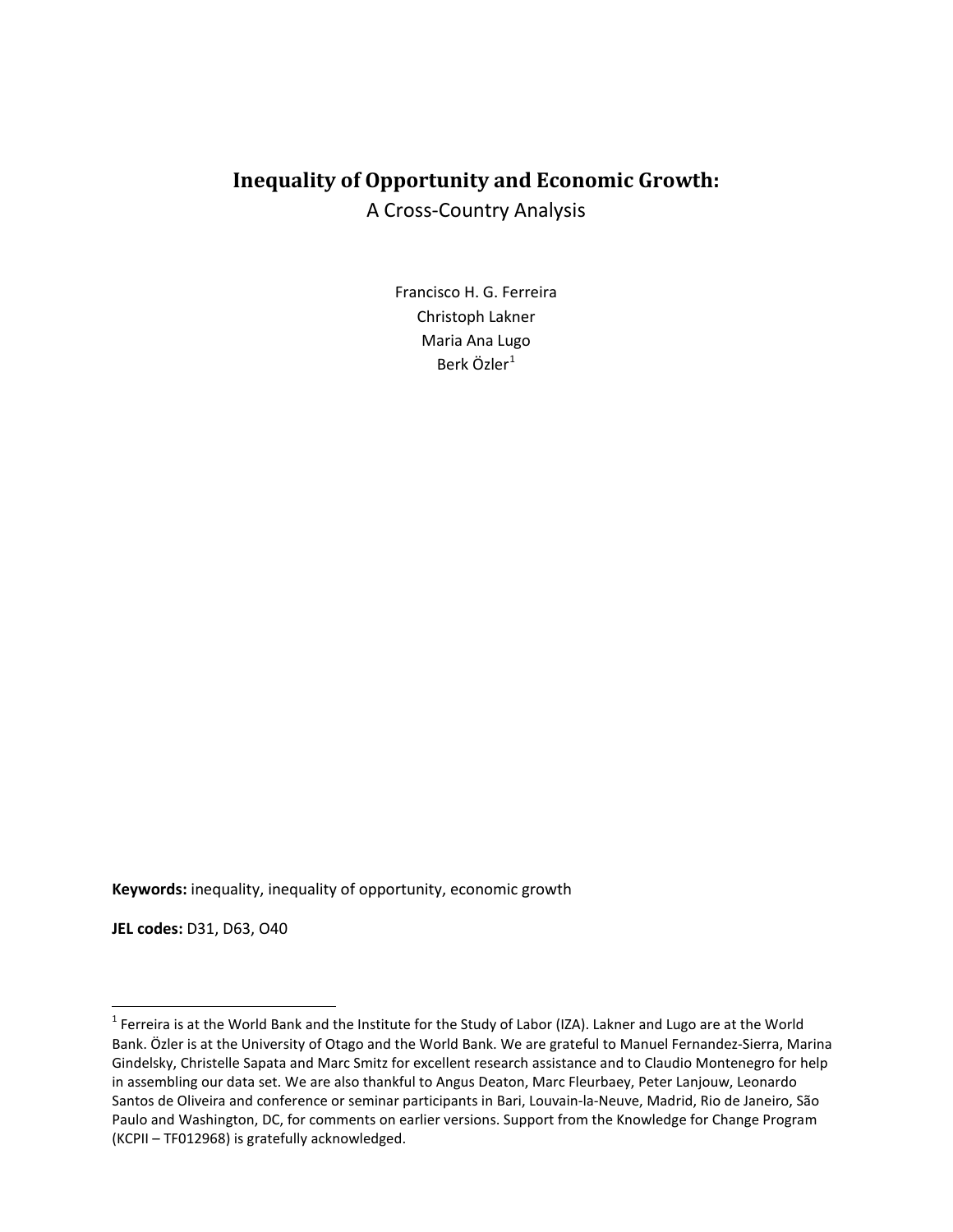# **Inequality of Opportunity and Economic Growth:** A Cross-Country Analysis

Francisco H. G. Ferreira Christoph Lakner Maria Ana Lugo Berk Özler $1$ 

**Keywords:** inequality, inequality of opportunity, economic growth

**JEL codes:** D31, D63, O40

 $\overline{\phantom{a}}$ 

<span id="page-2-0"></span><sup>&</sup>lt;sup>1</sup> Ferreira is at the World Bank and the Institute for the Study of Labor (IZA). Lakner and Lugo are at the World Bank. Özler is at the University of Otago and the World Bank. We are grateful to Manuel Fernandez-Sierra, Marina Gindelsky, Christelle Sapata and Marc Smitz for excellent research assistance and to Claudio Montenegro for help in assembling our data set. We are also thankful to Angus Deaton, Marc Fleurbaey, Peter Lanjouw, Leonardo Santos de Oliveira and conference or seminar participants in Bari, Louvain-la-Neuve, Madrid, Rio de Janeiro, São Paulo and Washington, DC, for comments on earlier versions. Support from the Knowledge for Change Program (KCPII – TF012968) is gratefully acknowledged.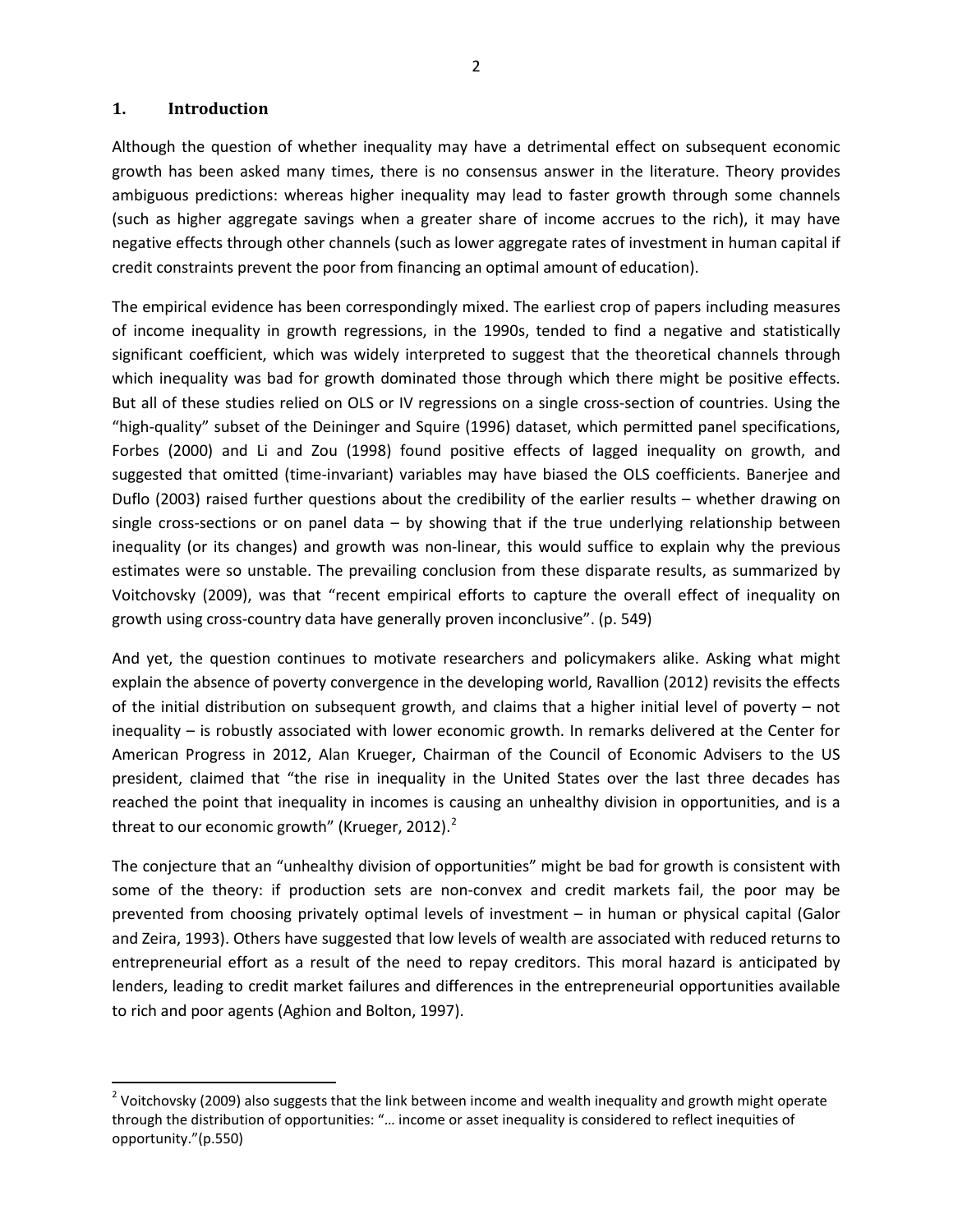## **1. Introduction**

l

Although the question of whether inequality may have a detrimental effect on subsequent economic growth has been asked many times, there is no consensus answer in the literature. Theory provides ambiguous predictions: whereas higher inequality may lead to faster growth through some channels (such as higher aggregate savings when a greater share of income accrues to the rich), it may have negative effects through other channels (such as lower aggregate rates of investment in human capital if credit constraints prevent the poor from financing an optimal amount of education).

The empirical evidence has been correspondingly mixed. The earliest crop of papers including measures of income inequality in growth regressions, in the 1990s, tended to find a negative and statistically significant coefficient, which was widely interpreted to suggest that the theoretical channels through which inequality was bad for growth dominated those through which there might be positive effects. But all of these studies relied on OLS or IV regressions on a single cross-section of countries. Using the "high-quality" subset of the Deininger and Squire (1996) dataset, which permitted panel specifications, Forbes (2000) and Li and Zou (1998) found positive effects of lagged inequality on growth, and suggested that omitted (time-invariant) variables may have biased the OLS coefficients. Banerjee and Duflo (2003) raised further questions about the credibility of the earlier results – whether drawing on single cross-sections or on panel data  $-$  by showing that if the true underlying relationship between inequality (or its changes) and growth was non-linear, this would suffice to explain why the previous estimates were so unstable. The prevailing conclusion from these disparate results, as summarized by Voitchovsky (2009), was that "recent empirical efforts to capture the overall effect of inequality on growth using cross-country data have generally proven inconclusive". (p. 549)

And yet, the question continues to motivate researchers and policymakers alike. Asking what might explain the absence of poverty convergence in the developing world, Ravallion (2012) revisits the effects of the initial distribution on subsequent growth, and claims that a higher initial level of poverty – not inequality – is robustly associated with lower economic growth. In remarks delivered at the Center for American Progress in 2012, Alan Krueger, Chairman of the Council of Economic Advisers to the US president, claimed that "the rise in inequality in the United States over the last three decades has reached the point that inequality in incomes is causing an unhealthy division in opportunities, and is a threat to our economic growth" (Krueger, [2](#page-3-0)012). $^2$ 

The conjecture that an "unhealthy division of opportunities" might be bad for growth is consistent with some of the theory: if production sets are non-convex and credit markets fail, the poor may be prevented from choosing privately optimal levels of investment – in human or physical capital (Galor and Zeira, 1993). Others have suggested that low levels of wealth are associated with reduced returns to entrepreneurial effort as a result of the need to repay creditors. This moral hazard is anticipated by lenders, leading to credit market failures and differences in the entrepreneurial opportunities available to rich and poor agents (Aghion and Bolton, 1997).

<span id="page-3-0"></span><sup>&</sup>lt;sup>2</sup> Voitchovsky (2009) also suggests that the link between income and wealth inequality and growth might operate through the distribution of opportunities: "… income or asset inequality is considered to reflect inequities of opportunity."(p.550)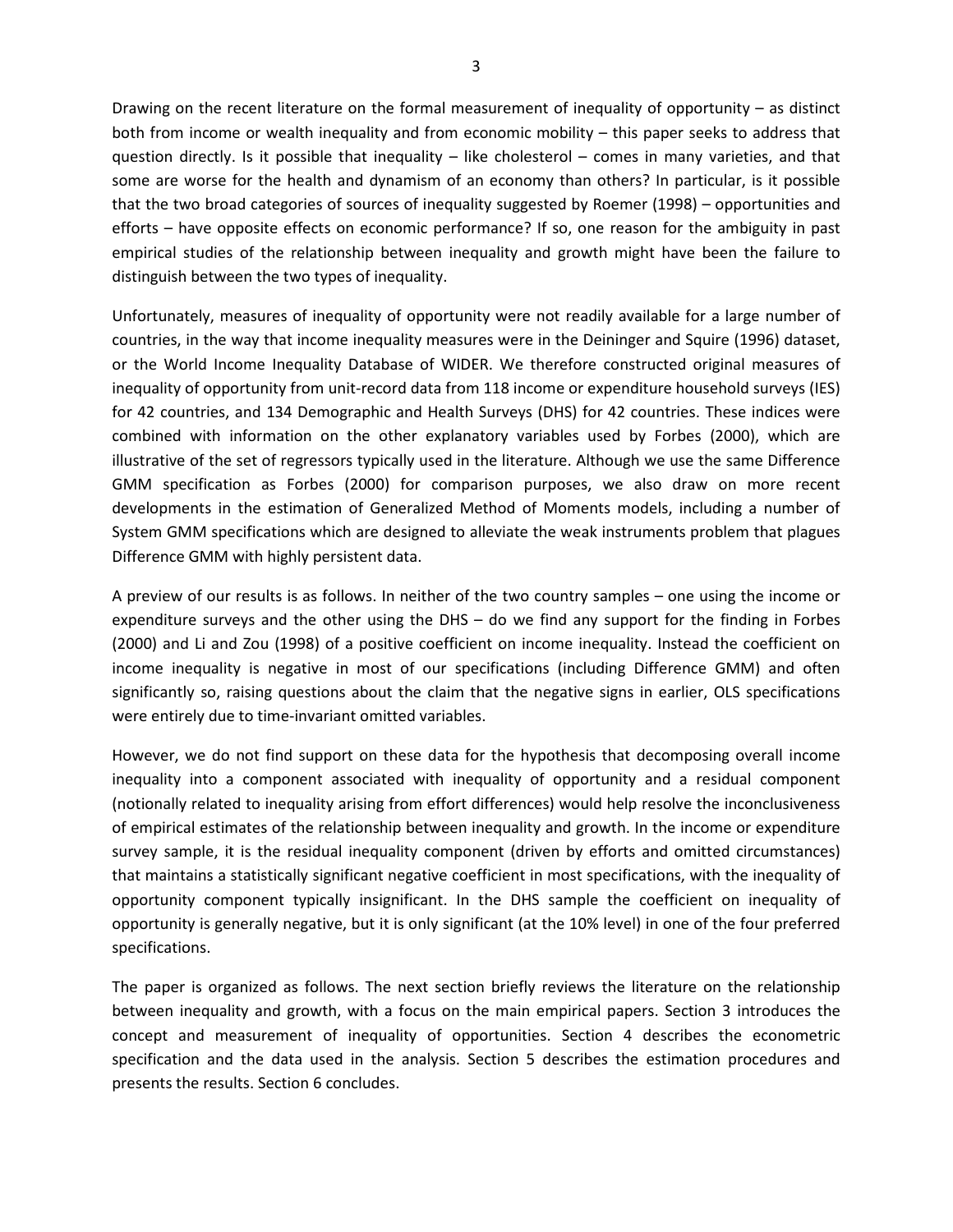Drawing on the recent literature on the formal measurement of inequality of opportunity – as distinct both from income or wealth inequality and from economic mobility – this paper seeks to address that question directly. Is it possible that inequality – like cholesterol – comes in many varieties, and that some are worse for the health and dynamism of an economy than others? In particular, is it possible that the two broad categories of sources of inequality suggested by Roemer (1998) – opportunities and efforts – have opposite effects on economic performance? If so, one reason for the ambiguity in past empirical studies of the relationship between inequality and growth might have been the failure to distinguish between the two types of inequality.

Unfortunately, measures of inequality of opportunity were not readily available for a large number of countries, in the way that income inequality measures were in the Deininger and Squire (1996) dataset, or the World Income Inequality Database of WIDER. We therefore constructed original measures of inequality of opportunity from unit-record data from 118 income or expenditure household surveys (IES) for 42 countries, and 134 Demographic and Health Surveys (DHS) for 42 countries. These indices were combined with information on the other explanatory variables used by Forbes (2000), which are illustrative of the set of regressors typically used in the literature. Although we use the same Difference GMM specification as Forbes (2000) for comparison purposes, we also draw on more recent developments in the estimation of Generalized Method of Moments models, including a number of System GMM specifications which are designed to alleviate the weak instruments problem that plagues Difference GMM with highly persistent data.

A preview of our results is as follows. In neither of the two country samples – one using the income or expenditure surveys and the other using the DHS – do we find any support for the finding in Forbes (2000) and Li and Zou (1998) of a positive coefficient on income inequality. Instead the coefficient on income inequality is negative in most of our specifications (including Difference GMM) and often significantly so, raising questions about the claim that the negative signs in earlier, OLS specifications were entirely due to time-invariant omitted variables.

However, we do not find support on these data for the hypothesis that decomposing overall income inequality into a component associated with inequality of opportunity and a residual component (notionally related to inequality arising from effort differences) would help resolve the inconclusiveness of empirical estimates of the relationship between inequality and growth. In the income or expenditure survey sample, it is the residual inequality component (driven by efforts and omitted circumstances) that maintains a statistically significant negative coefficient in most specifications, with the inequality of opportunity component typically insignificant. In the DHS sample the coefficient on inequality of opportunity is generally negative, but it is only significant (at the 10% level) in one of the four preferred specifications.

The paper is organized as follows. The next section briefly reviews the literature on the relationship between inequality and growth, with a focus on the main empirical papers. Section 3 introduces the concept and measurement of inequality of opportunities. Section 4 describes the econometric specification and the data used in the analysis. Section 5 describes the estimation procedures and presents the results. Section 6 concludes.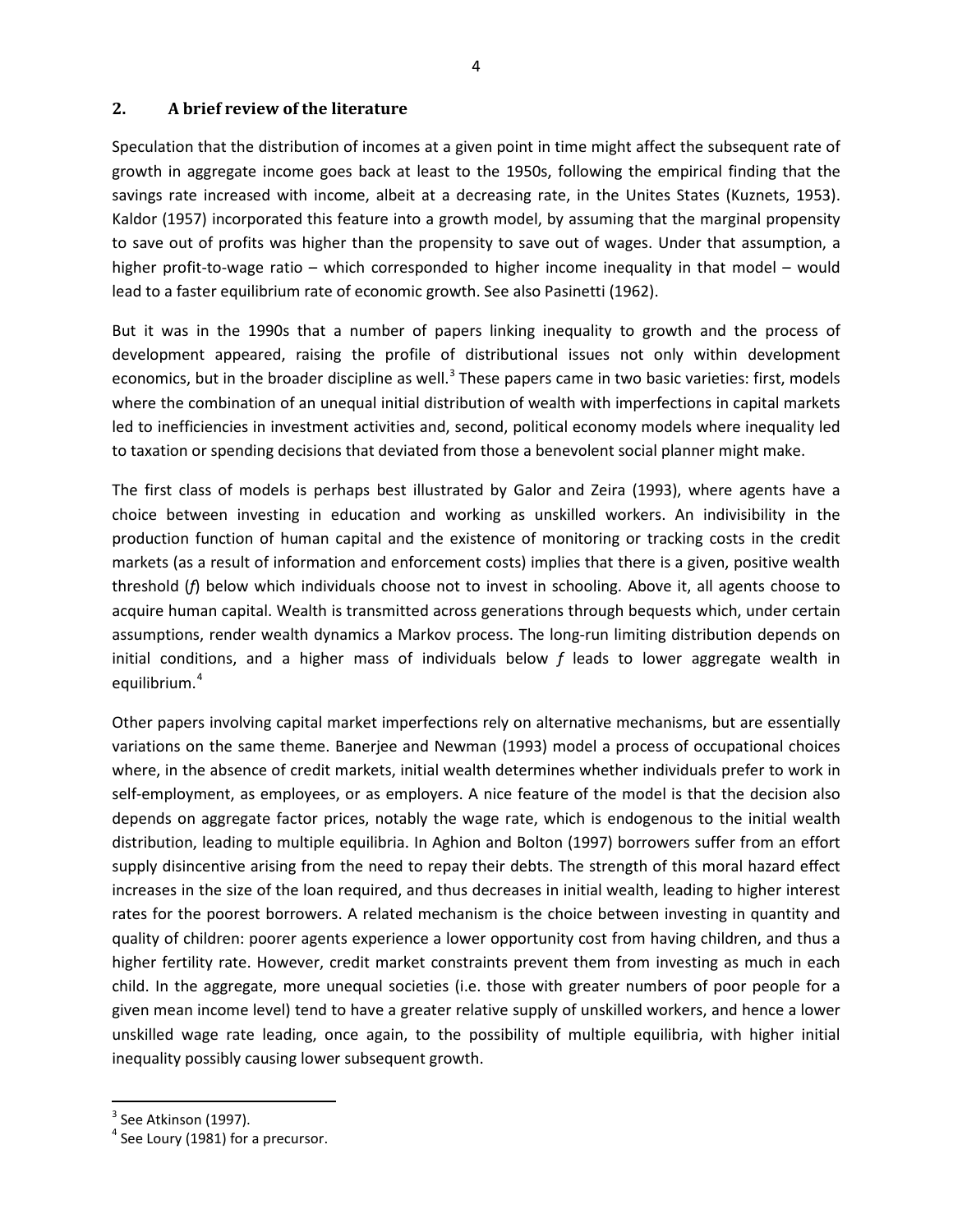## **2. A brief review of the literature**

Speculation that the distribution of incomes at a given point in time might affect the subsequent rate of growth in aggregate income goes back at least to the 1950s, following the empirical finding that the savings rate increased with income, albeit at a decreasing rate, in the Unites States (Kuznets, 1953). Kaldor (1957) incorporated this feature into a growth model, by assuming that the marginal propensity to save out of profits was higher than the propensity to save out of wages. Under that assumption, a higher profit-to-wage ratio – which corresponded to higher income inequality in that model – would lead to a faster equilibrium rate of economic growth. See also Pasinetti (1962).

But it was in the 1990s that a number of papers linking inequality to growth and the process of development appeared, raising the profile of distributional issues not only within development economics, but in the broader discipline as well.<sup>[3](#page-5-0)</sup> These papers came in two basic varieties: first, models where the combination of an unequal initial distribution of wealth with imperfections in capital markets led to inefficiencies in investment activities and, second, political economy models where inequality led to taxation or spending decisions that deviated from those a benevolent social planner might make.

The first class of models is perhaps best illustrated by Galor and Zeira (1993), where agents have a choice between investing in education and working as unskilled workers. An indivisibility in the production function of human capital and the existence of monitoring or tracking costs in the credit markets (as a result of information and enforcement costs) implies that there is a given, positive wealth threshold (*f*) below which individuals choose not to invest in schooling. Above it, all agents choose to acquire human capital. Wealth is transmitted across generations through bequests which, under certain assumptions, render wealth dynamics a Markov process. The long-run limiting distribution depends on initial conditions, and a higher mass of individuals below *f* leads to lower aggregate wealth in equilibrium.<sup>[4](#page-5-1)</sup>

Other papers involving capital market imperfections rely on alternative mechanisms, but are essentially variations on the same theme. Banerjee and Newman (1993) model a process of occupational choices where, in the absence of credit markets, initial wealth determines whether individuals prefer to work in self-employment, as employees, or as employers. A nice feature of the model is that the decision also depends on aggregate factor prices, notably the wage rate, which is endogenous to the initial wealth distribution, leading to multiple equilibria. In Aghion and Bolton (1997) borrowers suffer from an effort supply disincentive arising from the need to repay their debts. The strength of this moral hazard effect increases in the size of the loan required, and thus decreases in initial wealth, leading to higher interest rates for the poorest borrowers. A related mechanism is the choice between investing in quantity and quality of children: poorer agents experience a lower opportunity cost from having children, and thus a higher fertility rate. However, credit market constraints prevent them from investing as much in each child. In the aggregate, more unequal societies (i.e. those with greater numbers of poor people for a given mean income level) tend to have a greater relative supply of unskilled workers, and hence a lower unskilled wage rate leading, once again, to the possibility of multiple equilibria, with higher initial inequality possibly causing lower subsequent growth.

 $\overline{\phantom{a}}$ 

<span id="page-5-0"></span> $3$  See Atkinson (1997).

<span id="page-5-1"></span> $4$  See Loury (1981) for a precursor.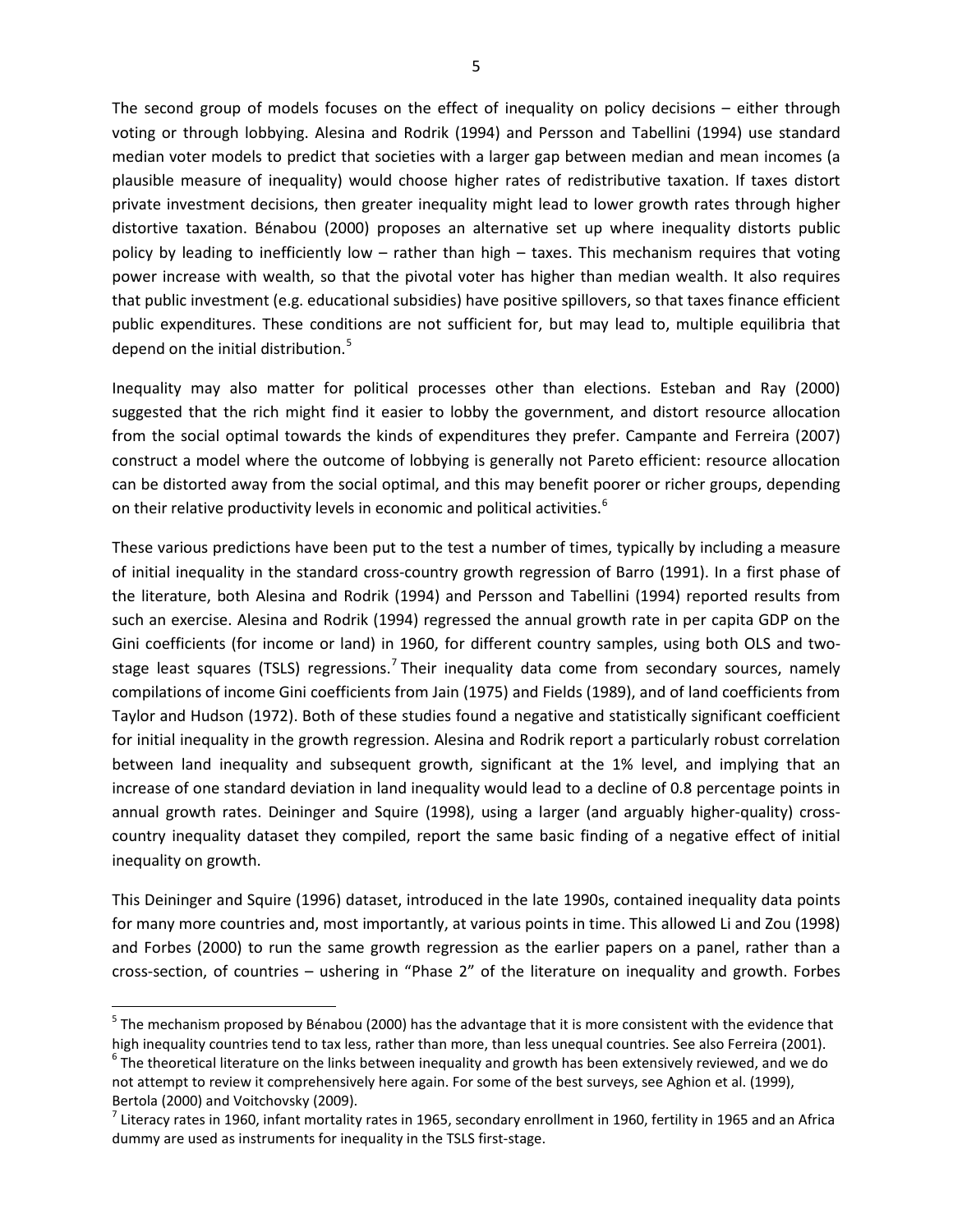The second group of models focuses on the effect of inequality on policy decisions – either through voting or through lobbying. Alesina and Rodrik (1994) and Persson and Tabellini (1994) use standard median voter models to predict that societies with a larger gap between median and mean incomes (a plausible measure of inequality) would choose higher rates of redistributive taxation. If taxes distort private investment decisions, then greater inequality might lead to lower growth rates through higher distortive taxation. Bénabou (2000) proposes an alternative set up where inequality distorts public policy by leading to inefficiently low – rather than high – taxes. This mechanism requires that voting power increase with wealth, so that the pivotal voter has higher than median wealth. It also requires that public investment (e.g. educational subsidies) have positive spillovers, so that taxes finance efficient public expenditures. These conditions are not sufficient for, but may lead to, multiple equilibria that depend on the initial distribution.<sup>[5](#page-6-0)</sup>

Inequality may also matter for political processes other than elections. Esteban and Ray (2000) suggested that the rich might find it easier to lobby the government, and distort resource allocation from the social optimal towards the kinds of expenditures they prefer. Campante and Ferreira (2007) construct a model where the outcome of lobbying is generally not Pareto efficient: resource allocation can be distorted away from the social optimal, and this may benefit poorer or richer groups, depending on their relative productivity levels in economic and political activities.<sup>[6](#page-6-1)</sup>

These various predictions have been put to the test a number of times, typically by including a measure of initial inequality in the standard cross-country growth regression of Barro (1991). In a first phase of the literature, both Alesina and Rodrik (1994) and Persson and Tabellini (1994) reported results from such an exercise. Alesina and Rodrik (1994) regressed the annual growth rate in per capita GDP on the Gini coefficients (for income or land) in 1960, for different country samples, using both OLS and two-stage least squares (TSLS) regressions.<sup>[7](#page-6-2)</sup> Their inequality data come from secondary sources, namely compilations of income Gini coefficients from Jain (1975) and Fields (1989), and of land coefficients from Taylor and Hudson (1972). Both of these studies found a negative and statistically significant coefficient for initial inequality in the growth regression. Alesina and Rodrik report a particularly robust correlation between land inequality and subsequent growth, significant at the 1% level, and implying that an increase of one standard deviation in land inequality would lead to a decline of 0.8 percentage points in annual growth rates. Deininger and Squire (1998), using a larger (and arguably higher-quality) crosscountry inequality dataset they compiled, report the same basic finding of a negative effect of initial inequality on growth.

This Deininger and Squire (1996) dataset, introduced in the late 1990s, contained inequality data points for many more countries and, most importantly, at various points in time. This allowed Li and Zou (1998) and Forbes (2000) to run the same growth regression as the earlier papers on a panel, rather than a cross-section, of countries – ushering in "Phase 2" of the literature on inequality and growth. Forbes

 $\overline{\phantom{a}}$ 

<span id="page-6-0"></span><sup>&</sup>lt;sup>5</sup> The mechanism proposed by Bénabou (2000) has the advantage that it is more consistent with the evidence that high inequality countries tend to tax less, rather than more, than less unequal countries. See also Ferreira (2001).

<span id="page-6-1"></span> $6$  The theoretical literature on the links between inequality and growth has been extensively reviewed, and we do not attempt to review it comprehensively here again. For some of the best surveys, see Aghion et al. (1999), Bertola (2000) and Voitchovsky (2009).

<span id="page-6-2"></span> $^7$  Literacy rates in 1960, infant mortality rates in 1965, secondary enrollment in 1960, fertility in 1965 and an Africa dummy are used as instruments for inequality in the TSLS first-stage.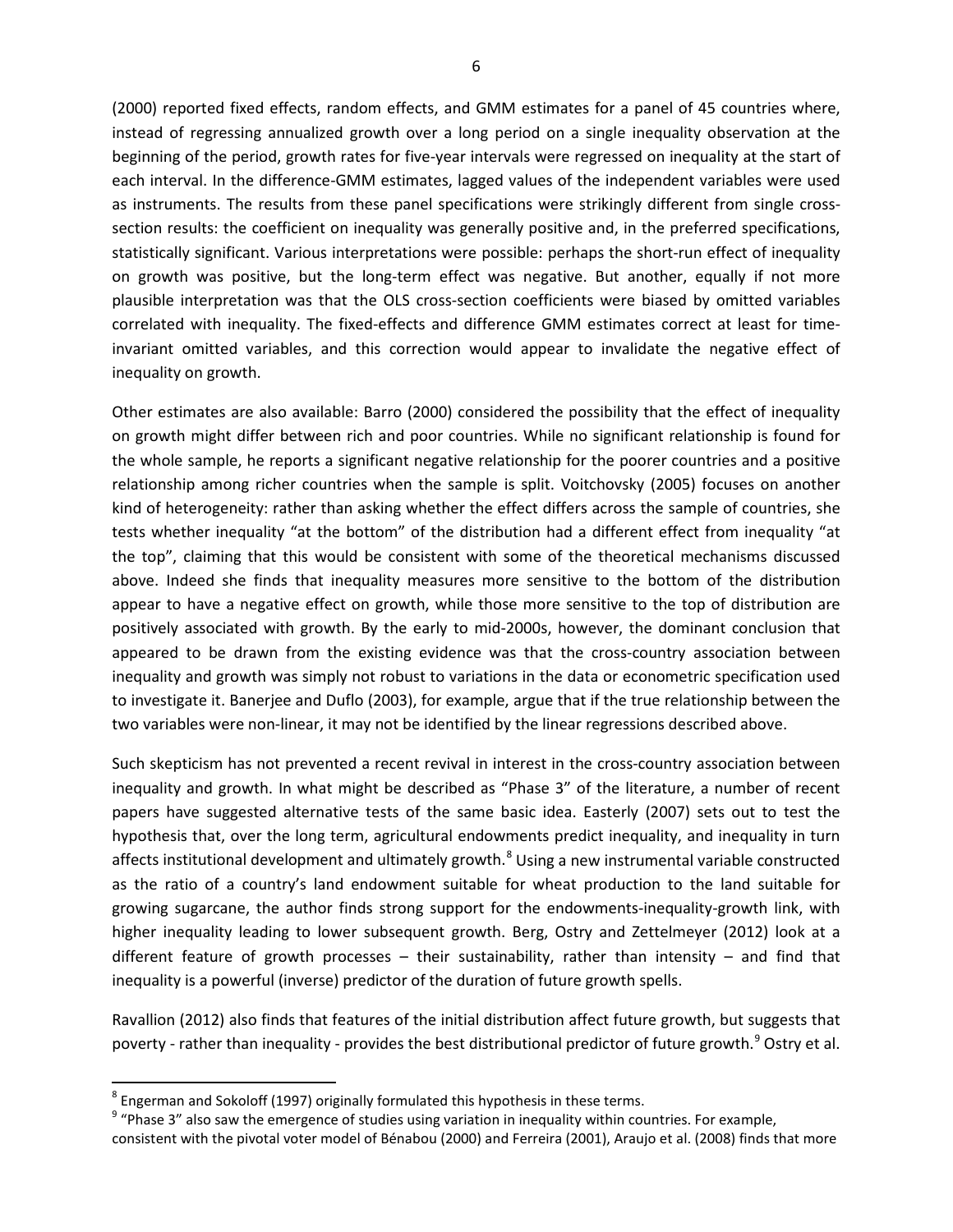(2000) reported fixed effects, random effects, and GMM estimates for a panel of 45 countries where, instead of regressing annualized growth over a long period on a single inequality observation at the beginning of the period, growth rates for five-year intervals were regressed on inequality at the start of each interval. In the difference-GMM estimates, lagged values of the independent variables were used as instruments. The results from these panel specifications were strikingly different from single crosssection results: the coefficient on inequality was generally positive and, in the preferred specifications, statistically significant. Various interpretations were possible: perhaps the short-run effect of inequality on growth was positive, but the long-term effect was negative. But another, equally if not more plausible interpretation was that the OLS cross-section coefficients were biased by omitted variables correlated with inequality. The fixed-effects and difference GMM estimates correct at least for timeinvariant omitted variables, and this correction would appear to invalidate the negative effect of inequality on growth.

Other estimates are also available: Barro (2000) considered the possibility that the effect of inequality on growth might differ between rich and poor countries. While no significant relationship is found for the whole sample, he reports a significant negative relationship for the poorer countries and a positive relationship among richer countries when the sample is split. Voitchovsky (2005) focuses on another kind of heterogeneity: rather than asking whether the effect differs across the sample of countries, she tests whether inequality "at the bottom" of the distribution had a different effect from inequality "at the top", claiming that this would be consistent with some of the theoretical mechanisms discussed above. Indeed she finds that inequality measures more sensitive to the bottom of the distribution appear to have a negative effect on growth, while those more sensitive to the top of distribution are positively associated with growth. By the early to mid-2000s, however, the dominant conclusion that appeared to be drawn from the existing evidence was that the cross-country association between inequality and growth was simply not robust to variations in the data or econometric specification used to investigate it. Banerjee and Duflo (2003), for example, argue that if the true relationship between the two variables were non-linear, it may not be identified by the linear regressions described above.

Such skepticism has not prevented a recent revival in interest in the cross-country association between inequality and growth. In what might be described as "Phase 3" of the literature, a number of recent papers have suggested alternative tests of the same basic idea. Easterly (2007) sets out to test the hypothesis that, over the long term, agricultural endowments predict inequality, and inequality in turn affects institutional development and ultimately growth.<sup>[8](#page-7-0)</sup> Using a new instrumental variable constructed as the ratio of a country's land endowment suitable for wheat production to the land suitable for growing sugarcane, the author finds strong support for the endowments-inequality-growth link, with higher inequality leading to lower subsequent growth. Berg, Ostry and Zettelmeyer (2012) look at a different feature of growth processes  $-$  their sustainability, rather than intensity  $-$  and find that inequality is a powerful (inverse) predictor of the duration of future growth spells.

Ravallion (2012) also finds that features of the initial distribution affect future growth, but suggests that poverty - rather than inequality - provides the best distributional predictor of future growth.<sup>[9](#page-7-1)</sup> Ostry et al.

<span id="page-7-0"></span> $8$  Engerman and Sokoloff (1997) originally formulated this hypothesis in these terms.

<span id="page-7-1"></span> $9$  "Phase 3" also saw the emergence of studies using variation in inequality within countries. For example,

consistent with the pivotal voter model of Bénabou (2000) and Ferreira (2001), Araujo et al. (2008) finds that more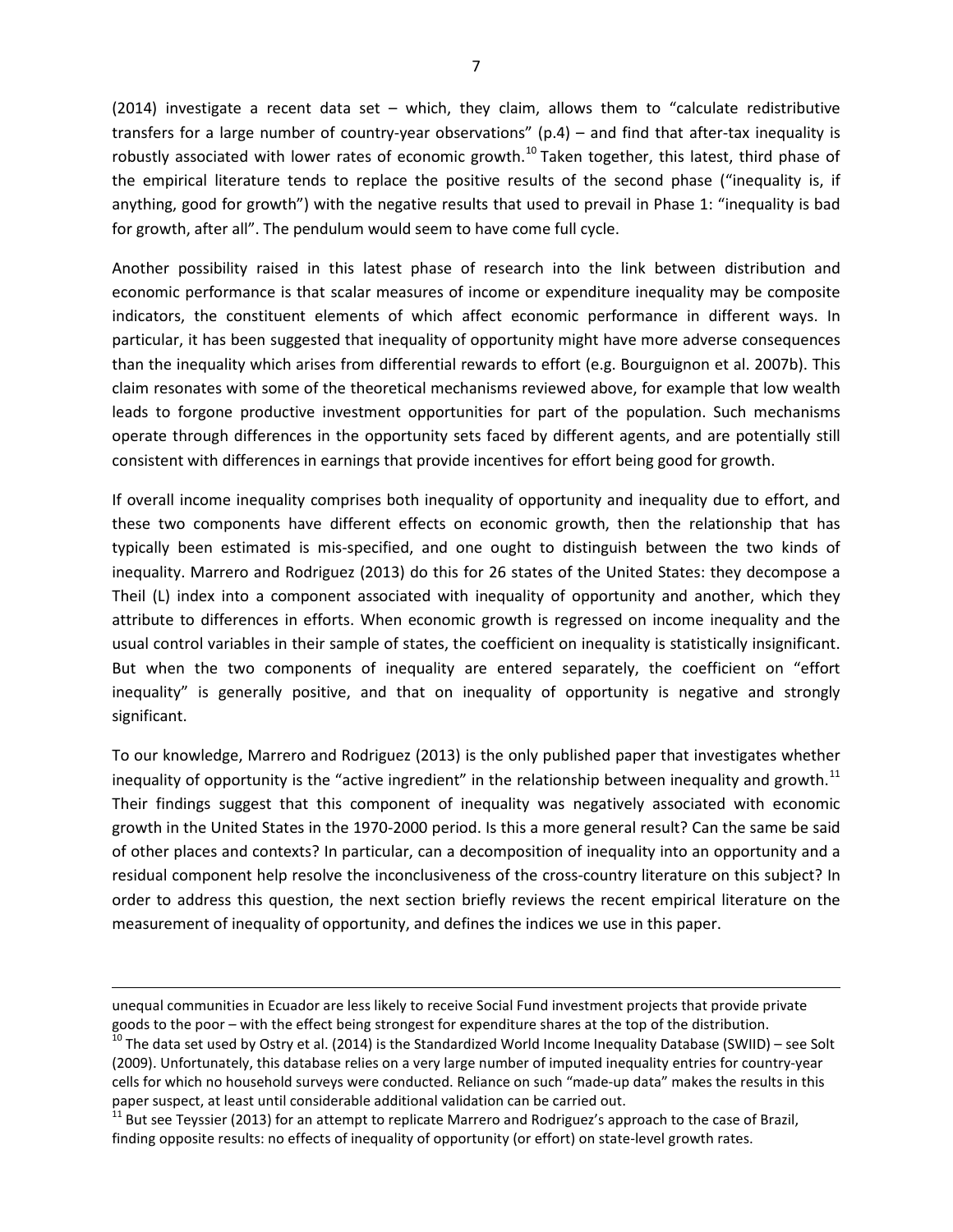(2014) investigate a recent data set – which, they claim, allows them to "calculate redistributive transfers for a large number of country-year observations" (p.4) – and find that after-tax inequality is robustly associated with lower rates of economic growth.<sup>[10](#page-8-0)</sup> Taken together, this latest, third phase of the empirical literature tends to replace the positive results of the second phase ("inequality is, if anything, good for growth") with the negative results that used to prevail in Phase 1: "inequality is bad for growth, after all". The pendulum would seem to have come full cycle.

Another possibility raised in this latest phase of research into the link between distribution and economic performance is that scalar measures of income or expenditure inequality may be composite indicators, the constituent elements of which affect economic performance in different ways. In particular, it has been suggested that inequality of opportunity might have more adverse consequences than the inequality which arises from differential rewards to effort (e.g. Bourguignon et al. 2007b). This claim resonates with some of the theoretical mechanisms reviewed above, for example that low wealth leads to forgone productive investment opportunities for part of the population. Such mechanisms operate through differences in the opportunity sets faced by different agents, and are potentially still consistent with differences in earnings that provide incentives for effort being good for growth.

If overall income inequality comprises both inequality of opportunity and inequality due to effort, and these two components have different effects on economic growth, then the relationship that has typically been estimated is mis-specified, and one ought to distinguish between the two kinds of inequality. Marrero and Rodriguez (2013) do this for 26 states of the United States: they decompose a Theil (L) index into a component associated with inequality of opportunity and another, which they attribute to differences in efforts. When economic growth is regressed on income inequality and the usual control variables in their sample of states, the coefficient on inequality is statistically insignificant. But when the two components of inequality are entered separately, the coefficient on "effort inequality" is generally positive, and that on inequality of opportunity is negative and strongly significant.

To our knowledge, Marrero and Rodriguez (2013) is the only published paper that investigates whether inequality of opportunity is the "active ingredient" in the relationship between inequality and growth.<sup>[11](#page-8-1)</sup> Their findings suggest that this component of inequality was negatively associated with economic growth in the United States in the 1970-2000 period. Is this a more general result? Can the same be said of other places and contexts? In particular, can a decomposition of inequality into an opportunity and a residual component help resolve the inconclusiveness of the cross-country literature on this subject? In order to address this question, the next section briefly reviews the recent empirical literature on the measurement of inequality of opportunity, and defines the indices we use in this paper.

unequal communities in Ecuador are less likely to receive Social Fund investment projects that provide private goods to the poor – with the effect being strongest for expenditure shares at the top of the distribution.<br><sup>10</sup> The data set used by Ostry et al. (2014) is the Standardized World Income Inequality Database (SWIID) – see S

<span id="page-8-0"></span><sup>(2009).</sup> Unfortunately, this database relies on a very large number of imputed inequality entries for country-year cells for which no household surveys were conducted. Reliance on such "made-up data" makes the results in this paper suspect, at least until considerable additional validation can be carried out.<br><sup>11</sup> But see Teyssier (2013) for an attempt to replicate Marrero and Rodriguez's approach to the case of Brazil,

<span id="page-8-1"></span>finding opposite results: no effects of inequality of opportunity (or effort) on state-level growth rates.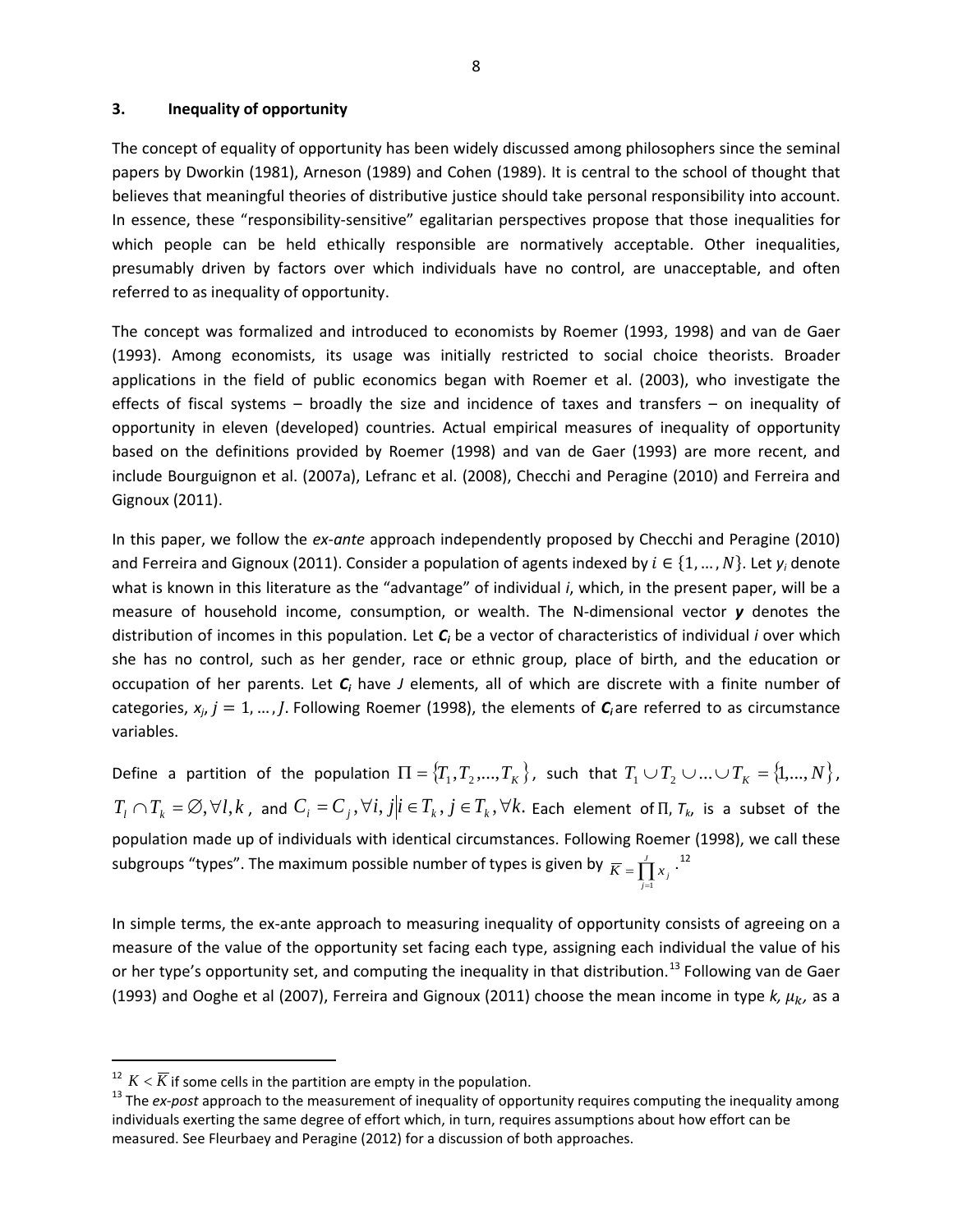#### **3. Inequality of opportunity**

The concept of equality of opportunity has been widely discussed among philosophers since the seminal papers by Dworkin (1981), Arneson (1989) and Cohen (1989). It is central to the school of thought that believes that meaningful theories of distributive justice should take personal responsibility into account. In essence, these "responsibility-sensitive" egalitarian perspectives propose that those inequalities for which people can be held ethically responsible are normatively acceptable. Other inequalities, presumably driven by factors over which individuals have no control, are unacceptable, and often referred to as inequality of opportunity.

The concept was formalized and introduced to economists by Roemer (1993, 1998) and van de Gaer (1993). Among economists, its usage was initially restricted to social choice theorists. Broader applications in the field of public economics began with Roemer et al. (2003), who investigate the effects of fiscal systems – broadly the size and incidence of taxes and transfers – on inequality of opportunity in eleven (developed) countries. Actual empirical measures of inequality of opportunity based on the definitions provided by Roemer (1998) and van de Gaer (1993) are more recent, and include Bourguignon et al. (2007a), Lefranc et al. (2008), Checchi and Peragine (2010) and Ferreira and Gignoux (2011).

In this paper, we follow the *ex-ante* approach independently proposed by Checchi and Peragine (2010) and Ferreira and Gignoux (2011). Consider a population of agents indexed by  $i \in \{1, ..., N\}$ . Let  $y_i$  denote what is known in this literature as the "advantage" of individual *i*, which, in the present paper, will be a measure of household income, consumption, or wealth. The N-dimensional vector *y* denotes the distribution of incomes in this population. Let *Ci* be a vector of characteristics of individual *i* over which she has no control, such as her gender, race or ethnic group, place of birth, and the education or occupation of her parents. Let *Ci* have *J* elements, all of which are discrete with a finite number of categories,  $x_i$ ,  $j = 1, ..., J$ . Following Roemer (1998), the elements of  $C_i$  are referred to as circumstance variables.

Define a partition of the population  $\Pi = \{T_1, T_2, ..., T_K\}$ , such that  $T_1 \cup T_2 \cup ... \cup T_K = \{1,...,N\}$ ,  $T_t\cap T_k=\varnothing, \forall l,k$  , and  $C_i=C_j, \forall i,j|i\in T_k, j\in T_k, \forall k.$  Each element of  $\Pi$ ,  $\tau_k$ , is a subset of the population made up of individuals with identical circumstances. Following Roemer (1998), we call these subgroups "types". The maximum possible number of types is given by  $\overline{K} = \prod_{j=1}^J x_j$  .<sup>[12](#page-9-0)</sup> *j* 1

In simple terms, the ex-ante approach to measuring inequality of opportunity consists of agreeing on a measure of the value of the opportunity set facing each type, assigning each individual the value of his or her type's opportunity set, and computing the inequality in that distribution.<sup>[13](#page-9-1)</sup> Following van de Gaer (1993) and Ooghe et al (2007), Ferreira and Gignoux (2011) choose the mean income in type  $k$ ,  $\mu_k$ , as a

<span id="page-9-0"></span> $K$ <sup>12</sup>  $K$  <  $\overline{K}$  if some cells in the partition are empty in the population.

<span id="page-9-1"></span><sup>&</sup>lt;sup>13</sup> The ex-post approach to the measurement of inequality of opportunity requires computing the inequality among individuals exerting the same degree of effort which, in turn, requires assumptions about how effort can be measured. See Fleurbaey and Peragine (2012) for a discussion of both approaches.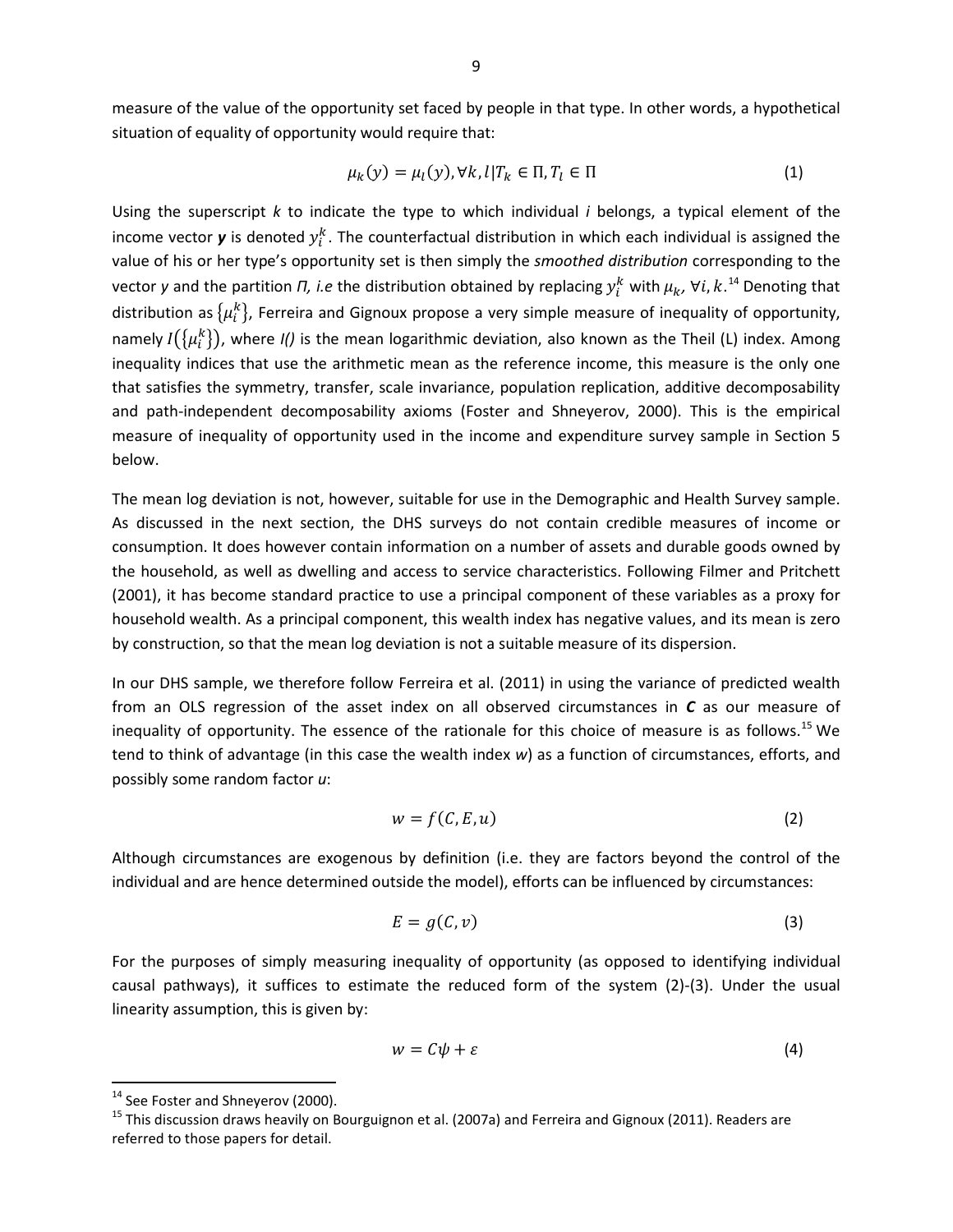measure of the value of the opportunity set faced by people in that type. In other words, a hypothetical situation of equality of opportunity would require that:

$$
\mu_k(y) = \mu_l(y), \forall k, l | T_k \in \Pi, T_l \in \Pi
$$
\n(1)

Using the superscript *k* to indicate the type to which individual *i* belongs, a typical element of the income vector **y** is denoted  $y_i^k$ . The counterfactual distribution in which each individual is assigned the value of his or her type's opportunity set is then simply the *smoothed distribution* corresponding to the vector y and the partition *Π, i.e* the distribution obtained by replacing  $y_i^k$  with  $\mu_k$ ,  $\forall i, k$ .<sup>[14](#page-10-0)</sup> Denoting that distribution as  $\{\mu_i^k\}$ , Ferreira and Gignoux propose a very simple measure of inequality of opportunity, namely  $I(\{\mu_i^k\})$ , where *I()* is the mean logarithmic deviation, also known as the Theil (L) index. Among inequality indices that use the arithmetic mean as the reference income, this measure is the only one that satisfies the symmetry, transfer, scale invariance, population replication, additive decomposability and path-independent decomposability axioms (Foster and Shneyerov, 2000). This is the empirical measure of inequality of opportunity used in the income and expenditure survey sample in Section 5 below.

The mean log deviation is not, however, suitable for use in the Demographic and Health Survey sample. As discussed in the next section, the DHS surveys do not contain credible measures of income or consumption. It does however contain information on a number of assets and durable goods owned by the household, as well as dwelling and access to service characteristics. Following Filmer and Pritchett (2001), it has become standard practice to use a principal component of these variables as a proxy for household wealth. As a principal component, this wealth index has negative values, and its mean is zero by construction, so that the mean log deviation is not a suitable measure of its dispersion.

In our DHS sample, we therefore follow Ferreira et al. (2011) in using the variance of predicted wealth from an OLS regression of the asset index on all observed circumstances in *C* as our measure of inequality of opportunity. The essence of the rationale for this choice of measure is as follows.<sup>[15](#page-10-1)</sup> We tend to think of advantage (in this case the wealth index *w*) as a function of circumstances, efforts, and possibly some random factor *u*:

$$
w = f(C, E, u) \tag{2}
$$

Although circumstances are exogenous by definition (i.e. they are factors beyond the control of the individual and are hence determined outside the model), efforts can be influenced by circumstances:

$$
E = g(C, v) \tag{3}
$$

For the purposes of simply measuring inequality of opportunity (as opposed to identifying individual causal pathways), it suffices to estimate the reduced form of the system (2)-(3). Under the usual linearity assumption, this is given by:

$$
w = C\psi + \varepsilon \tag{4}
$$

<span id="page-10-1"></span><span id="page-10-0"></span><sup>&</sup>lt;sup>14</sup> See Foster and Shneyerov (2000).<br><sup>15</sup> This discussion draws heavily on Bourguignon et al. (2007a) and Ferreira and Gignoux (2011). Readers are referred to those papers for detail.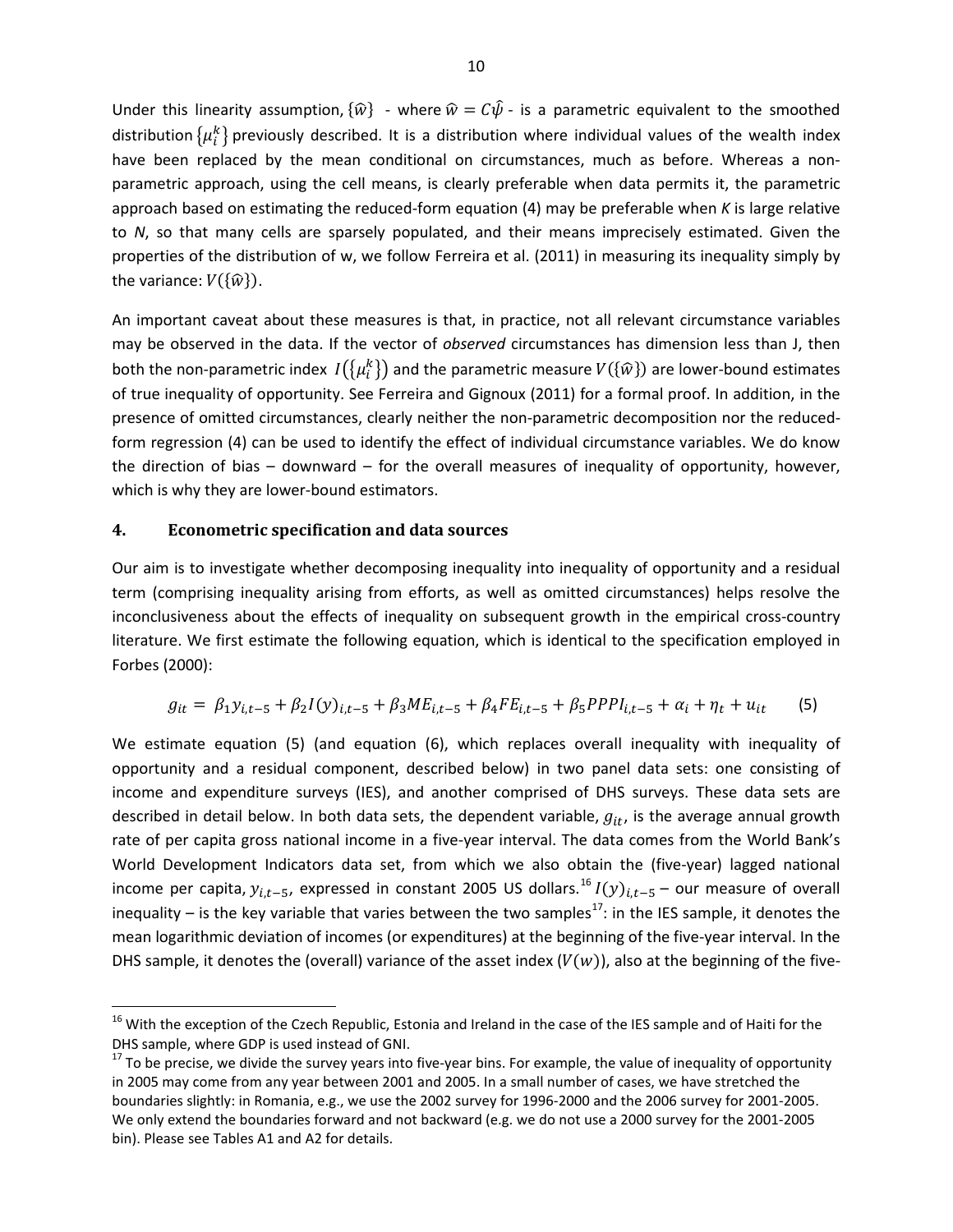Under this linearity assumption,  $\{\hat{w}\}$  - where  $\hat{w} = C\hat{\psi}$  - is a parametric equivalent to the smoothed distribution  $\{\mu_i^k\}$  previously described. It is a distribution where individual values of the wealth index have been replaced by the mean conditional on circumstances, much as before. Whereas a nonparametric approach, using the cell means, is clearly preferable when data permits it, the parametric approach based on estimating the reduced-form equation (4) may be preferable when *K* is large relative to *N*, so that many cells are sparsely populated, and their means imprecisely estimated. Given the properties of the distribution of w, we follow Ferreira et al. (2011) in measuring its inequality simply by the variance:  $V({\hat{w}})$ .

An important caveat about these measures is that, in practice, not all relevant circumstance variables may be observed in the data. If the vector of *observed* circumstances has dimension less than J, then both the non-parametric index  $I(\{\mu_i^k\})$  and the parametric measure  $V(\{\hat{w}\})$  are lower-bound estimates of true inequality of opportunity. See Ferreira and Gignoux (2011) for a formal proof. In addition, in the presence of omitted circumstances, clearly neither the non-parametric decomposition nor the reducedform regression (4) can be used to identify the effect of individual circumstance variables. We do know the direction of bias – downward – for the overall measures of inequality of opportunity, however, which is why they are lower-bound estimators.

#### **4. Econometric specification and data sources**

 $\overline{\phantom{a}}$ 

Our aim is to investigate whether decomposing inequality into inequality of opportunity and a residual term (comprising inequality arising from efforts, as well as omitted circumstances) helps resolve the inconclusiveness about the effects of inequality on subsequent growth in the empirical cross-country literature. We first estimate the following equation, which is identical to the specification employed in Forbes (2000):

$$
g_{it} = \beta_1 y_{i,t-5} + \beta_2 I(y)_{i,t-5} + \beta_3 M E_{i,t-5} + \beta_4 F E_{i,t-5} + \beta_5 P P P I_{i,t-5} + \alpha_i + \eta_t + u_{it} \tag{5}
$$

We estimate equation (5) (and equation (6), which replaces overall inequality with inequality of opportunity and a residual component, described below) in two panel data sets: one consisting of income and expenditure surveys (IES), and another comprised of DHS surveys. These data sets are described in detail below. In both data sets, the dependent variable,  $g_{it}$ , is the average annual growth rate of per capita gross national income in a five-year interval. The data comes from the World Bank's World Development Indicators data set, from which we also obtain the (five-year) lagged national income per capita,  $y_{i,t-5}$ , expressed in constant 2005 US dollars.<sup>[16](#page-11-0)</sup>  $I(y)_{i,t-5}$  – our measure of overall inequality – is the key variable that varies between the two samples<sup>[17](#page-11-1)</sup>: in the IES sample, it denotes the mean logarithmic deviation of incomes (or expenditures) at the beginning of the five-year interval. In the DHS sample, it denotes the (overall) variance of the asset index  $(V(w))$ , also at the beginning of the five-

<span id="page-11-0"></span><sup>&</sup>lt;sup>16</sup> With the exception of the Czech Republic, Estonia and Ireland in the case of the IES sample and of Haiti for the DHS sample, where GDP is used instead of GNI.

<span id="page-11-1"></span> $17$  To be precise, we divide the survey years into five-year bins. For example, the value of inequality of opportunity in 2005 may come from any year between 2001 and 2005. In a small number of cases, we have stretched the boundaries slightly: in Romania, e.g., we use the 2002 survey for 1996-2000 and the 2006 survey for 2001-2005. We only extend the boundaries forward and not backward (e.g. we do not use a 2000 survey for the 2001-2005 bin). Please see Tables A1 and A2 for details.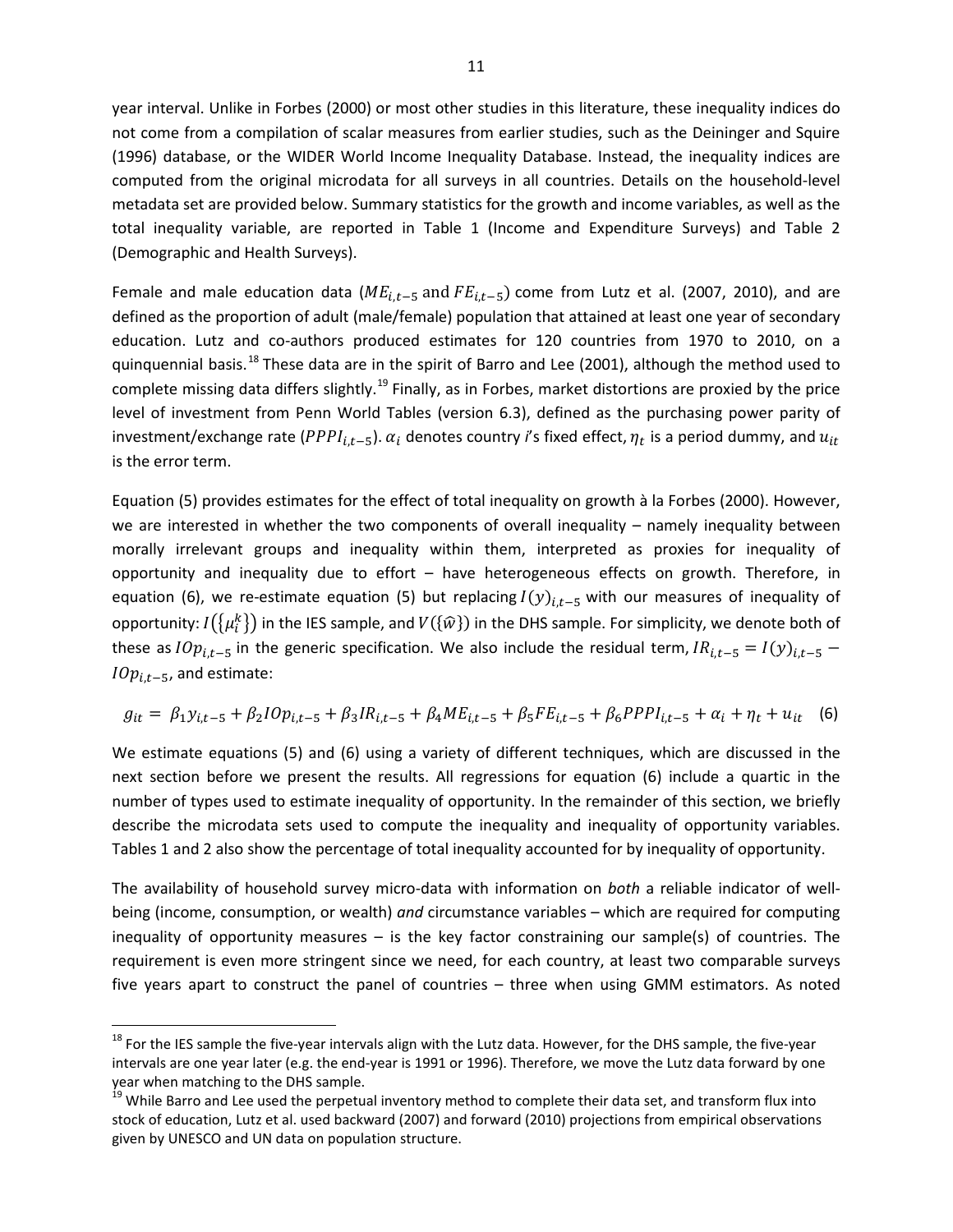year interval. Unlike in Forbes (2000) or most other studies in this literature, these inequality indices do not come from a compilation of scalar measures from earlier studies, such as the Deininger and Squire (1996) database, or the WIDER World Income Inequality Database. Instead, the inequality indices are computed from the original microdata for all surveys in all countries. Details on the household-level metadata set are provided below. Summary statistics for the growth and income variables, as well as the total inequality variable, are reported in Table 1 (Income and Expenditure Surveys) and Table 2 (Demographic and Health Surveys).

Female and male education data ( $ME_{i,t-5}$  and  $FE_{i,t-5}$ ) come from Lutz et al. (2007, 2010), and are defined as the proportion of adult (male/female) population that attained at least one year of secondary education. Lutz and co-authors produced estimates for 120 countries from 1970 to 2010, on a quinquennial basis.<sup>[18](#page-12-0)</sup> These data are in the spirit of Barro and Lee (2001), although the method used to complete missing data differs slightly.<sup>[19](#page-12-1)</sup> Finally, as in Forbes, market distortions are proxied by the price level of investment from Penn World Tables (version 6.3), defined as the purchasing power parity of investment/exchange rate ( $PPPI_{i,t-5}$ ).  $\alpha_i$  denotes country *i*'s fixed effect,  $\eta_t$  is a period dummy, and  $u_{it}$ is the error term.

Equation (5) provides estimates for the effect of total inequality on growth à la Forbes (2000). However, we are interested in whether the two components of overall inequality – namely inequality between morally irrelevant groups and inequality within them, interpreted as proxies for inequality of opportunity and inequality due to effort – have heterogeneous effects on growth. Therefore, in equation (6), we re-estimate equation (5) but replacing  $I(y)_{i,t-5}$  with our measures of inequality of opportunity:  $I(\{\mu_i^k\})$  in the IES sample, and  $V(\{\widehat{w}\})$  in the DHS sample. For simplicity, we denote both of these as  $IOp_{i,t-5}$  in the generic specification. We also include the residual term,  $IR_{i,t-5} = I(y)_{i,t-5}$  –  $IOp_{i,t-5}$ , and estimate:

$$
g_{it} = \beta_1 y_{i,t-5} + \beta_2 I O p_{i,t-5} + \beta_3 I R_{i,t-5} + \beta_4 M E_{i,t-5} + \beta_5 F E_{i,t-5} + \beta_6 P P P I_{i,t-5} + \alpha_i + \eta_t + u_{it} \quad (6)
$$

We estimate equations (5) and (6) using a variety of different techniques, which are discussed in the next section before we present the results. All regressions for equation (6) include a quartic in the number of types used to estimate inequality of opportunity. In the remainder of this section, we briefly describe the microdata sets used to compute the inequality and inequality of opportunity variables. Tables 1 and 2 also show the percentage of total inequality accounted for by inequality of opportunity.

The availability of household survey micro-data with information on *both* a reliable indicator of wellbeing (income, consumption, or wealth) *and* circumstance variables – which are required for computing inequality of opportunity measures  $-$  is the key factor constraining our sample(s) of countries. The requirement is even more stringent since we need, for each country, at least two comparable surveys five years apart to construct the panel of countries – three when using GMM estimators. As noted

 $\overline{\phantom{a}}$ 

<span id="page-12-0"></span><sup>&</sup>lt;sup>18</sup> For the IES sample the five-year intervals align with the Lutz data. However, for the DHS sample, the five-year intervals are one year later (e.g. the end-year is 1991 or 1996). Therefore, we move the Lutz data forward by one year when matching to the DHS sample.

<span id="page-12-1"></span><sup>&</sup>lt;sup>19</sup> While Barro and Lee used the perpetual inventory method to complete their data set, and transform flux into stock of education, Lutz et al. used backward (2007) and forward (2010) projections from empirical observations given by UNESCO and UN data on population structure.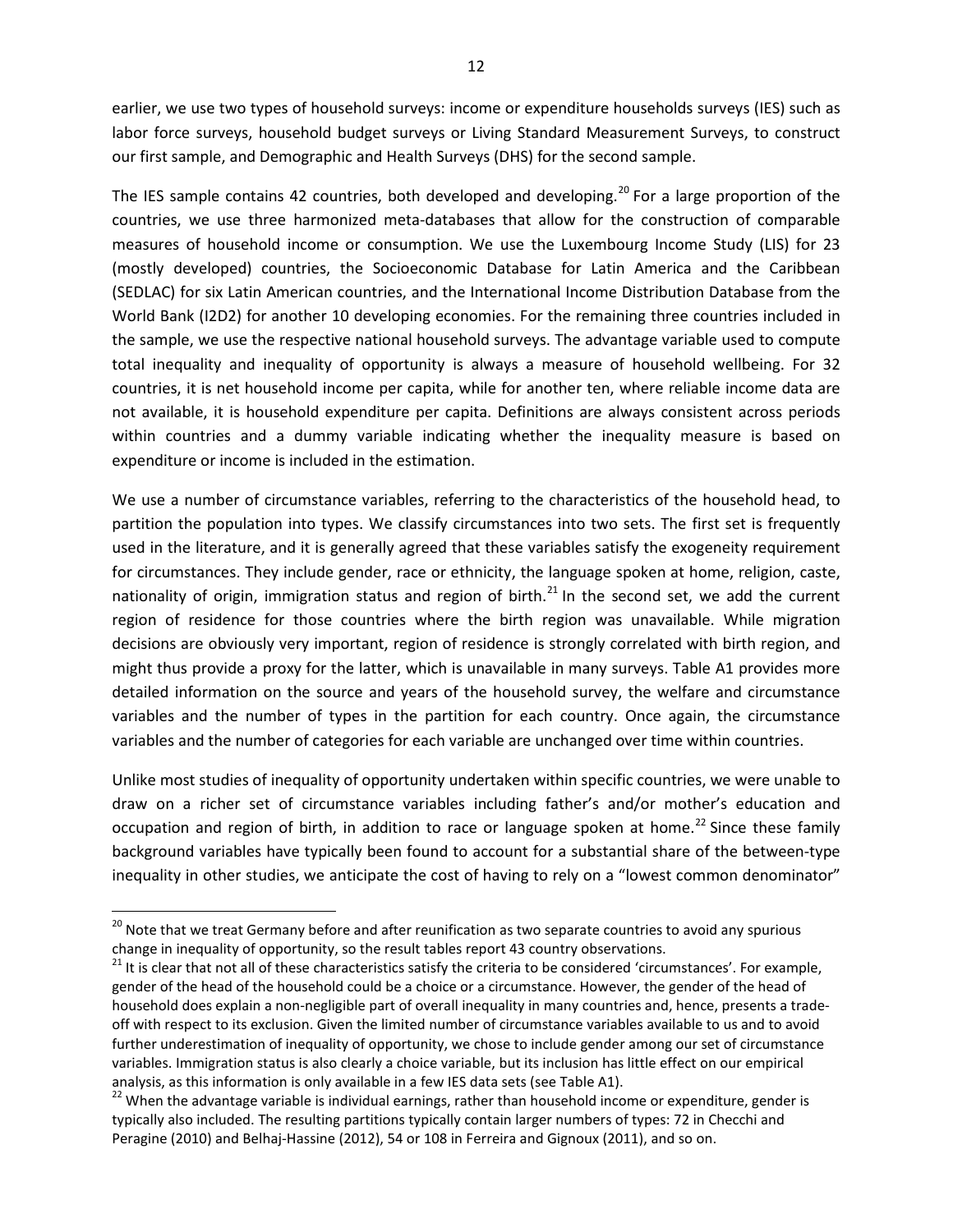earlier, we use two types of household surveys: income or expenditure households surveys (IES) such as labor force surveys, household budget surveys or Living Standard Measurement Surveys, to construct our first sample, and Demographic and Health Surveys (DHS) for the second sample.

The IES sample contains 42 countries, both developed and developing.<sup>[20](#page-13-0)</sup> For a large proportion of the countries, we use three harmonized meta-databases that allow for the construction of comparable measures of household income or consumption. We use the Luxembourg Income Study (LIS) for 23 (mostly developed) countries, the Socioeconomic Database for Latin America and the Caribbean (SEDLAC) for six Latin American countries, and the International Income Distribution Database from the World Bank (I2D2) for another 10 developing economies. For the remaining three countries included in the sample, we use the respective national household surveys. The advantage variable used to compute total inequality and inequality of opportunity is always a measure of household wellbeing. For 32 countries, it is net household income per capita, while for another ten, where reliable income data are not available, it is household expenditure per capita. Definitions are always consistent across periods within countries and a dummy variable indicating whether the inequality measure is based on expenditure or income is included in the estimation.

We use a number of circumstance variables, referring to the characteristics of the household head, to partition the population into types. We classify circumstances into two sets. The first set is frequently used in the literature, and it is generally agreed that these variables satisfy the exogeneity requirement for circumstances. They include gender, race or ethnicity, the language spoken at home, religion, caste, nationality of origin, immigration status and region of birth.<sup>[21](#page-13-1)</sup> In the second set, we add the current region of residence for those countries where the birth region was unavailable. While migration decisions are obviously very important, region of residence is strongly correlated with birth region, and might thus provide a proxy for the latter, which is unavailable in many surveys. Table A1 provides more detailed information on the source and years of the household survey, the welfare and circumstance variables and the number of types in the partition for each country. Once again, the circumstance variables and the number of categories for each variable are unchanged over time within countries.

Unlike most studies of inequality of opportunity undertaken within specific countries, we were unable to draw on a richer set of circumstance variables including father's and/or mother's education and occupation and region of birth, in addition to race or language spoken at home.<sup>[22](#page-13-2)</sup> Since these family background variables have typically been found to account for a substantial share of the between-type inequality in other studies, we anticipate the cost of having to rely on a "lowest common denominator"

<span id="page-13-0"></span><sup>&</sup>lt;sup>20</sup> Note that we treat Germany before and after reunification as two separate countries to avoid any spurious change in inequality of opportunity, so the result tables report 43 country observations.<br><sup>21</sup> It is clear that not all of these characteristics satisfy the criteria to be considered 'circumstances'. For example,

<span id="page-13-1"></span>gender of the head of the household could be a choice or a circumstance. However, the gender of the head of household does explain a non-negligible part of overall inequality in many countries and, hence, presents a tradeoff with respect to its exclusion. Given the limited number of circumstance variables available to us and to avoid further underestimation of inequality of opportunity, we chose to include gender among our set of circumstance variables. Immigration status is also clearly a choice variable, but its inclusion has little effect on our empirical analysis, as this information is only available in a few IES data sets (see Table A1).<br><sup>22</sup> When the advantage variable is individual earnings, rather than household income or expenditure, gender is

<span id="page-13-2"></span>typically also included. The resulting partitions typically contain larger numbers of types: 72 in Checchi and Peragine (2010) and Belhaj-Hassine (2012), 54 or 108 in Ferreira and Gignoux (2011), and so on.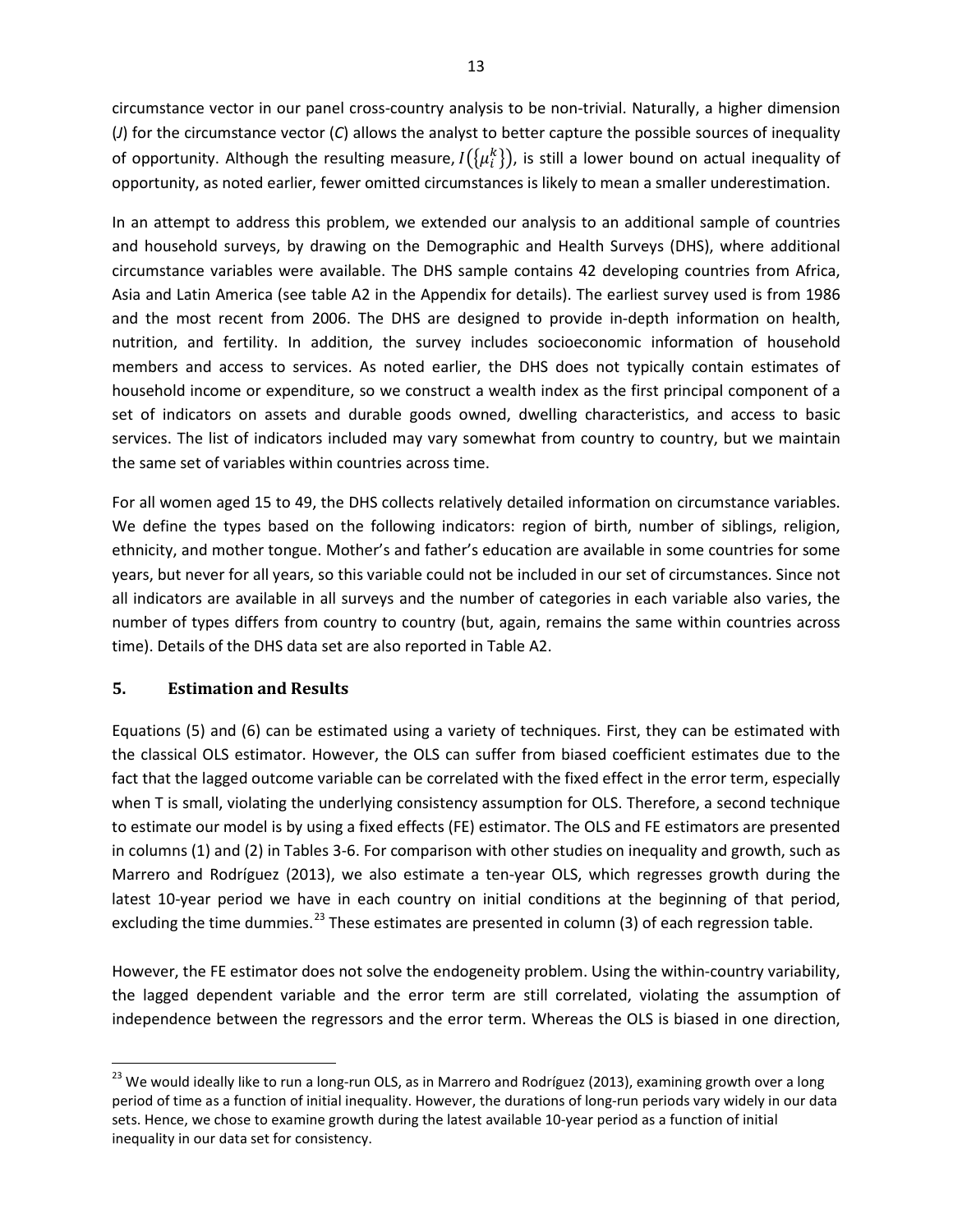circumstance vector in our panel cross-country analysis to be non-trivial. Naturally, a higher dimension (*J*) for the circumstance vector (*C*) allows the analyst to better capture the possible sources of inequality of opportunity. Although the resulting measure,  $I(\{\mu_i^k\})$ , is still a lower bound on actual inequality of opportunity, as noted earlier, fewer omitted circumstances is likely to mean a smaller underestimation.

In an attempt to address this problem, we extended our analysis to an additional sample of countries and household surveys, by drawing on the Demographic and Health Surveys (DHS), where additional circumstance variables were available. The DHS sample contains 42 developing countries from Africa, Asia and Latin America (see table A2 in the Appendix for details). The earliest survey used is from 1986 and the most recent from 2006. The DHS are designed to provide in-depth information on health, nutrition, and fertility. In addition, the survey includes socioeconomic information of household members and access to services. As noted earlier, the DHS does not typically contain estimates of household income or expenditure, so we construct a wealth index as the first principal component of a set of indicators on assets and durable goods owned, dwelling characteristics, and access to basic services. The list of indicators included may vary somewhat from country to country, but we maintain the same set of variables within countries across time.

For all women aged 15 to 49, the DHS collects relatively detailed information on circumstance variables. We define the types based on the following indicators: region of birth, number of siblings, religion, ethnicity, and mother tongue. Mother's and father's education are available in some countries for some years, but never for all years, so this variable could not be included in our set of circumstances. Since not all indicators are available in all surveys and the number of categories in each variable also varies, the number of types differs from country to country (but, again, remains the same within countries across time). Details of the DHS data set are also reported in Table A2.

## **5. Estimation and Results**

 $\overline{\phantom{a}}$ 

Equations (5) and (6) can be estimated using a variety of techniques. First, they can be estimated with the classical OLS estimator. However, the OLS can suffer from biased coefficient estimates due to the fact that the lagged outcome variable can be correlated with the fixed effect in the error term, especially when T is small, violating the underlying consistency assumption for OLS. Therefore, a second technique to estimate our model is by using a fixed effects (FE) estimator. The OLS and FE estimators are presented in columns (1) and (2) in Tables 3-6. For comparison with other studies on inequality and growth, such as Marrero and Rodríguez (2013), we also estimate a ten-year OLS, which regresses growth during the latest 10-year period we have in each country on initial conditions at the beginning of that period, excluding the time dummies.<sup>[23](#page-14-0)</sup> These estimates are presented in column (3) of each regression table.

However, the FE estimator does not solve the endogeneity problem. Using the within-country variability, the lagged dependent variable and the error term are still correlated, violating the assumption of independence between the regressors and the error term. Whereas the OLS is biased in one direction,

<span id="page-14-0"></span><sup>&</sup>lt;sup>23</sup> We would ideally like to run a long-run OLS, as in Marrero and Rodríguez (2013), examining growth over a long period of time as a function of initial inequality. However, the durations of long-run periods vary widely in our data sets. Hence, we chose to examine growth during the latest available 10-year period as a function of initial inequality in our data set for consistency.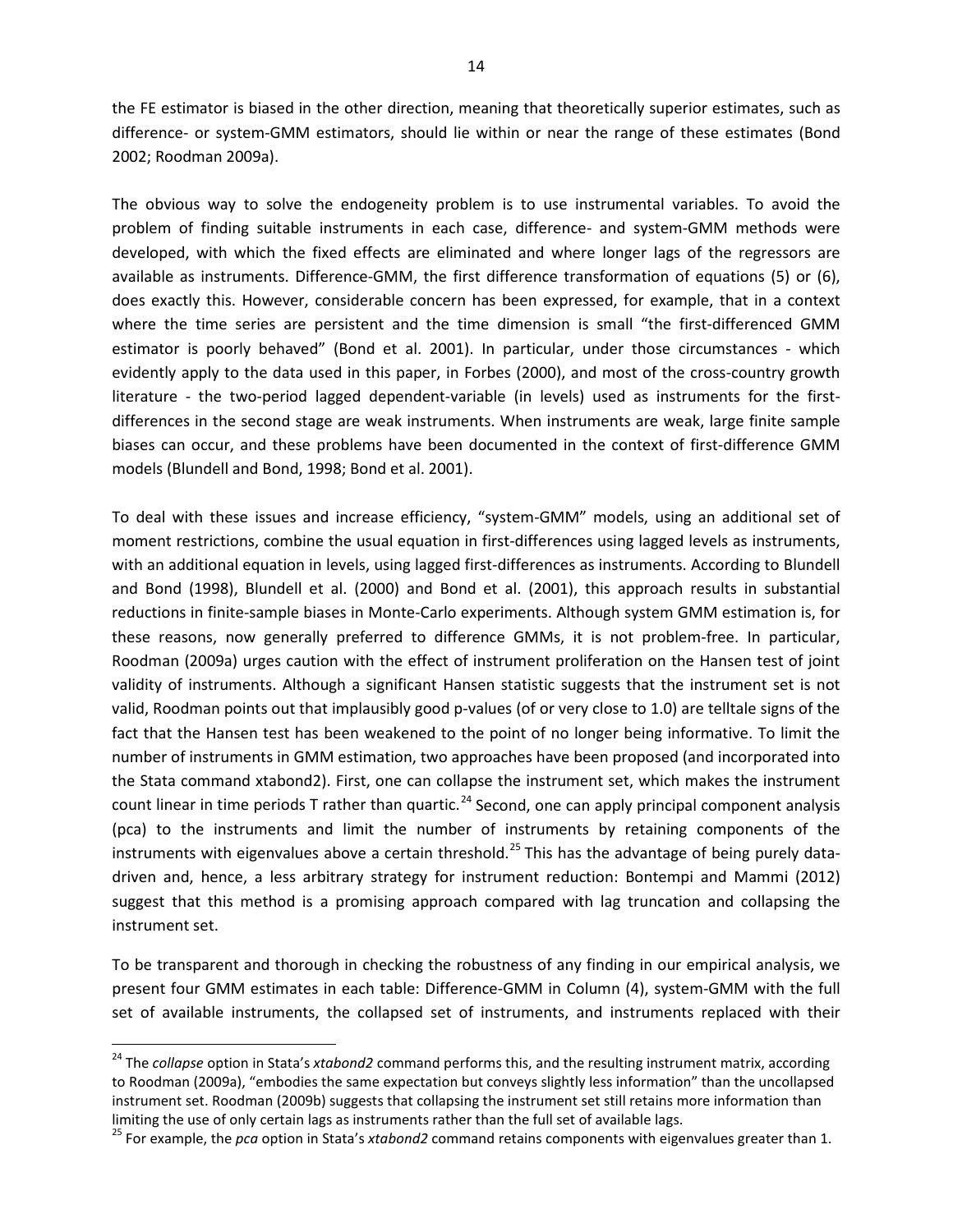the FE estimator is biased in the other direction, meaning that theoretically superior estimates, such as difference- or system-GMM estimators, should lie within or near the range of these estimates (Bond 2002; Roodman 2009a).

The obvious way to solve the endogeneity problem is to use instrumental variables. To avoid the problem of finding suitable instruments in each case, difference- and system-GMM methods were developed, with which the fixed effects are eliminated and where longer lags of the regressors are available as instruments. Difference-GMM, the first difference transformation of equations (5) or (6), does exactly this. However, considerable concern has been expressed, for example, that in a context where the time series are persistent and the time dimension is small "the first-differenced GMM estimator is poorly behaved" (Bond et al. 2001). In particular, under those circumstances - which evidently apply to the data used in this paper, in Forbes (2000), and most of the cross-country growth literature - the two-period lagged dependent-variable (in levels) used as instruments for the firstdifferences in the second stage are weak instruments. When instruments are weak, large finite sample biases can occur, and these problems have been documented in the context of first-difference GMM models (Blundell and Bond, 1998; Bond et al. 2001).

To deal with these issues and increase efficiency, "system-GMM" models, using an additional set of moment restrictions, combine the usual equation in first-differences using lagged levels as instruments, with an additional equation in levels, using lagged first-differences as instruments. According to Blundell and Bond (1998), Blundell et al. (2000) and Bond et al. (2001), this approach results in substantial reductions in finite-sample biases in Monte-Carlo experiments. Although system GMM estimation is, for these reasons, now generally preferred to difference GMMs, it is not problem-free. In particular, Roodman (2009a) urges caution with the effect of instrument proliferation on the Hansen test of joint validity of instruments. Although a significant Hansen statistic suggests that the instrument set is not valid, Roodman points out that implausibly good p-values (of or very close to 1.0) are telltale signs of the fact that the Hansen test has been weakened to the point of no longer being informative. To limit the number of instruments in GMM estimation, two approaches have been proposed (and incorporated into the Stata command xtabond2). First, one can collapse the instrument set, which makes the instrument count linear in time periods T rather than quartic.<sup>[24](#page-15-0)</sup> Second, one can apply principal component analysis (pca) to the instruments and limit the number of instruments by retaining components of the instruments with eigenvalues above a certain threshold.<sup>[25](#page-15-1)</sup> This has the advantage of being purely datadriven and, hence, a less arbitrary strategy for instrument reduction: Bontempi and Mammi (2012) suggest that this method is a promising approach compared with lag truncation and collapsing the instrument set.

To be transparent and thorough in checking the robustness of any finding in our empirical analysis, we present four GMM estimates in each table: Difference-GMM in Column (4), system-GMM with the full set of available instruments, the collapsed set of instruments, and instruments replaced with their

 $\overline{\phantom{a}}$ 

<span id="page-15-0"></span><sup>24</sup> The *collapse* option in Stata's *xtabond2* command performs this, and the resulting instrument matrix, according to Roodman (2009a), "embodies the same expectation but conveys slightly less information" than the uncollapsed instrument set. Roodman (2009b) suggests that collapsing the instrument set still retains more information than limiting the use of only certain lags as instruments rather than the full set of available lags.

<span id="page-15-1"></span><sup>25</sup> For example, the *pca* option in Stata's *xtabond2* command retains components with eigenvalues greater than 1.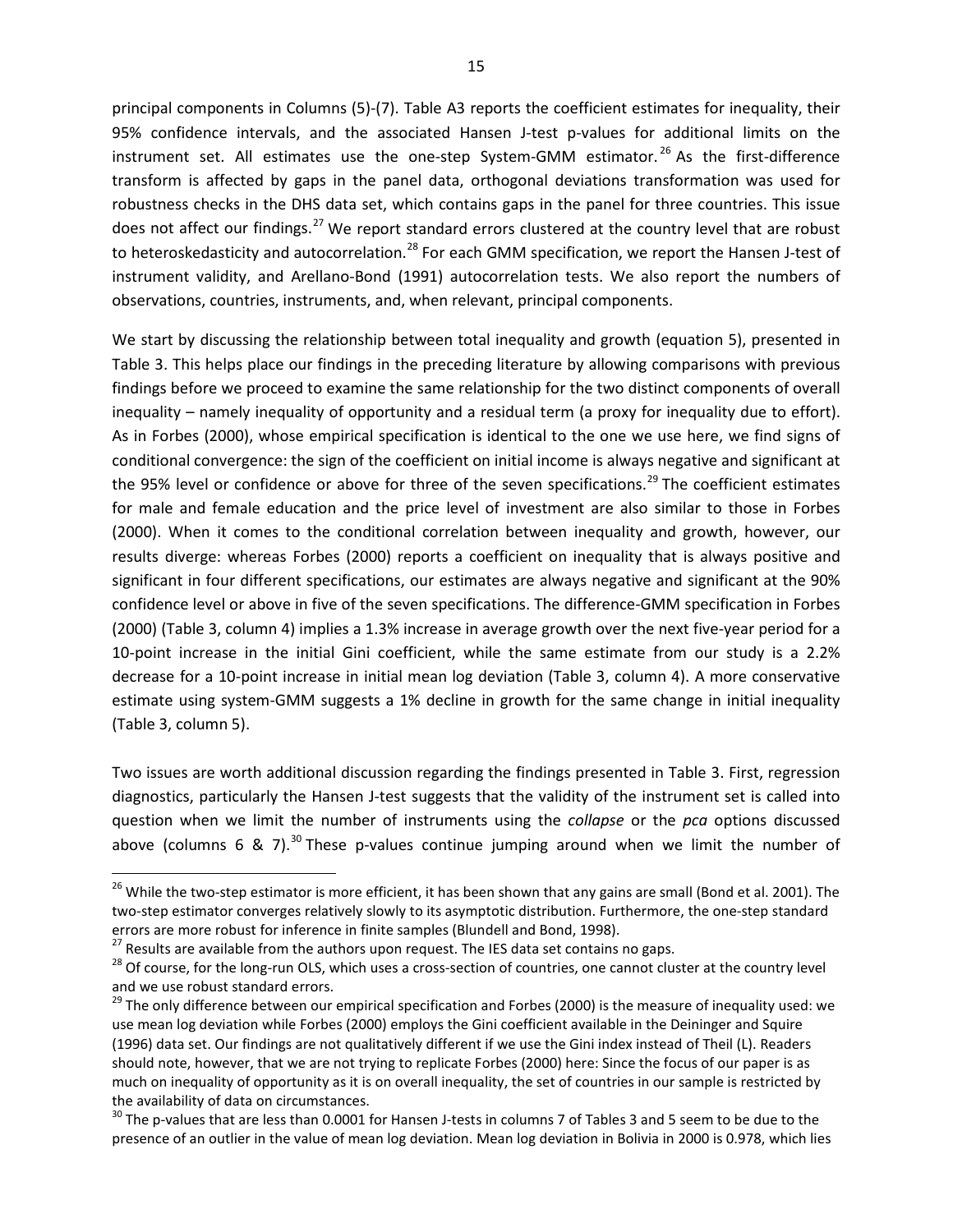principal components in Columns (5)-(7). Table A3 reports the coefficient estimates for inequality, their 95% confidence intervals, and the associated Hansen J-test p-values for additional limits on the instrument set. All estimates use the one-step System-GMM estimator.<sup>[26](#page-16-0)</sup> As the first-difference transform is affected by gaps in the panel data, orthogonal deviations transformation was used for robustness checks in the DHS data set, which contains gaps in the panel for three countries. This issue does not affect our findings.<sup>[27](#page-16-1)</sup> We report standard errors clustered at the country level that are robust to heteroskedasticity and autocorrelation.<sup>[28](#page-16-2)</sup> For each GMM specification, we report the Hansen J-test of instrument validity, and Arellano-Bond (1991) autocorrelation tests. We also report the numbers of observations, countries, instruments, and, when relevant, principal components.

We start by discussing the relationship between total inequality and growth (equation 5), presented in Table 3. This helps place our findings in the preceding literature by allowing comparisons with previous findings before we proceed to examine the same relationship for the two distinct components of overall inequality – namely inequality of opportunity and a residual term (a proxy for inequality due to effort). As in Forbes (2000), whose empirical specification is identical to the one we use here, we find signs of conditional convergence: the sign of the coefficient on initial income is always negative and significant at the 95% level or confidence or above for three of the seven specifications.<sup>[29](#page-16-3)</sup> The coefficient estimates for male and female education and the price level of investment are also similar to those in Forbes (2000). When it comes to the conditional correlation between inequality and growth, however, our results diverge: whereas Forbes (2000) reports a coefficient on inequality that is always positive and significant in four different specifications, our estimates are always negative and significant at the 90% confidence level or above in five of the seven specifications. The difference-GMM specification in Forbes (2000) (Table 3, column 4) implies a 1.3% increase in average growth over the next five-year period for a 10-point increase in the initial Gini coefficient, while the same estimate from our study is a 2.2% decrease for a 10-point increase in initial mean log deviation (Table 3, column 4). A more conservative estimate using system-GMM suggests a 1% decline in growth for the same change in initial inequality (Table 3, column 5).

Two issues are worth additional discussion regarding the findings presented in Table 3. First, regression diagnostics, particularly the Hansen J-test suggests that the validity of the instrument set is called into question when we limit the number of instruments using the *collapse* or the *pca* options discussed above (columns 6 & 7).<sup>[30](#page-16-4)</sup> These p-values continue jumping around when we limit the number of

<span id="page-16-0"></span><sup>&</sup>lt;sup>26</sup> While the two-step estimator is more efficient, it has been shown that any gains are small (Bond et al. 2001). The two-step estimator converges relatively slowly to its asymptotic distribution. Furthermore, the one-step standard errors are more robust for inference in finite samples (Blundell and Bond, 1998).<br><sup>27</sup> Results are available from the authors upon request. The IES data set contains no gaps.

<span id="page-16-1"></span>

<span id="page-16-2"></span><sup>&</sup>lt;sup>28</sup> Of course, for the long-run OLS, which uses a cross-section of countries, one cannot cluster at the country level and we use robust standard errors.

<span id="page-16-3"></span> $29$  The only difference between our empirical specification and Forbes (2000) is the measure of inequality used: we use mean log deviation while Forbes (2000) employs the Gini coefficient available in the Deininger and Squire (1996) data set. Our findings are not qualitatively different if we use the Gini index instead of Theil (L). Readers should note, however, that we are not trying to replicate Forbes (2000) here: Since the focus of our paper is as much on inequality of opportunity as it is on overall inequality, the set of countries in our sample is restricted by the availability of data on circumstances.

<span id="page-16-4"></span> $30$  The p-values that are less than 0.0001 for Hansen J-tests in columns 7 of Tables 3 and 5 seem to be due to the presence of an outlier in the value of mean log deviation. Mean log deviation in Bolivia in 2000 is 0.978, which lies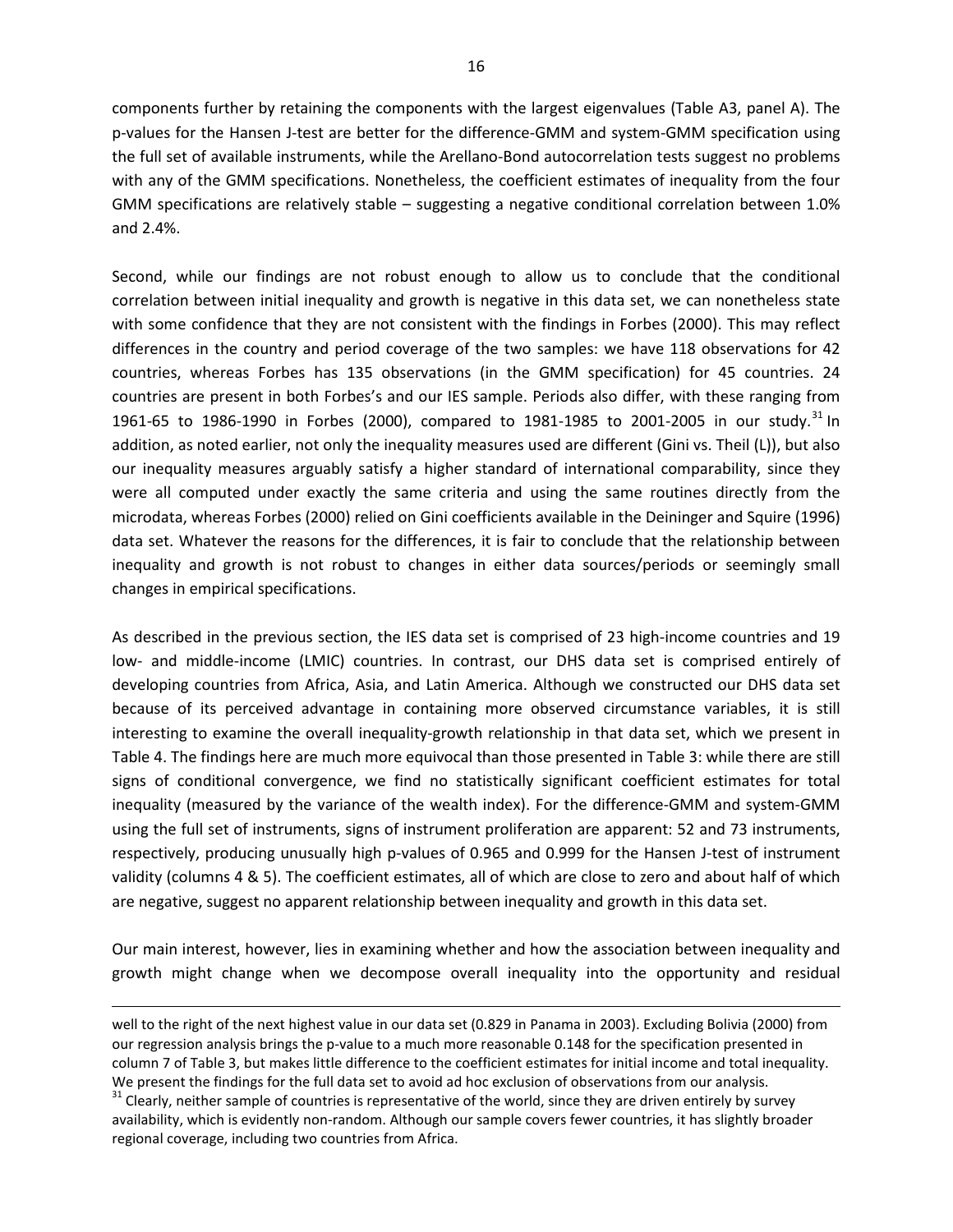components further by retaining the components with the largest eigenvalues (Table A3, panel A). The p-values for the Hansen J-test are better for the difference-GMM and system-GMM specification using the full set of available instruments, while the Arellano-Bond autocorrelation tests suggest no problems with any of the GMM specifications. Nonetheless, the coefficient estimates of inequality from the four GMM specifications are relatively stable – suggesting a negative conditional correlation between 1.0% and 2.4%.

Second, while our findings are not robust enough to allow us to conclude that the conditional correlation between initial inequality and growth is negative in this data set, we can nonetheless state with some confidence that they are not consistent with the findings in Forbes (2000). This may reflect differences in the country and period coverage of the two samples: we have 118 observations for 42 countries, whereas Forbes has 135 observations (in the GMM specification) for 45 countries. 24 countries are present in both Forbes's and our IES sample. Periods also differ, with these ranging from 1961-65 to 1986-1990 in Forbes (2000), compared to 1981-1985 to 2001-2005 in our study.<sup>[31](#page-17-0)</sup> In addition, as noted earlier, not only the inequality measures used are different (Gini vs. Theil (L)), but also our inequality measures arguably satisfy a higher standard of international comparability, since they were all computed under exactly the same criteria and using the same routines directly from the microdata, whereas Forbes (2000) relied on Gini coefficients available in the Deininger and Squire (1996) data set. Whatever the reasons for the differences, it is fair to conclude that the relationship between inequality and growth is not robust to changes in either data sources/periods or seemingly small changes in empirical specifications.

As described in the previous section, the IES data set is comprised of 23 high-income countries and 19 low- and middle-income (LMIC) countries. In contrast, our DHS data set is comprised entirely of developing countries from Africa, Asia, and Latin America. Although we constructed our DHS data set because of its perceived advantage in containing more observed circumstance variables, it is still interesting to examine the overall inequality-growth relationship in that data set, which we present in Table 4. The findings here are much more equivocal than those presented in Table 3: while there are still signs of conditional convergence, we find no statistically significant coefficient estimates for total inequality (measured by the variance of the wealth index). For the difference-GMM and system-GMM using the full set of instruments, signs of instrument proliferation are apparent: 52 and 73 instruments, respectively, producing unusually high p-values of 0.965 and 0.999 for the Hansen J-test of instrument validity (columns 4 & 5). The coefficient estimates, all of which are close to zero and about half of which are negative, suggest no apparent relationship between inequality and growth in this data set.

Our main interest, however, lies in examining whether and how the association between inequality and growth might change when we decompose overall inequality into the opportunity and residual

well to the right of the next highest value in our data set (0.829 in Panama in 2003). Excluding Bolivia (2000) from our regression analysis brings the p-value to a much more reasonable 0.148 for the specification presented in column 7 of Table 3, but makes little difference to the coefficient estimates for initial income and total inequality. We present the findings for the full data set to avoid ad hoc exclusion of observations from our analysis.  $31$  Clearly, neither sample of countries is representative of the world, since they are driven entirely by survey

 $\overline{\phantom{a}}$ 

<span id="page-17-0"></span>availability, which is evidently non-random. Although our sample covers fewer countries, it has slightly broader regional coverage, including two countries from Africa.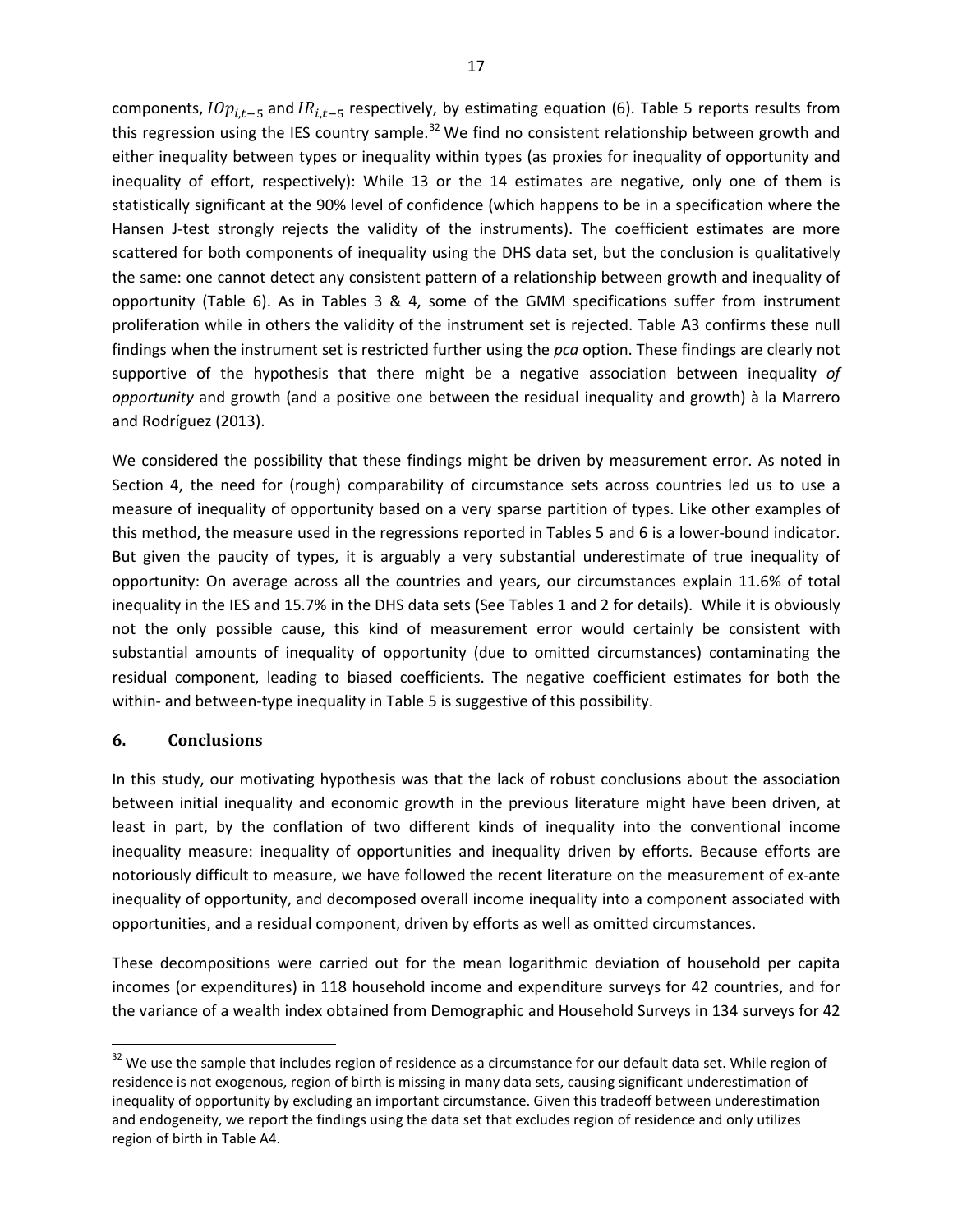components,  $IOp_{i,t-5}$  and  $IR_{i,t-5}$  respectively, by estimating equation (6). Table 5 reports results from this regression using the IES country sample.<sup>[32](#page-18-0)</sup> We find no consistent relationship between growth and either inequality between types or inequality within types (as proxies for inequality of opportunity and inequality of effort, respectively): While 13 or the 14 estimates are negative, only one of them is statistically significant at the 90% level of confidence (which happens to be in a specification where the Hansen J-test strongly rejects the validity of the instruments). The coefficient estimates are more scattered for both components of inequality using the DHS data set, but the conclusion is qualitatively the same: one cannot detect any consistent pattern of a relationship between growth and inequality of opportunity (Table 6). As in Tables 3 & 4, some of the GMM specifications suffer from instrument proliferation while in others the validity of the instrument set is rejected. Table A3 confirms these null findings when the instrument set is restricted further using the *pca* option. These findings are clearly not supportive of the hypothesis that there might be a negative association between inequality *of opportunity* and growth (and a positive one between the residual inequality and growth) à la Marrero and Rodríguez (2013).

We considered the possibility that these findings might be driven by measurement error. As noted in Section 4, the need for (rough) comparability of circumstance sets across countries led us to use a measure of inequality of opportunity based on a very sparse partition of types. Like other examples of this method, the measure used in the regressions reported in Tables 5 and 6 is a lower-bound indicator. But given the paucity of types, it is arguably a very substantial underestimate of true inequality of opportunity: On average across all the countries and years, our circumstances explain 11.6% of total inequality in the IES and 15.7% in the DHS data sets (See Tables 1 and 2 for details). While it is obviously not the only possible cause, this kind of measurement error would certainly be consistent with substantial amounts of inequality of opportunity (due to omitted circumstances) contaminating the residual component, leading to biased coefficients. The negative coefficient estimates for both the within- and between-type inequality in Table 5 is suggestive of this possibility.

## **6. Conclusions**

 $\overline{\phantom{a}}$ 

In this study, our motivating hypothesis was that the lack of robust conclusions about the association between initial inequality and economic growth in the previous literature might have been driven, at least in part, by the conflation of two different kinds of inequality into the conventional income inequality measure: inequality of opportunities and inequality driven by efforts. Because efforts are notoriously difficult to measure, we have followed the recent literature on the measurement of ex-ante inequality of opportunity, and decomposed overall income inequality into a component associated with opportunities, and a residual component, driven by efforts as well as omitted circumstances.

These decompositions were carried out for the mean logarithmic deviation of household per capita incomes (or expenditures) in 118 household income and expenditure surveys for 42 countries, and for the variance of a wealth index obtained from Demographic and Household Surveys in 134 surveys for 42

<span id="page-18-0"></span> $32$  We use the sample that includes region of residence as a circumstance for our default data set. While region of residence is not exogenous, region of birth is missing in many data sets, causing significant underestimation of inequality of opportunity by excluding an important circumstance. Given this tradeoff between underestimation and endogeneity, we report the findings using the data set that excludes region of residence and only utilizes region of birth in Table A4.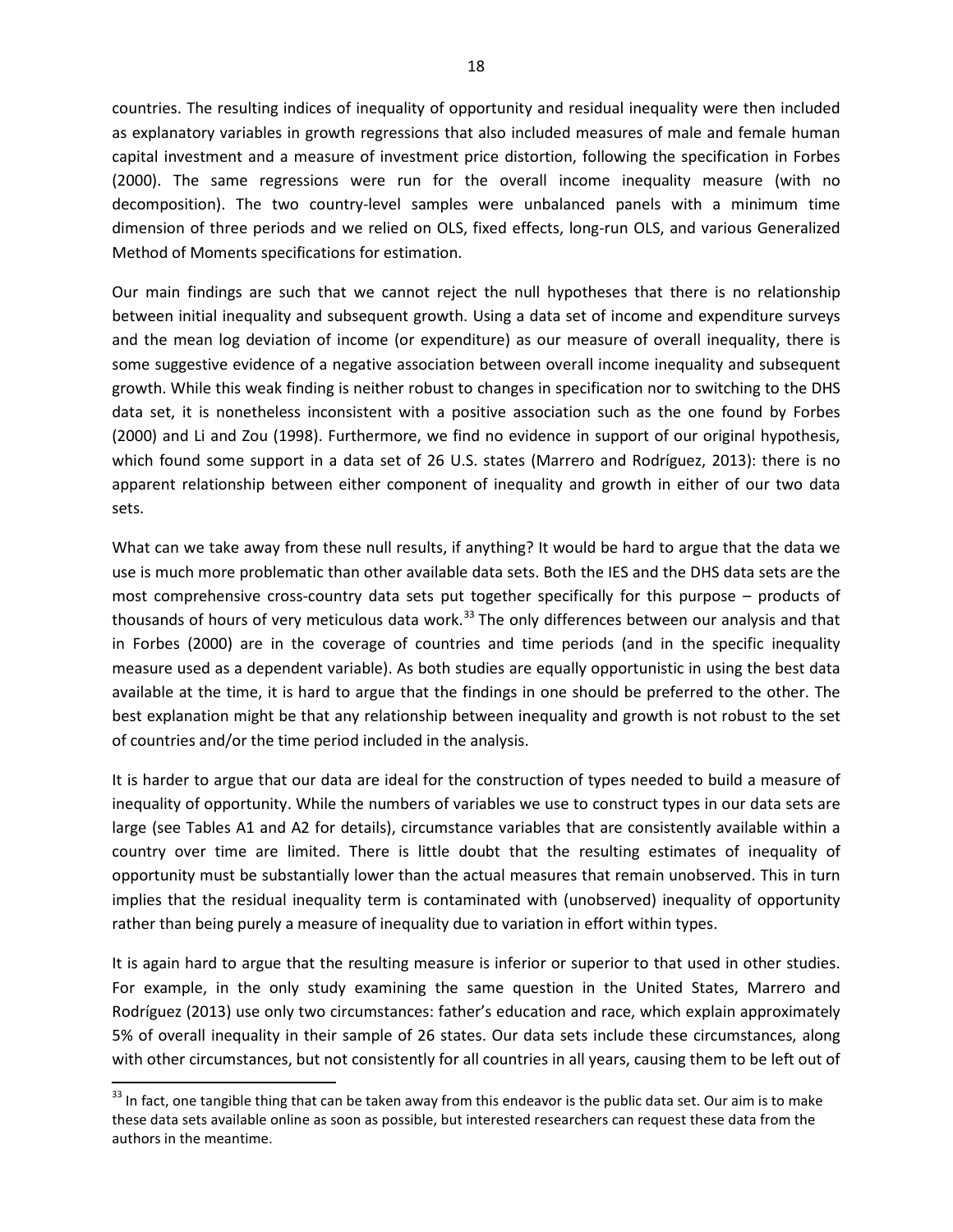countries. The resulting indices of inequality of opportunity and residual inequality were then included as explanatory variables in growth regressions that also included measures of male and female human capital investment and a measure of investment price distortion, following the specification in Forbes (2000). The same regressions were run for the overall income inequality measure (with no decomposition). The two country-level samples were unbalanced panels with a minimum time dimension of three periods and we relied on OLS, fixed effects, long-run OLS, and various Generalized Method of Moments specifications for estimation.

Our main findings are such that we cannot reject the null hypotheses that there is no relationship between initial inequality and subsequent growth. Using a data set of income and expenditure surveys and the mean log deviation of income (or expenditure) as our measure of overall inequality, there is some suggestive evidence of a negative association between overall income inequality and subsequent growth. While this weak finding is neither robust to changes in specification nor to switching to the DHS data set, it is nonetheless inconsistent with a positive association such as the one found by Forbes (2000) and Li and Zou (1998). Furthermore, we find no evidence in support of our original hypothesis, which found some support in a data set of 26 U.S. states (Marrero and Rodríguez, 2013): there is no apparent relationship between either component of inequality and growth in either of our two data sets.

What can we take away from these null results, if anything? It would be hard to argue that the data we use is much more problematic than other available data sets. Both the IES and the DHS data sets are the most comprehensive cross-country data sets put together specifically for this purpose – products of thousands of hours of very meticulous data work.<sup>[33](#page-19-0)</sup> The only differences between our analysis and that in Forbes (2000) are in the coverage of countries and time periods (and in the specific inequality measure used as a dependent variable). As both studies are equally opportunistic in using the best data available at the time, it is hard to argue that the findings in one should be preferred to the other. The best explanation might be that any relationship between inequality and growth is not robust to the set of countries and/or the time period included in the analysis.

It is harder to argue that our data are ideal for the construction of types needed to build a measure of inequality of opportunity. While the numbers of variables we use to construct types in our data sets are large (see Tables A1 and A2 for details), circumstance variables that are consistently available within a country over time are limited. There is little doubt that the resulting estimates of inequality of opportunity must be substantially lower than the actual measures that remain unobserved. This in turn implies that the residual inequality term is contaminated with (unobserved) inequality of opportunity rather than being purely a measure of inequality due to variation in effort within types.

It is again hard to argue that the resulting measure is inferior or superior to that used in other studies. For example, in the only study examining the same question in the United States, Marrero and Rodríguez (2013) use only two circumstances: father's education and race, which explain approximately 5% of overall inequality in their sample of 26 states. Our data sets include these circumstances, along with other circumstances, but not consistently for all countries in all years, causing them to be left out of

<span id="page-19-0"></span> $33$  In fact, one tangible thing that can be taken away from this endeavor is the public data set. Our aim is to make these data sets available online as soon as possible, but interested researchers can request these data from the authors in the meantime.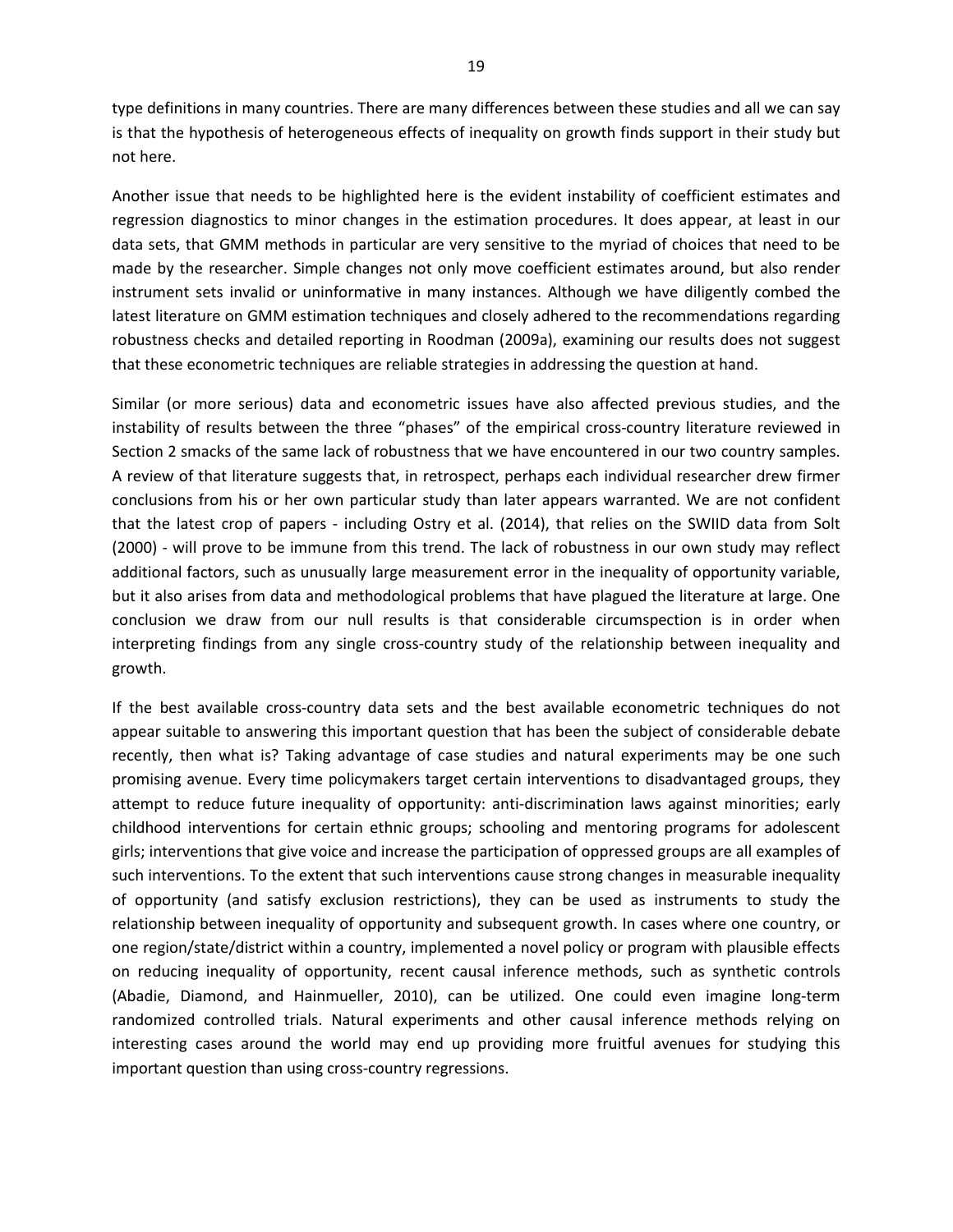type definitions in many countries. There are many differences between these studies and all we can say is that the hypothesis of heterogeneous effects of inequality on growth finds support in their study but not here.

Another issue that needs to be highlighted here is the evident instability of coefficient estimates and regression diagnostics to minor changes in the estimation procedures. It does appear, at least in our data sets, that GMM methods in particular are very sensitive to the myriad of choices that need to be made by the researcher. Simple changes not only move coefficient estimates around, but also render instrument sets invalid or uninformative in many instances. Although we have diligently combed the latest literature on GMM estimation techniques and closely adhered to the recommendations regarding robustness checks and detailed reporting in Roodman (2009a), examining our results does not suggest that these econometric techniques are reliable strategies in addressing the question at hand.

Similar (or more serious) data and econometric issues have also affected previous studies, and the instability of results between the three "phases" of the empirical cross-country literature reviewed in Section 2 smacks of the same lack of robustness that we have encountered in our two country samples. A review of that literature suggests that, in retrospect, perhaps each individual researcher drew firmer conclusions from his or her own particular study than later appears warranted. We are not confident that the latest crop of papers - including Ostry et al. (2014), that relies on the SWIID data from Solt (2000) - will prove to be immune from this trend. The lack of robustness in our own study may reflect additional factors, such as unusually large measurement error in the inequality of opportunity variable, but it also arises from data and methodological problems that have plagued the literature at large. One conclusion we draw from our null results is that considerable circumspection is in order when interpreting findings from any single cross-country study of the relationship between inequality and growth.

If the best available cross-country data sets and the best available econometric techniques do not appear suitable to answering this important question that has been the subject of considerable debate recently, then what is? Taking advantage of case studies and natural experiments may be one such promising avenue. Every time policymakers target certain interventions to disadvantaged groups, they attempt to reduce future inequality of opportunity: anti-discrimination laws against minorities; early childhood interventions for certain ethnic groups; schooling and mentoring programs for adolescent girls; interventions that give voice and increase the participation of oppressed groups are all examples of such interventions. To the extent that such interventions cause strong changes in measurable inequality of opportunity (and satisfy exclusion restrictions), they can be used as instruments to study the relationship between inequality of opportunity and subsequent growth. In cases where one country, or one region/state/district within a country, implemented a novel policy or program with plausible effects on reducing inequality of opportunity, recent causal inference methods, such as synthetic controls (Abadie, Diamond, and Hainmueller, 2010), can be utilized. One could even imagine long-term randomized controlled trials. Natural experiments and other causal inference methods relying on interesting cases around the world may end up providing more fruitful avenues for studying this important question than using cross-country regressions.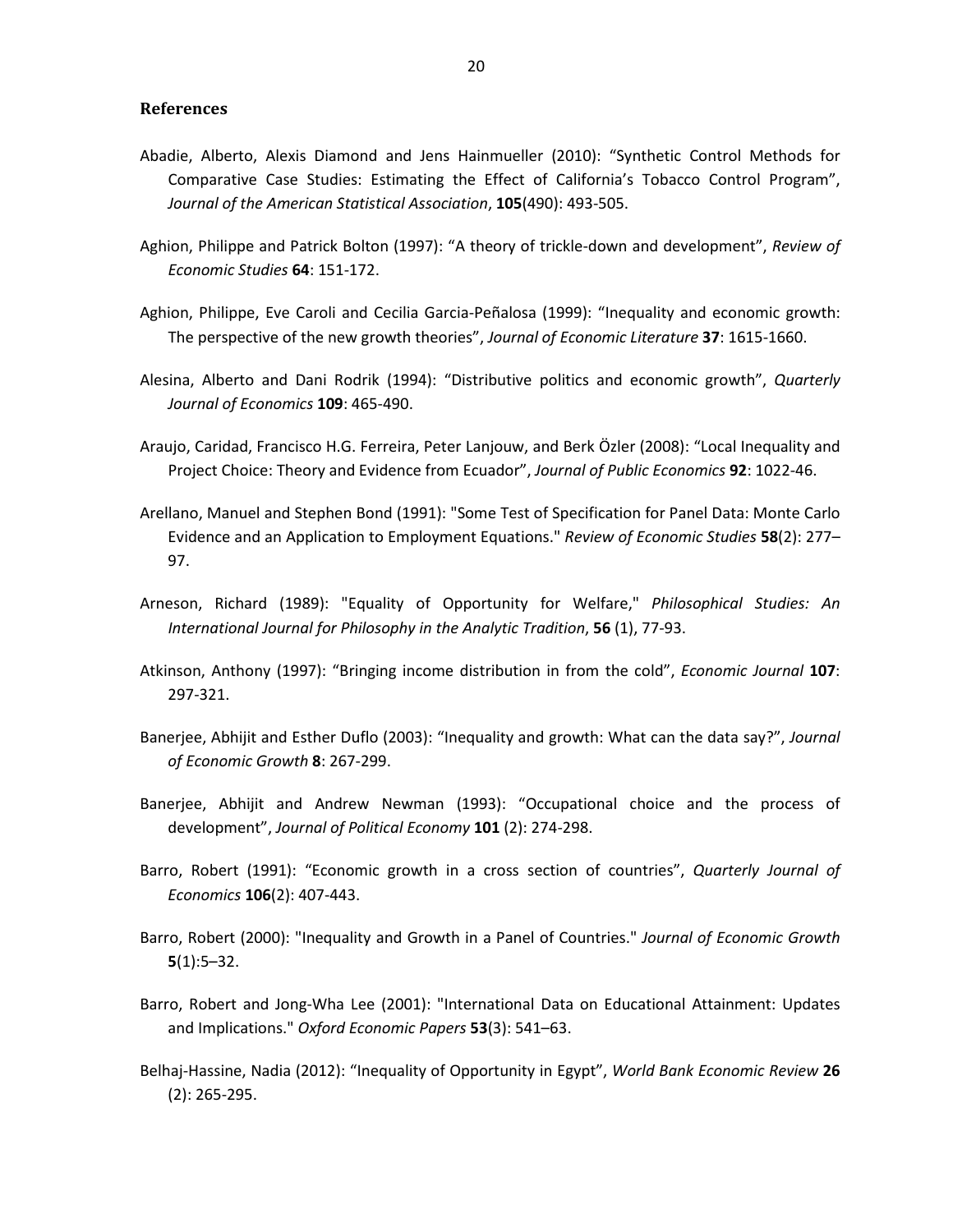#### **References**

- Abadie, Alberto, Alexis Diamond and Jens Hainmueller (2010): "Synthetic Control Methods for Comparative Case Studies: Estimating the Effect of California's Tobacco Control Program", *Journal of the American Statistical Association*, **105**(490): 493-505.
- Aghion, Philippe and Patrick Bolton (1997): "A theory of trickle-down and development", *Review of Economic Studies* **64**: 151-172.
- Aghion, Philippe, Eve Caroli and Cecilia Garcia-Peñalosa (1999): "Inequality and economic growth: The perspective of the new growth theories", *Journal of Economic Literature* **37**: 1615-1660.
- Alesina, Alberto and Dani Rodrik (1994): "Distributive politics and economic growth", *Quarterly Journal of Economics* **109**: 465-490.
- Araujo, Caridad, Francisco H.G. Ferreira, Peter Lanjouw, and Berk Özler (2008): "Local Inequality and Project Choice: Theory and Evidence from Ecuador", *Journal of Public Economics* **92**: 1022-46.
- Arellano, Manuel and Stephen Bond (1991): "Some Test of Specification for Panel Data: Monte Carlo Evidence and an Application to Employment Equations." *Review of Economic Studies* **58**(2): 277– 97.
- Arneson, Richard (1989): "Equality of Opportunity for Welfare," *Philosophical Studies: An International Journal for Philosophy in the Analytic Tradition*, **56** (1), 77-93.
- Atkinson, Anthony (1997): "Bringing income distribution in from the cold", *Economic Journal* **107**: 297-321.
- Banerjee, Abhijit and Esther Duflo (2003): "Inequality and growth: What can the data say?", *Journal of Economic Growth* **8**: 267-299.
- Banerjee, Abhijit and Andrew Newman (1993): "Occupational choice and the process of development", *Journal of Political Economy* **101** (2): 274-298.
- Barro, Robert (1991): "Economic growth in a cross section of countries", *Quarterly Journal of Economics* **106**(2): 407-443.
- Barro, Robert (2000): "Inequality and Growth in a Panel of Countries." *Journal of Economic Growth* **5**(1):5–32.
- Barro, Robert and Jong-Wha Lee (2001): "International Data on Educational Attainment: Updates and Implications." *Oxford Economic Papers* **53**(3): 541–63.
- Belhaj-Hassine, Nadia (2012): "Inequality of Opportunity in Egypt", *World Bank Economic Review* **26**  (2): 265-295.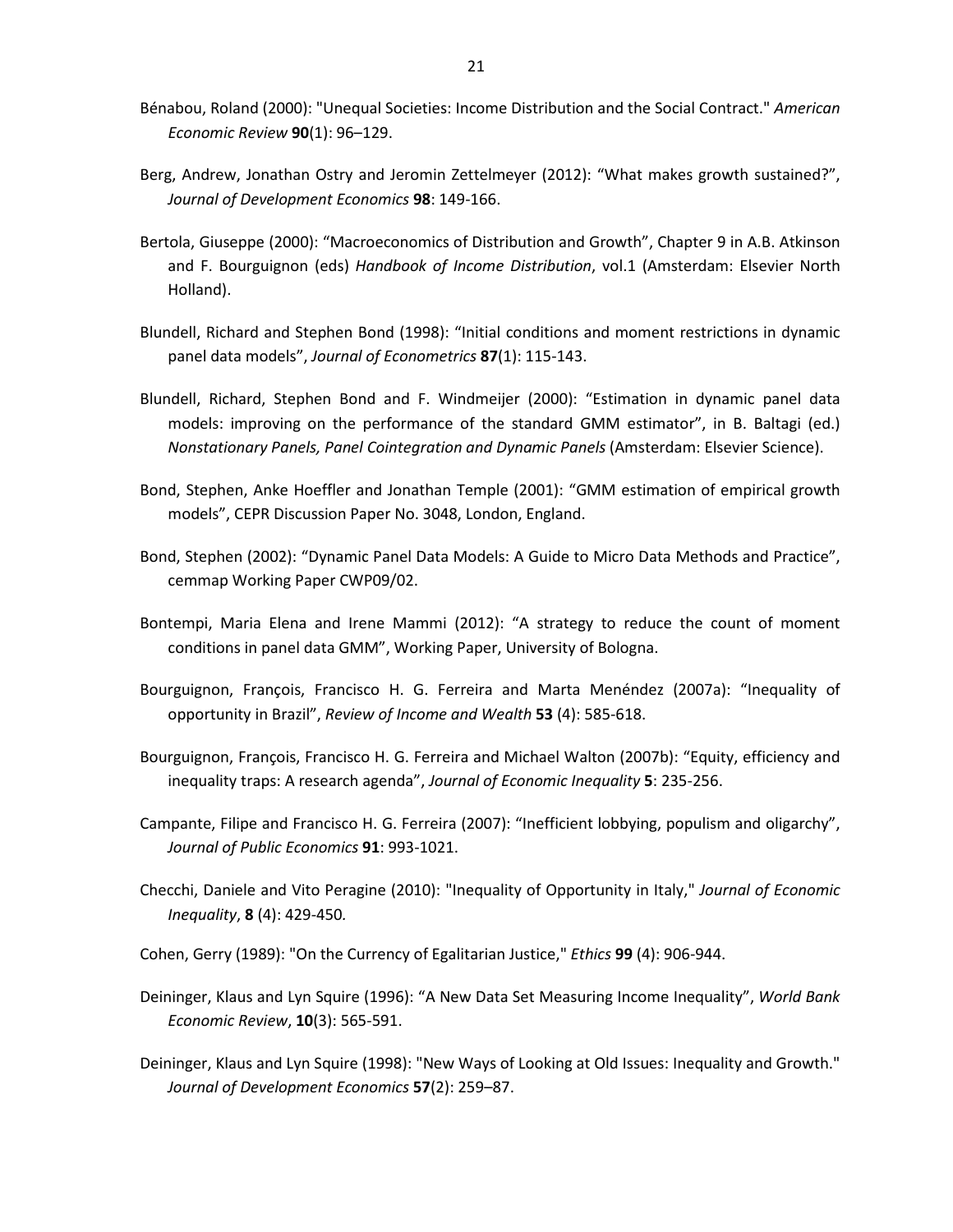- Bénabou, Roland (2000): "Unequal Societies: Income Distribution and the Social Contract." *American Economic Review* **90**(1): 96–129.
- Berg, Andrew, Jonathan Ostry and Jeromin Zettelmeyer (2012): "What makes growth sustained?", *Journal of Development Economics* **98**: 149-166.
- Bertola, Giuseppe (2000): "Macroeconomics of Distribution and Growth", Chapter 9 in A.B. Atkinson and F. Bourguignon (eds) *Handbook of Income Distribution*, vol.1 (Amsterdam: Elsevier North Holland).
- Blundell, Richard and Stephen Bond (1998): "Initial conditions and moment restrictions in dynamic panel data models", *Journal of Econometrics* **87**(1): 115-143.
- Blundell, Richard, Stephen Bond and F. Windmeijer (2000): "Estimation in dynamic panel data models: improving on the performance of the standard GMM estimator", in B. Baltagi (ed.) *Nonstationary Panels, Panel Cointegration and Dynamic Panels* (Amsterdam: Elsevier Science).
- Bond, Stephen, Anke Hoeffler and Jonathan Temple (2001): "GMM estimation of empirical growth models", CEPR Discussion Paper No. 3048, London, England.
- Bond, Stephen (2002): "Dynamic Panel Data Models: A Guide to Micro Data Methods and Practice", cemmap Working Paper CWP09/02.
- Bontempi, Maria Elena and Irene Mammi (2012): "A strategy to reduce the count of moment conditions in panel data GMM", Working Paper, University of Bologna.
- Bourguignon, François, Francisco H. G. Ferreira and Marta Menéndez (2007a): "Inequality of opportunity in Brazil", *Review of Income and Wealth* **53** (4): 585-618.
- Bourguignon, François, Francisco H. G. Ferreira and Michael Walton (2007b): "Equity, efficiency and inequality traps: A research agenda", *Journal of Economic Inequality* **5**: 235-256.
- Campante, Filipe and Francisco H. G. Ferreira (2007): "Inefficient lobbying, populism and oligarchy", *Journal of Public Economics* **91**: 993-1021.
- Checchi, Daniele and Vito Peragine (2010): "Inequality of Opportunity in Italy," *Journal of Economic Inequality*, **8** (4): 429-450*.*
- Cohen, Gerry (1989): "On the Currency of Egalitarian Justice," *Ethics* **99** (4): 906-944.
- Deininger, Klaus and Lyn Squire (1996): "A New Data Set Measuring Income Inequality", *World Bank Economic Review*, **10**(3): 565-591.
- Deininger, Klaus and Lyn Squire (1998): "New Ways of Looking at Old Issues: Inequality and Growth." *Journal of Development Economics* **57**(2): 259–87.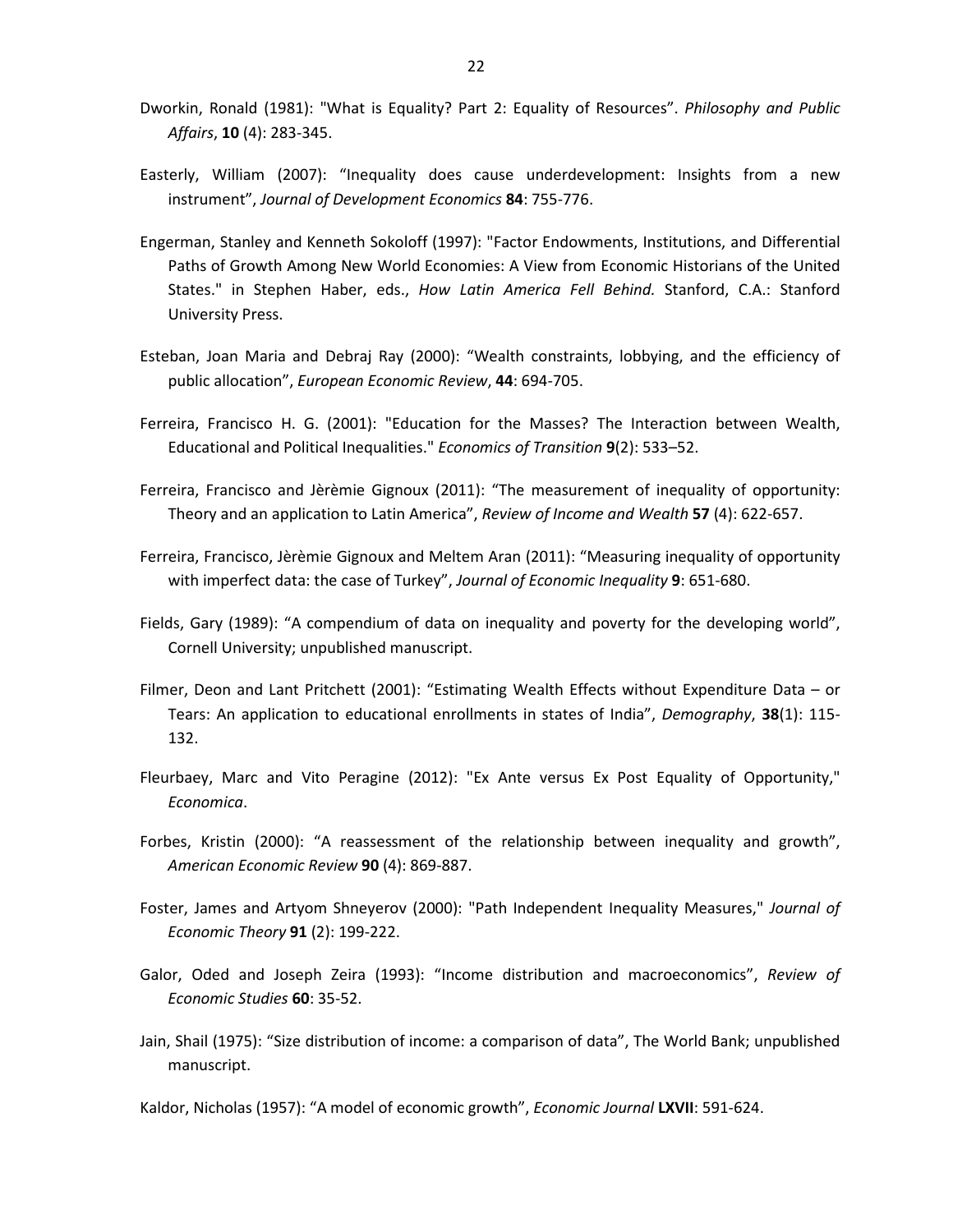- Dworkin, Ronald (1981): "What is Equality? Part 2: Equality of Resources". *Philosophy and Public Affairs*, **10** (4): 283-345.
- Easterly, William (2007): "Inequality does cause underdevelopment: Insights from a new instrument", *Journal of Development Economics* **84**: 755-776.
- Engerman, Stanley and Kenneth Sokoloff (1997): "Factor Endowments, Institutions, and Differential Paths of Growth Among New World Economies: A View from Economic Historians of the United States." in Stephen Haber, eds., *How Latin America Fell Behind.* Stanford, C.A.: Stanford University Press.
- Esteban, Joan Maria and Debraj Ray (2000): "Wealth constraints, lobbying, and the efficiency of public allocation", *European Economic Review*, **44**: 694-705.
- Ferreira, Francisco H. G. (2001): "Education for the Masses? The Interaction between Wealth, Educational and Political Inequalities." *Economics of Transition* **9**(2): 533–52.
- Ferreira, Francisco and Jèrèmie Gignoux (2011): "The measurement of inequality of opportunity: Theory and an application to Latin America", *Review of Income and Wealth* **57** (4): 622-657.
- Ferreira, Francisco, Jèrèmie Gignoux and Meltem Aran (2011): "Measuring inequality of opportunity with imperfect data: the case of Turkey", *Journal of Economic Inequality* **9**: 651-680.
- Fields, Gary (1989): "A compendium of data on inequality and poverty for the developing world", Cornell University; unpublished manuscript.
- Filmer, Deon and Lant Pritchett (2001): "Estimating Wealth Effects without Expenditure Data or Tears: An application to educational enrollments in states of India", *Demography*, **38**(1): 115- 132.
- Fleurbaey, Marc and Vito Peragine (2012): "Ex Ante versus Ex Post Equality of Opportunity," *Economica*.
- Forbes, Kristin (2000): "A reassessment of the relationship between inequality and growth", *American Economic Review* **90** (4): 869-887.
- Foster, James and Artyom Shneyerov (2000): "Path Independent Inequality Measures," *Journal of Economic Theory* **91** (2): 199-222.
- Galor, Oded and Joseph Zeira (1993): "Income distribution and macroeconomics", *Review of Economic Studies* **60**: 35-52.
- Jain, Shail (1975): "Size distribution of income: a comparison of data", The World Bank; unpublished manuscript.

Kaldor, Nicholas (1957): "A model of economic growth", *Economic Journal* **LXVII**: 591-624.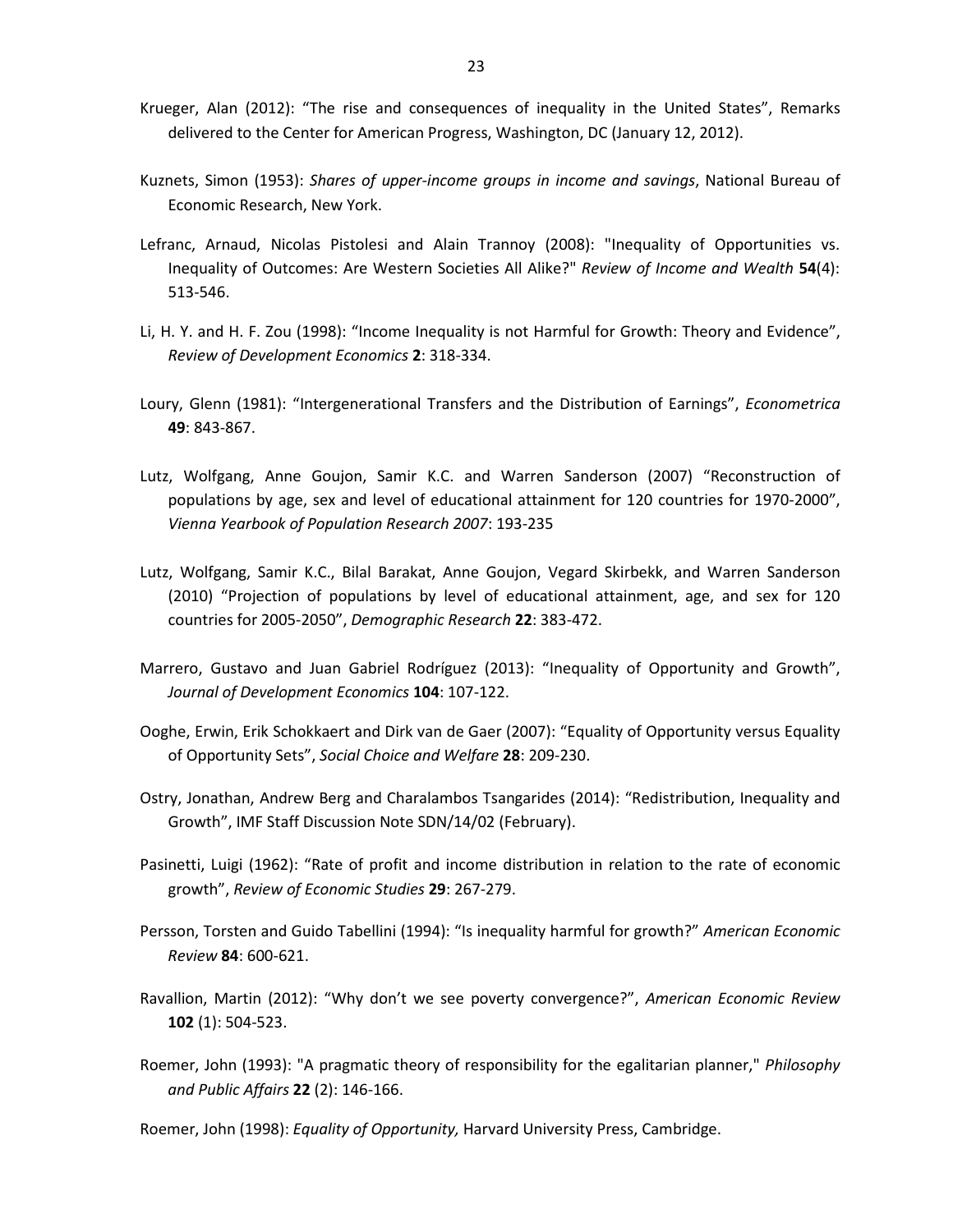- Krueger, Alan (2012): "The rise and consequences of inequality in the United States", Remarks delivered to the Center for American Progress, Washington, DC (January 12, 2012).
- Kuznets, Simon (1953): *Shares of upper-income groups in income and savings*, National Bureau of Economic Research, New York.
- Lefranc, Arnaud, Nicolas Pistolesi and Alain Trannoy (2008): "Inequality of Opportunities vs. Inequality of Outcomes: Are Western Societies All Alike?" *Review of Income and Wealth* **54**(4): 513-546.
- Li, H. Y. and H. F. Zou (1998): "Income Inequality is not Harmful for Growth: Theory and Evidence", *Review of Development Economics* **2**: 318-334.
- Loury, Glenn (1981): "Intergenerational Transfers and the Distribution of Earnings", *Econometrica*  **49**: 843-867.
- Lutz, Wolfgang, Anne Goujon, Samir K.C. and Warren Sanderson (2007) "Reconstruction of populations by age, sex and level of educational attainment for 120 countries for 1970-2000", *Vienna Yearbook of Population Research 2007*: 193-235
- Lutz, Wolfgang, Samir K.C., Bilal Barakat, Anne Goujon, Vegard Skirbekk, and Warren Sanderson (2010) "Projection of populations by level of educational attainment, age, and sex for 120 countries for 2005-2050", *Demographic Research* **22**: 383-472.
- Marrero, Gustavo and Juan Gabriel Rodríguez (2013): "Inequality of Opportunity and Growth", *Journal of Development Economics* **104**: 107-122.
- Ooghe, Erwin, Erik Schokkaert and Dirk van de Gaer (2007): "Equality of Opportunity versus Equality of Opportunity Sets", *Social Choice and Welfare* **28**: 209-230.
- Ostry, Jonathan, Andrew Berg and Charalambos Tsangarides (2014): "Redistribution, Inequality and Growth", IMF Staff Discussion Note SDN/14/02 (February).
- Pasinetti, Luigi (1962): "Rate of profit and income distribution in relation to the rate of economic growth", *Review of Economic Studies* **29**: 267-279.
- Persson, Torsten and Guido Tabellini (1994): "Is inequality harmful for growth?" *American Economic Review* **84**: 600-621.
- Ravallion, Martin (2012): "Why don't we see poverty convergence?", *American Economic Review* **102** (1): 504-523.
- Roemer, John (1993): "A pragmatic theory of responsibility for the egalitarian planner," *Philosophy and Public Affairs* **22** (2): 146-166.

Roemer, John (1998): *Equality of Opportunity,* Harvard University Press, Cambridge.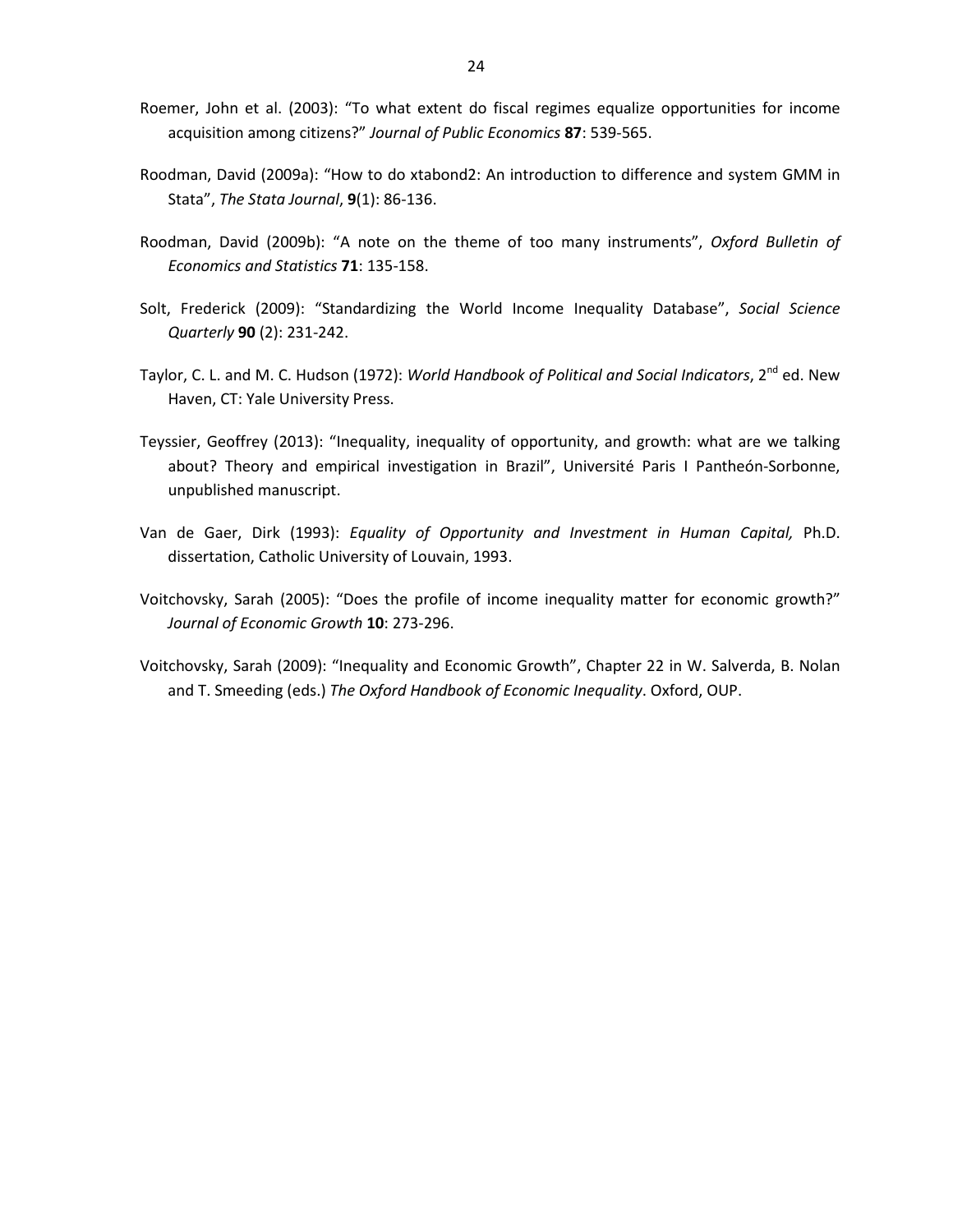- Roemer, John et al. (2003): "To what extent do fiscal regimes equalize opportunities for income acquisition among citizens?" *Journal of Public Economics* **87**: 539-565.
- Roodman, David (2009a): "How to do xtabond2: An introduction to difference and system GMM in Stata", *The Stata Journal*, **9**(1): 86-136.
- Roodman, David (2009b): "A note on the theme of too many instruments", *Oxford Bulletin of Economics and Statistics* **71**: 135-158.
- Solt, Frederick (2009): "Standardizing the World Income Inequality Database", *Social Science Quarterly* **90** (2): 231-242.
- Taylor, C. L. and M. C. Hudson (1972): *World Handbook of Political and Social Indicators*, 2<sup>nd</sup> ed. New Haven, CT: Yale University Press.
- Teyssier, Geoffrey (2013): "Inequality, inequality of opportunity, and growth: what are we talking about? Theory and empirical investigation in Brazil", Université Paris I Pantheón-Sorbonne, unpublished manuscript.
- Van de Gaer, Dirk (1993): *Equality of Opportunity and Investment in Human Capital,* Ph.D. dissertation, Catholic University of Louvain, 1993.
- Voitchovsky, Sarah (2005): "Does the profile of income inequality matter for economic growth?" *Journal of Economic Growth* **10**: 273-296.
- Voitchovsky, Sarah (2009): "Inequality and Economic Growth", Chapter 22 in W. Salverda, B. Nolan and T. Smeeding (eds.) *The Oxford Handbook of Economic Inequality*. Oxford, OUP.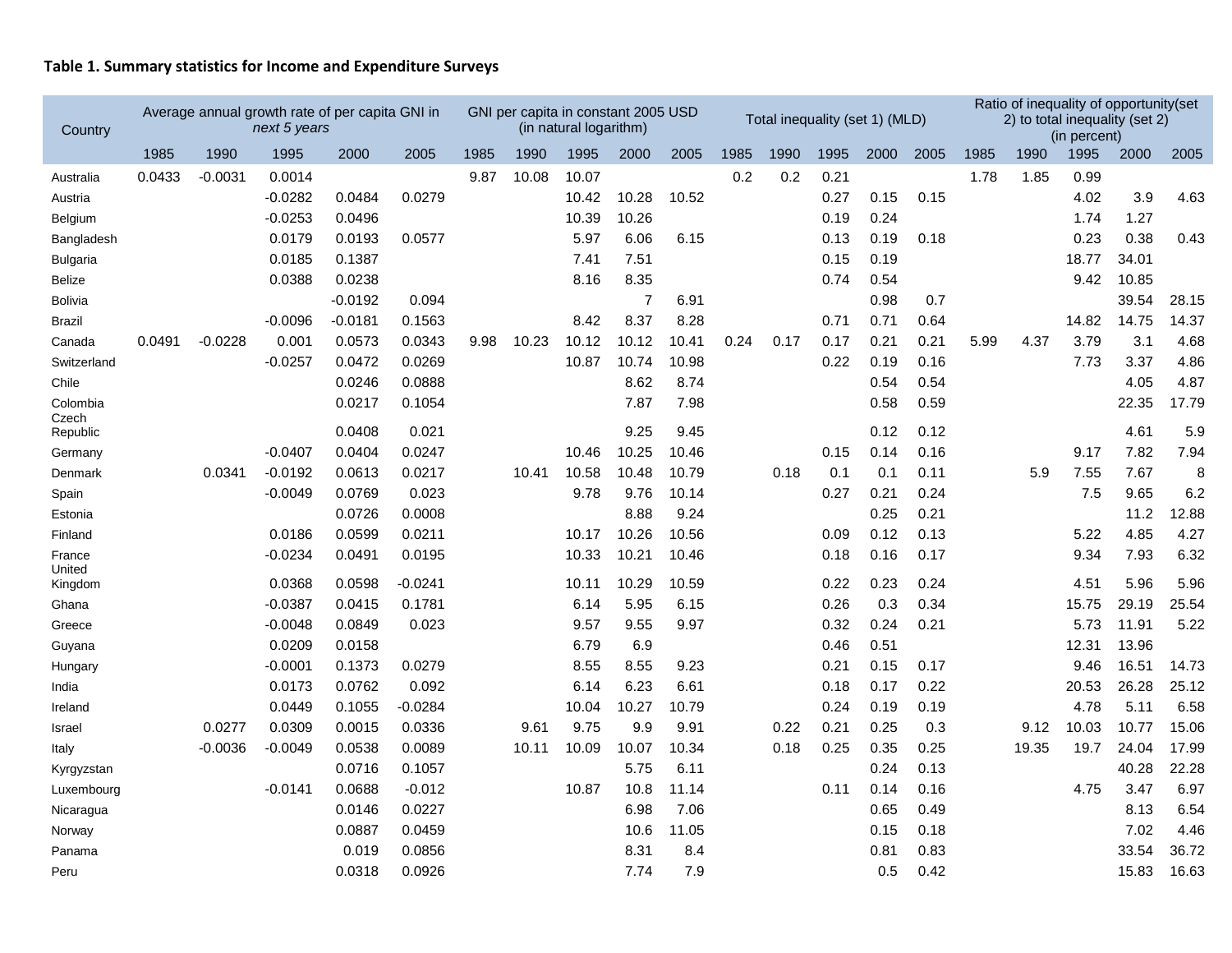## **Table 1. Summary statistics for Income and Expenditure Surveys**

| Country           | Average annual growth rate of per capita GNI in<br>next 5 years<br>1985<br>1990<br>1995<br>2000 |           |                     |                  |           | GNI per capita in constant 2005 USD | (in natural logarithm) |              |                |               | Total inequality (set 1) (MLD) |      |              |              |              | Ratio of inequality of opportunity(set<br>2) to total inequality (set 2) | (in percent) |               |                |               |
|-------------------|-------------------------------------------------------------------------------------------------|-----------|---------------------|------------------|-----------|-------------------------------------|------------------------|--------------|----------------|---------------|--------------------------------|------|--------------|--------------|--------------|--------------------------------------------------------------------------|--------------|---------------|----------------|---------------|
|                   |                                                                                                 |           |                     |                  | 2005      | 1985                                | 1990                   | 1995         | 2000           | 2005          | 1985                           | 1990 | 1995         | 2000         | 2005         | 1985                                                                     | 1990         | 1995          | 2000           | 2005          |
| Australia         | 0.0433                                                                                          | $-0.0031$ | 0.0014              |                  |           | 9.87                                | 10.08                  | 10.07        |                |               | 0.2                            | 0.2  | 0.21         |              |              | 1.78                                                                     | 1.85         | 0.99          |                |               |
| Austria           |                                                                                                 |           | $-0.0282$           | 0.0484           | 0.0279    |                                     |                        | 10.42        | 10.28          | 10.52         |                                |      | 0.27         | 0.15         | 0.15         |                                                                          |              | 4.02          | 3.9            | 4.63          |
| Belgium           |                                                                                                 |           | $-0.0253$           | 0.0496           |           |                                     |                        | 10.39        | 10.26          |               |                                |      | 0.19         | 0.24         |              |                                                                          |              | 1.74          | 1.27           |               |
| Bangladesh        |                                                                                                 |           | 0.0179              | 0.0193           | 0.0577    |                                     |                        | 5.97         | 6.06           | 6.15          |                                |      | 0.13         | 0.19         | 0.18         |                                                                          |              | 0.23          | 0.38           | 0.43          |
| <b>Bulgaria</b>   |                                                                                                 |           | 0.0185              | 0.1387           |           |                                     |                        | 7.41         | 7.51           |               |                                |      | 0.15         | 0.19         |              |                                                                          |              | 18.77         | 34.01          |               |
| Belize            |                                                                                                 |           | 0.0388              | 0.0238           |           |                                     |                        | 8.16         | 8.35           |               |                                |      | 0.74         | 0.54         |              |                                                                          |              | 9.42          | 10.85          |               |
| <b>Bolivia</b>    |                                                                                                 |           |                     | $-0.0192$        | 0.094     |                                     |                        |              | $\overline{7}$ | 6.91          |                                |      |              | 0.98         | 0.7          |                                                                          |              |               | 39.54          | 28.15         |
| <b>Brazil</b>     |                                                                                                 |           | $-0.0096$           | $-0.0181$        | 0.1563    |                                     |                        | 8.42         | 8.37           | 8.28          |                                |      | 0.71         | 0.71         | 0.64         |                                                                          |              | 14.82         | 14.75          | 14.37         |
| Canada            | 0.0491                                                                                          | $-0.0228$ | 0.001               | 0.0573           | 0.0343    | 9.98                                | 10.23                  | 10.12        | 10.12          | 10.41         | 0.24                           | 0.17 | 0.17         | 0.21         | 0.21         | 5.99                                                                     | 4.37         | 3.79          | 3.1            | 4.68          |
| Switzerland       |                                                                                                 |           | $-0.0257$           | 0.0472           | 0.0269    |                                     |                        | 10.87        | 10.74          | 10.98         |                                |      | 0.22         | 0.19         | 0.16         |                                                                          |              | 7.73          | 3.37           | 4.86          |
| Chile             |                                                                                                 |           |                     | 0.0246           | 0.0888    |                                     |                        |              | 8.62           | 8.74          |                                |      |              | 0.54         | 0.54         |                                                                          |              |               | 4.05           | 4.87          |
| Colombia<br>Czech |                                                                                                 |           |                     | 0.0217           | 0.1054    |                                     |                        |              | 7.87           | 7.98          |                                |      |              | 0.58         | 0.59         |                                                                          |              |               | 22.35          | 17.79         |
| Republic          |                                                                                                 |           |                     | 0.0408           | 0.021     |                                     |                        |              | 9.25           | 9.45          |                                |      |              | 0.12         | 0.12         |                                                                          |              |               | 4.61           | 5.9           |
| Germany           |                                                                                                 |           | $-0.0407$           | 0.0404           | 0.0247    |                                     |                        | 10.46        | 10.25          | 10.46         |                                |      | 0.15         | 0.14         | 0.16         |                                                                          |              | 9.17          | 7.82           | 7.94          |
| Denmark           |                                                                                                 | 0.0341    | $-0.0192$           | 0.0613           | 0.0217    |                                     | 10.41                  | 10.58        | 10.48          | 10.79         |                                | 0.18 | 0.1          | 0.1          | 0.11         |                                                                          | 5.9          | 7.55          | 7.67           | 8             |
| Spain             |                                                                                                 |           | $-0.0049$           | 0.0769           | 0.023     |                                     |                        | 9.78         | 9.76           | 10.14         |                                |      | 0.27         | 0.21         | 0.24         |                                                                          |              | 7.5           | 9.65           | 6.2           |
| Estonia           |                                                                                                 |           |                     | 0.0726           | 0.0008    |                                     |                        |              | 8.88           | 9.24          |                                |      |              | 0.25         | 0.21         |                                                                          |              |               | 11.2           | 12.88         |
| Finland           |                                                                                                 |           | 0.0186              | 0.0599           | 0.0211    |                                     |                        | 10.17        | 10.26          | 10.56         |                                |      | 0.09         | 0.12         | 0.13         |                                                                          |              | 5.22          | 4.85           | 4.27          |
| France<br>United  |                                                                                                 |           | $-0.0234$           | 0.0491           | 0.0195    |                                     |                        | 10.33        | 10.21          | 10.46         |                                |      | 0.18         | 0.16         | 0.17         |                                                                          |              | 9.34          | 7.93           | 6.32          |
| Kingdom           |                                                                                                 |           | 0.0368              | 0.0598           | $-0.0241$ |                                     |                        | 10.11        | 10.29          | 10.59         |                                |      | 0.22         | 0.23         | 0.24         |                                                                          |              | 4.51          | 5.96           | 5.96          |
| Ghana             |                                                                                                 |           | $-0.0387$           | 0.0415           | 0.1781    |                                     |                        | 6.14         | 5.95           | 6.15          |                                |      | 0.26         | 0.3          | 0.34         |                                                                          |              | 15.75         | 29.19          | 25.54<br>5.22 |
| Greece            |                                                                                                 |           | $-0.0048$<br>0.0209 | 0.0849<br>0.0158 | 0.023     |                                     |                        | 9.57<br>6.79 | 9.55<br>6.9    | 9.97          |                                |      | 0.32<br>0.46 | 0.24<br>0.51 | 0.21         |                                                                          |              | 5.73<br>12.31 | 11.91<br>13.96 |               |
| Guyana            |                                                                                                 |           | $-0.0001$           | 0.1373           | 0.0279    |                                     |                        | 8.55         | 8.55           | 9.23          |                                |      | 0.21         | 0.15         |              |                                                                          |              | 9.46          | 16.51          | 14.73         |
| Hungary           |                                                                                                 |           | 0.0173              | 0.0762           | 0.092     |                                     |                        | 6.14         | 6.23           | 6.61          |                                |      | 0.18         | 0.17         | 0.17<br>0.22 |                                                                          |              |               | 26.28          | 25.12         |
| India             |                                                                                                 |           | 0.0449              |                  | $-0.0284$ |                                     |                        | 10.04        |                |               |                                |      | 0.24         | 0.19         | 0.19         |                                                                          |              | 20.53<br>4.78 | 5.11           | 6.58          |
| Ireland           |                                                                                                 | 0.0277    | 0.0309              | 0.1055<br>0.0015 | 0.0336    |                                     | 9.61                   | 9.75         | 10.27<br>9.9   | 10.79<br>9.91 |                                | 0.22 | 0.21         | 0.25         | 0.3          |                                                                          | 9.12         | 10.03         | 10.77          | 15.06         |
| Israel            |                                                                                                 | $-0.0036$ | $-0.0049$           | 0.0538           | 0.0089    |                                     | 10.11                  | 10.09        | 10.07          | 10.34         |                                | 0.18 | 0.25         | 0.35         | 0.25         |                                                                          | 19.35        | 19.7          | 24.04          | 17.99         |
| Italy             |                                                                                                 |           |                     | 0.0716           | 0.1057    |                                     |                        |              | 5.75           | 6.11          |                                |      |              | 0.24         | 0.13         |                                                                          |              |               | 40.28          | 22.28         |
| Kyrgyzstan        |                                                                                                 |           | $-0.0141$           | 0.0688           | $-0.012$  |                                     |                        | 10.87        | 10.8           | 11.14         |                                |      | 0.11         | 0.14         | 0.16         |                                                                          |              | 4.75          | 3.47           | 6.97          |
| Luxembourg        |                                                                                                 |           |                     | 0.0146           | 0.0227    |                                     |                        |              | 6.98           | 7.06          |                                |      |              | 0.65         | 0.49         |                                                                          |              |               | 8.13           | 6.54          |
| Nicaragua         |                                                                                                 |           |                     | 0.0887           | 0.0459    |                                     |                        |              | 10.6           | 11.05         |                                |      |              | 0.15         | 0.18         |                                                                          |              |               | 7.02           | 4.46          |
| Norway<br>Panama  |                                                                                                 |           |                     | 0.019            | 0.0856    |                                     |                        |              | 8.31           | 8.4           |                                |      |              | 0.81         | 0.83         |                                                                          |              |               | 33.54          | 36.72         |
| Peru              |                                                                                                 |           |                     | 0.0318           | 0.0926    |                                     |                        |              | 7.74           | 7.9           |                                |      |              | 0.5          | 0.42         |                                                                          |              |               | 15.83          | 16.63         |
|                   |                                                                                                 |           |                     |                  |           |                                     |                        |              |                |               |                                |      |              |              |              |                                                                          |              |               |                |               |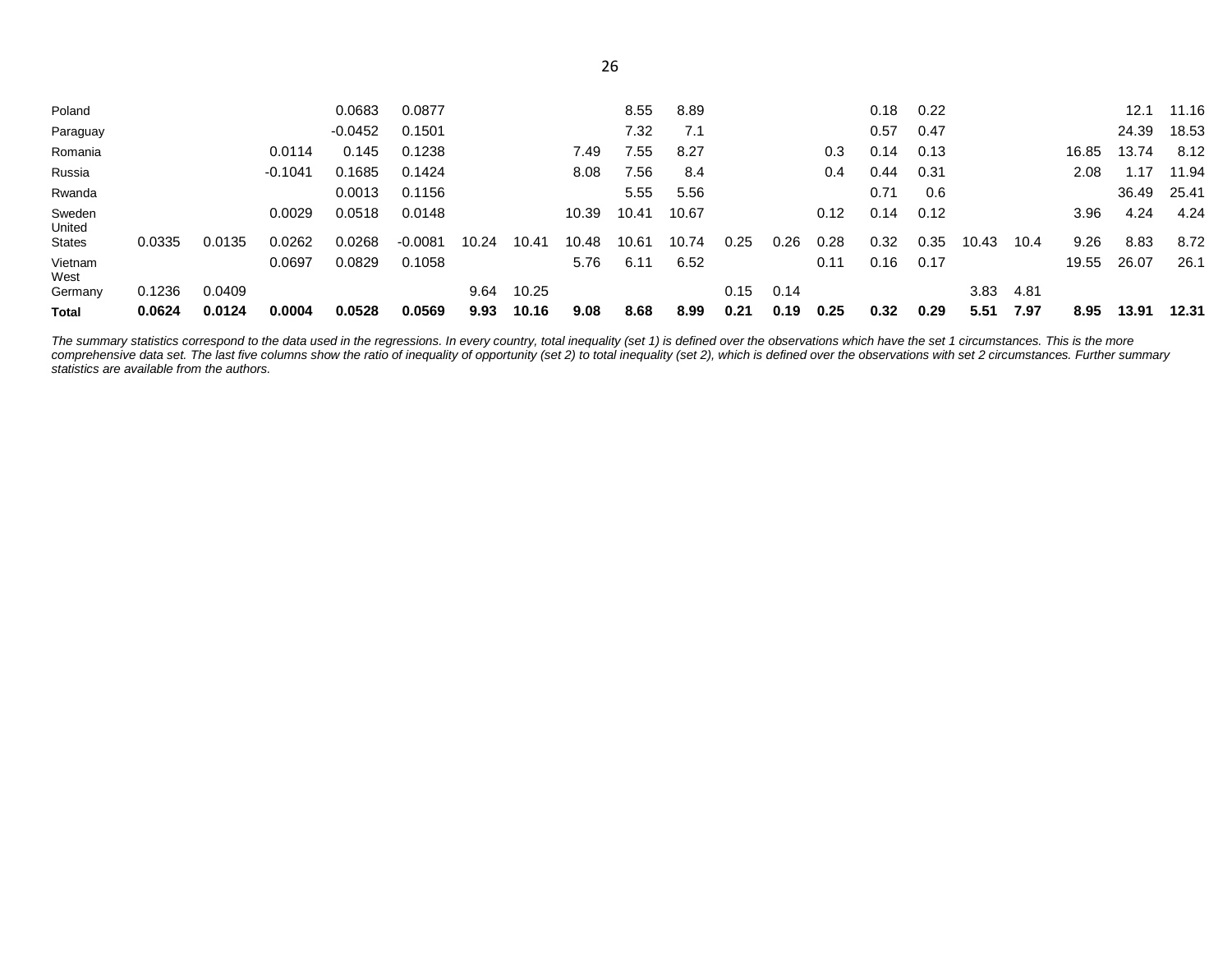| 0.1236 | 0.0409 |           |           |           | 9.64  | 10.25 |       |       |       | 0.15  | 0.14 |      |      |      | 3.83  | 4.81 |       |                                                                                     |       |
|--------|--------|-----------|-----------|-----------|-------|-------|-------|-------|-------|-------|------|------|------|------|-------|------|-------|-------------------------------------------------------------------------------------|-------|
|        |        |           |           |           |       |       |       |       |       |       |      |      |      |      |       |      |       |                                                                                     |       |
|        |        |           |           |           |       |       |       |       |       |       |      |      |      |      |       |      |       | 26.07                                                                               | 26.1  |
| 0.0335 | 0.0135 | 0.0262    | 0.0268    | $-0.0081$ | 10.24 | 10.41 | 10.48 | 10.61 | 10.74 | 0.25  | 0.26 | 0.28 | 0.32 | 0.35 | 10.43 | 10.4 | 9.26  | 8.83                                                                                | 8.72  |
|        |        | 0.0029    | 0.0518    | 0.0148    |       |       | 10.39 |       |       |       |      | 0.12 |      |      |       |      | 3.96  |                                                                                     | 4.24  |
|        |        |           | 0.0013    | 0.1156    |       |       |       | 5.55  | 5.56  |       |      |      | 0.71 | 0.6  |       |      |       | 36.49                                                                               | 25.41 |
|        |        | $-0.1041$ | 0.1685    | 0.1424    |       |       | 8.08  | 7.56  | 8.4   |       |      | 0.4  | 0.44 | 0.31 |       |      | 2.08  | 1.17                                                                                | 11.94 |
|        |        | 0.0114    | 0.145     | 0.1238    |       |       | 7.49  | '.55  | 8.27  |       |      | 0.3  | 0.14 | 0.13 |       |      | 16.85 | 13.74                                                                               | 8.12  |
|        |        |           | $-0.0452$ | 0.1501    |       |       |       | 7.32  | 7.1   |       |      |      | 0.57 | 0.47 |       |      |       | 24.39                                                                               | 18.53 |
|        |        |           | 0.0683    | 0.0877    |       |       |       | 8.55  | 8.89  |       |      |      | 0.18 | 0.22 |       |      |       | 12.1                                                                                | 11.16 |
|        |        |           |           |           |       |       |       |       | 10.41 | 10.67 |      |      |      | 0.14 | 0.12  |      |       | 0.0697<br>0.0829<br>6.52<br>0.1058<br>5.76<br>19.55<br>6.11<br>0.16<br>0.17<br>0.11 | 4.24  |

*The summary statistics correspond to the data used in the regressions. In every country, total inequality (set 1) is defined over the observations which have the set 1 circumstances. This is the more comprehensive data set. The last five columns show the ratio of inequality of opportunity (set 2) to total inequality (set 2), which is defined over the observations with set 2 circumstances. Further summary statistics are available from the authors.*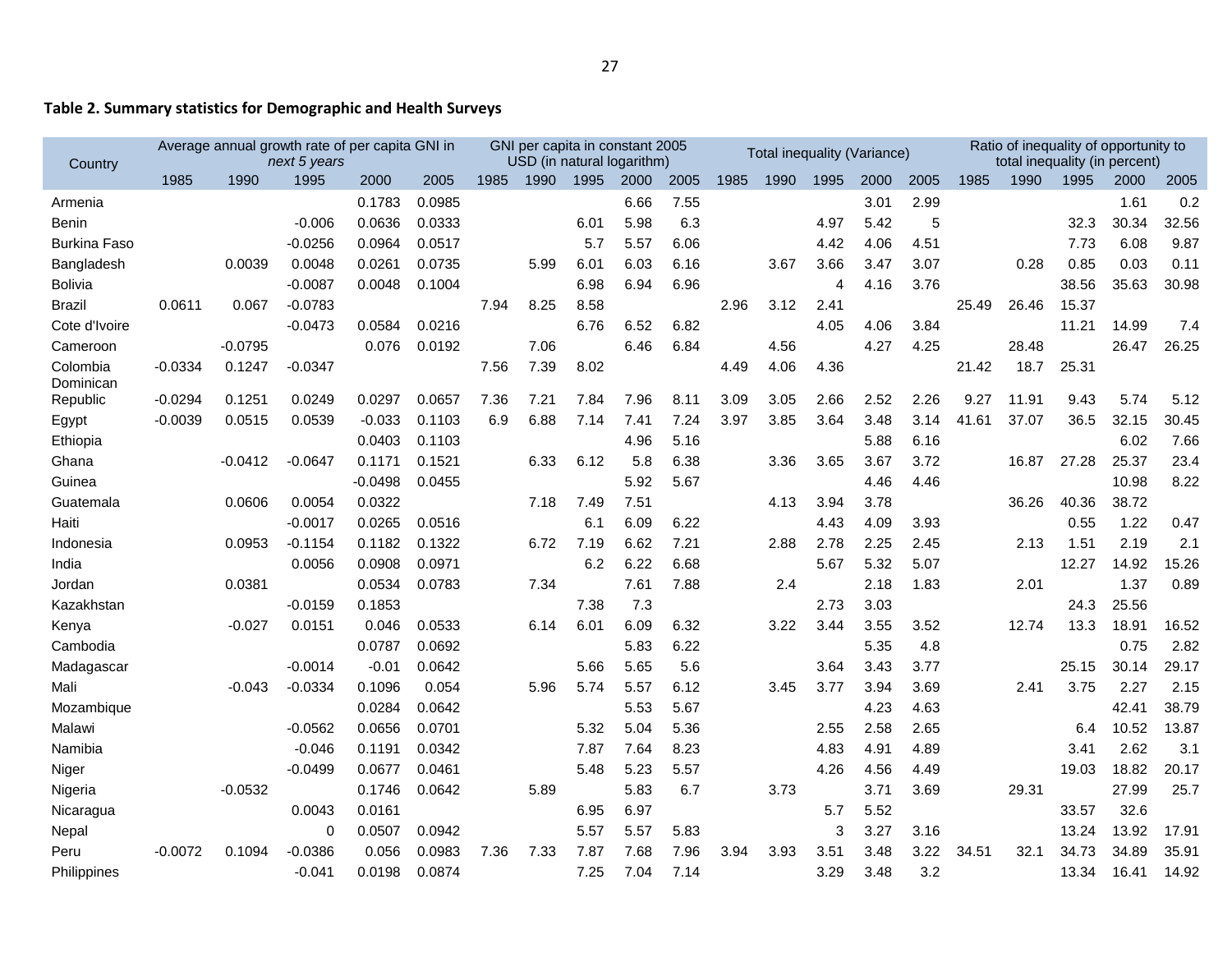## **Table 2. Summary statistics for Demographic and Health Surveys**

| Country               |           |           | Average annual growth rate of per capita GNI in<br>next 5 years |           |        |      |      |      | GNI per capita in constant 2005<br>USD (in natural logarithm) |      |      | Total inequality (Variance) |      |      |      |       |       | Ratio of inequality of opportunity to<br>total inequality (in percent) |       |       |
|-----------------------|-----------|-----------|-----------------------------------------------------------------|-----------|--------|------|------|------|---------------------------------------------------------------|------|------|-----------------------------|------|------|------|-------|-------|------------------------------------------------------------------------|-------|-------|
|                       | 1985      | 1990      | 1995                                                            | 2000      | 2005   | 1985 | 1990 | 1995 | 2000                                                          | 2005 | 1985 | 1990                        | 1995 | 2000 | 2005 | 1985  | 1990  | 1995                                                                   | 2000  | 2005  |
| Armenia               |           |           |                                                                 | 0.1783    | 0.0985 |      |      |      | 6.66                                                          | 7.55 |      |                             |      | 3.01 | 2.99 |       |       |                                                                        | 1.61  | 0.2   |
| Benin                 |           |           | $-0.006$                                                        | 0.0636    | 0.0333 |      |      | 6.01 | 5.98                                                          | 6.3  |      |                             | 4.97 | 5.42 | 5    |       |       | 32.3                                                                   | 30.34 | 32.56 |
| <b>Burkina Faso</b>   |           |           | $-0.0256$                                                       | 0.0964    | 0.0517 |      |      | 5.7  | 5.57                                                          | 6.06 |      |                             | 4.42 | 4.06 | 4.51 |       |       | 7.73                                                                   | 6.08  | 9.87  |
| Bangladesh            |           | 0.0039    | 0.0048                                                          | 0.0261    | 0.0735 |      | 5.99 | 6.01 | 6.03                                                          | 6.16 |      | 3.67                        | 3.66 | 3.47 | 3.07 |       | 0.28  | 0.85                                                                   | 0.03  | 0.11  |
| <b>Bolivia</b>        |           |           | $-0.0087$                                                       | 0.0048    | 0.1004 |      |      | 6.98 | 6.94                                                          | 6.96 |      |                             | 4    | 4.16 | 3.76 |       |       | 38.56                                                                  | 35.63 | 30.98 |
| Brazil                | 0.0611    | 0.067     | $-0.0783$                                                       |           |        | 7.94 | 8.25 | 8.58 |                                                               |      | 2.96 | 3.12                        | 2.41 |      |      | 25.49 | 26.46 | 15.37                                                                  |       |       |
| Cote d'Ivoire         |           |           | $-0.0473$                                                       | 0.0584    | 0.0216 |      |      | 6.76 | 6.52                                                          | 6.82 |      |                             | 4.05 | 4.06 | 3.84 |       |       | 11.21                                                                  | 14.99 | 7.4   |
| Cameroon              |           | $-0.0795$ |                                                                 | 0.076     | 0.0192 |      | 7.06 |      | 6.46                                                          | 6.84 |      | 4.56                        |      | 4.27 | 4.25 |       | 28.48 |                                                                        | 26.47 | 26.25 |
| Colombia<br>Dominican | $-0.0334$ | 0.1247    | $-0.0347$                                                       |           |        | 7.56 | 7.39 | 8.02 |                                                               |      | 4.49 | 4.06                        | 4.36 |      |      | 21.42 | 18.7  | 25.31                                                                  |       |       |
| Republic              | $-0.0294$ | 0.1251    | 0.0249                                                          | 0.0297    | 0.0657 | 7.36 | 7.21 | 7.84 | 7.96                                                          | 8.11 | 3.09 | 3.05                        | 2.66 | 2.52 | 2.26 | 9.27  | 11.91 | 9.43                                                                   | 5.74  | 5.12  |
| Egypt                 | $-0.0039$ | 0.0515    | 0.0539                                                          | $-0.033$  | 0.1103 | 6.9  | 6.88 | 7.14 | 7.41                                                          | 7.24 | 3.97 | 3.85                        | 3.64 | 3.48 | 3.14 | 41.61 | 37.07 | 36.5                                                                   | 32.15 | 30.45 |
| Ethiopia              |           |           |                                                                 | 0.0403    | 0.1103 |      |      |      | 4.96                                                          | 5.16 |      |                             |      | 5.88 | 6.16 |       |       |                                                                        | 6.02  | 7.66  |
| Ghana                 |           | -0.0412   | $-0.0647$                                                       | 0.1171    | 0.1521 |      | 6.33 | 6.12 | 5.8                                                           | 6.38 |      | 3.36                        | 3.65 | 3.67 | 3.72 |       | 16.87 | 27.28                                                                  | 25.37 | 23.4  |
| Guinea                |           |           |                                                                 | $-0.0498$ | 0.0455 |      |      |      | 5.92                                                          | 5.67 |      |                             |      | 4.46 | 4.46 |       |       |                                                                        | 10.98 | 8.22  |
| Guatemala             |           | 0.0606    | 0.0054                                                          | 0.0322    |        |      | 7.18 | 7.49 | 7.51                                                          |      |      | 4.13                        | 3.94 | 3.78 |      |       | 36.26 | 40.36                                                                  | 38.72 |       |
| Haiti                 |           |           | $-0.0017$                                                       | 0.0265    | 0.0516 |      |      | 6.1  | 6.09                                                          | 6.22 |      |                             | 4.43 | 4.09 | 3.93 |       |       | 0.55                                                                   | 1.22  | 0.47  |
| Indonesia             |           | 0.0953    | -0.1154                                                         | 0.1182    | 0.1322 |      | 6.72 | 7.19 | 6.62                                                          | 7.21 |      | 2.88                        | 2.78 | 2.25 | 2.45 |       | 2.13  | 1.51                                                                   | 2.19  | 2.1   |
| India                 |           |           | 0.0056                                                          | 0.0908    | 0.0971 |      |      | 6.2  | 6.22                                                          | 6.68 |      |                             | 5.67 | 5.32 | 5.07 |       |       | 12.27                                                                  | 14.92 | 15.26 |
| Jordan                |           | 0.0381    |                                                                 | 0.0534    | 0.0783 |      | 7.34 |      | 7.61                                                          | 7.88 |      | 2.4                         |      | 2.18 | 1.83 |       | 2.01  |                                                                        | 1.37  | 0.89  |
| Kazakhstan            |           |           | -0.0159                                                         | 0.1853    |        |      |      | 7.38 | 7.3                                                           |      |      |                             | 2.73 | 3.03 |      |       |       | 24.3                                                                   | 25.56 |       |
| Kenya                 |           | $-0.027$  | 0.0151                                                          | 0.046     | 0.0533 |      | 6.14 | 6.01 | 6.09                                                          | 6.32 |      | 3.22                        | 3.44 | 3.55 | 3.52 |       | 12.74 | 13.3                                                                   | 18.91 | 16.52 |
| Cambodia              |           |           |                                                                 | 0.0787    | 0.0692 |      |      |      | 5.83                                                          | 6.22 |      |                             |      | 5.35 | 4.8  |       |       |                                                                        | 0.75  | 2.82  |
| Madagascar            |           |           | $-0.0014$                                                       | $-0.01$   | 0.0642 |      |      | 5.66 | 5.65                                                          | 5.6  |      |                             | 3.64 | 3.43 | 3.77 |       |       | 25.15                                                                  | 30.14 | 29.17 |
| Mali                  |           | $-0.043$  | $-0.0334$                                                       | 0.1096    | 0.054  |      | 5.96 | 5.74 | 5.57                                                          | 6.12 |      | 3.45                        | 3.77 | 3.94 | 3.69 |       | 2.41  | 3.75                                                                   | 2.27  | 2.15  |
| Mozambique            |           |           |                                                                 | 0.0284    | 0.0642 |      |      |      | 5.53                                                          | 5.67 |      |                             |      | 4.23 | 4.63 |       |       |                                                                        | 42.41 | 38.79 |
| Malawi                |           |           | -0.0562                                                         | 0.0656    | 0.0701 |      |      | 5.32 | 5.04                                                          | 5.36 |      |                             | 2.55 | 2.58 | 2.65 |       |       | 6.4                                                                    | 10.52 | 13.87 |
| Namibia               |           |           | $-0.046$                                                        | 0.1191    | 0.0342 |      |      | 7.87 | 7.64                                                          | 8.23 |      |                             | 4.83 | 4.91 | 4.89 |       |       | 3.41                                                                   | 2.62  | 3.1   |
| Niger                 |           |           | $-0.0499$                                                       | 0.0677    | 0.0461 |      |      | 5.48 | 5.23                                                          | 5.57 |      |                             | 4.26 | 4.56 | 4.49 |       |       | 19.03                                                                  | 18.82 | 20.17 |
| Nigeria               |           | $-0.0532$ |                                                                 | 0.1746    | 0.0642 |      | 5.89 |      | 5.83                                                          | 6.7  |      | 3.73                        |      | 3.71 | 3.69 |       | 29.31 |                                                                        | 27.99 | 25.7  |
| Nicaragua             |           |           | 0.0043                                                          | 0.0161    |        |      |      | 6.95 | 6.97                                                          |      |      |                             | 5.7  | 5.52 |      |       |       | 33.57                                                                  | 32.6  |       |
| <b>Nepal</b>          |           |           | 0                                                               | 0.0507    | 0.0942 |      |      | 5.57 | 5.57                                                          | 5.83 |      |                             | 3    | 3.27 | 3.16 |       |       | 13.24                                                                  | 13.92 | 17.91 |
| Peru                  | $-0.0072$ | 0.1094    | $-0.0386$                                                       | 0.056     | 0.0983 | 7.36 | 7.33 | 7.87 | 7.68                                                          | 7.96 | 3.94 | 3.93                        | 3.51 | 3.48 | 3.22 | 34.51 | 32.1  | 34.73                                                                  | 34.89 | 35.91 |
| Philippines           |           |           | $-0.041$                                                        | 0.0198    | 0.0874 |      |      | 7.25 | 7.04                                                          | 7.14 |      |                             | 3.29 | 3.48 | 3.2  |       |       | 13.34                                                                  | 16.41 | 14.92 |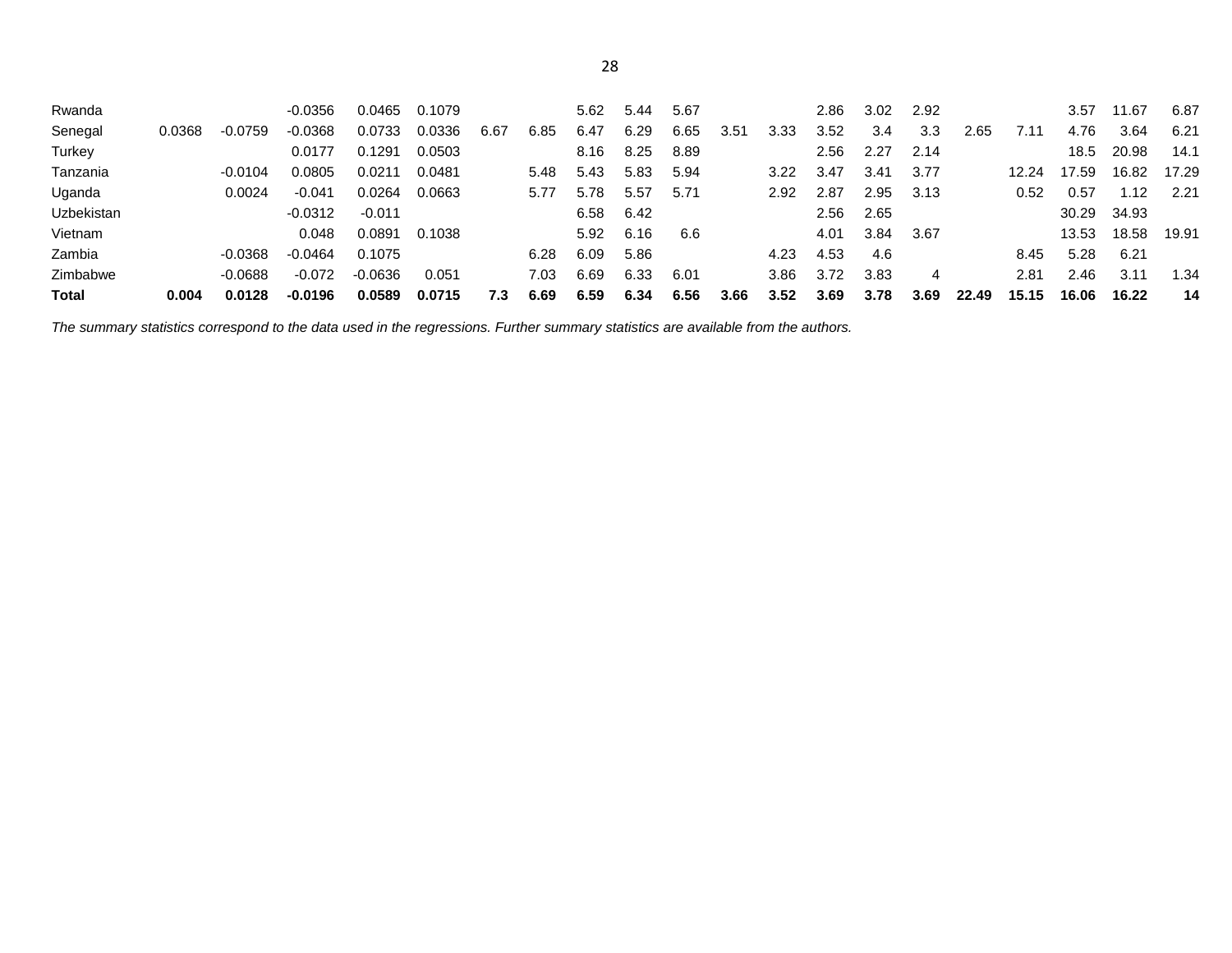| Rwanda            |        |           | $-0.0356$ | 0.0465    | 0.1079 |      |      | 5.62 | 5.44 | 5.67 |      |      | 2.86 | 3.02 | 2.92 |       |       | 3.57  | 11.67 | 6.87  |
|-------------------|--------|-----------|-----------|-----------|--------|------|------|------|------|------|------|------|------|------|------|-------|-------|-------|-------|-------|
|                   |        |           |           |           |        |      |      |      |      |      |      |      |      |      |      |       |       |       |       |       |
| Senegal           | 0.0368 | $-0.0759$ | $-0.0368$ | 0.0733    | 0.0336 | 6.67 | 6.85 | 6.47 | 6.29 | 6.65 | 3.51 | 3.33 | 3.52 | 3.4  | 3.3  | 2.65  | 7.11  | 4.76  | 3.64  | 6.21  |
| Turkey            |        |           | 0.0177    | 0.1291    | 0.0503 |      |      | 8.16 | 8.25 | 8.89 |      |      | 2.56 | 2.27 | 2.14 |       |       | 18.5  | 20.98 | 14.1  |
| Tanzania          |        | $-0.0104$ | 0.0805    | 0.0211    | 0.0481 |      | 5.48 | 5.43 | 5.83 | 5.94 |      | 3.22 | 3.47 | 3.41 | 3.77 |       | 12.24 | 17.59 | 16.82 | 17.29 |
| Uganda            |        | 0.0024    | $-0.041$  | 0.0264    | 0.0663 |      | 5.77 | 5.78 | 5.57 | 5.71 |      | 2.92 | 2.87 | 2.95 | 3.13 |       | 0.52  | 0.57  | .12   | 2.21  |
| <b>Uzbekistan</b> |        |           | $-0.0312$ | $-0.011$  |        |      |      | 6.58 | 6.42 |      |      |      | 2.56 | 2.65 |      |       |       | 30.29 | 34.93 |       |
| Vietnam           |        |           | 0.048     | 0.0891    | 0.1038 |      |      | 5.92 | 6.16 | 6.6  |      |      | 4.01 | 3.84 | 3.67 |       |       | 13.53 | 18.58 | 19.91 |
| Zambia            |        | $-0.0368$ | $-0.0464$ | 0.1075    |        |      | 6.28 | 6.09 | 5.86 |      |      | 4.23 | 4.53 | 4.6  |      |       | 8.45  | 5.28  | 6.21  |       |
| Zimbabwe          |        | $-0.0688$ | -0.072    | $-0.0636$ | 0.051  |      | 7.03 | 6.69 | 6.33 | 6.01 |      | 3.86 | 3.72 | 3.83 | 4    |       | 2.81  | 2.46  | 3.11  | 1.34  |
| <b>Total</b>      | 0.004  | 0.0128    | -0.0196   | 0.0589    | 0.0715 | 7.3  | 6.69 | 6.59 | 6.34 | 6.56 | 3.66 | 3.52 | 3.69 | 3.78 | 3.69 | 22.49 | 15.15 | 16.06 | 16.22 | 14    |

*The summary statistics correspond to the data used in the regressions. Further summary statistics are available from the authors.*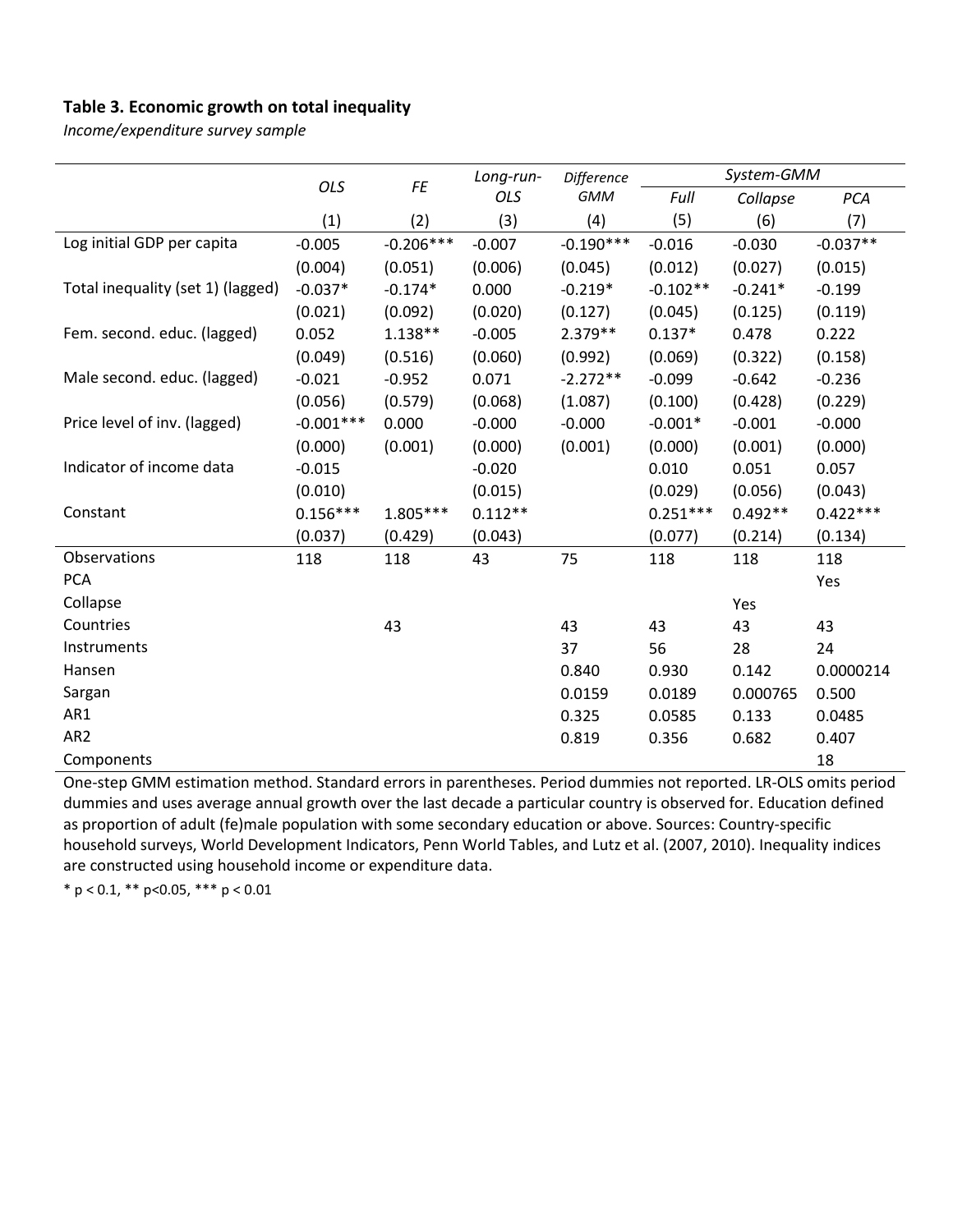## **Table 3. Economic growth on total inequality**

*Income/expenditure survey sample*

|                                   |             |             | Long-run- | Difference  |            | System-GMM |            |
|-----------------------------------|-------------|-------------|-----------|-------------|------------|------------|------------|
|                                   | <b>OLS</b>  | FE          | OLS       | <b>GMM</b>  | Full       | Collapse   | PCA        |
|                                   | (1)         | (2)         | (3)       | (4)         | (5)        | (6)        | (7)        |
| Log initial GDP per capita        | $-0.005$    | $-0.206***$ | $-0.007$  | $-0.190***$ | $-0.016$   | $-0.030$   | $-0.037**$ |
|                                   | (0.004)     | (0.051)     | (0.006)   | (0.045)     | (0.012)    | (0.027)    | (0.015)    |
| Total inequality (set 1) (lagged) | $-0.037*$   | $-0.174*$   | 0.000     | $-0.219*$   | $-0.102**$ | $-0.241*$  | $-0.199$   |
|                                   | (0.021)     | (0.092)     | (0.020)   | (0.127)     | (0.045)    | (0.125)    | (0.119)    |
| Fem. second. educ. (lagged)       | 0.052       | $1.138**$   | $-0.005$  | $2.379**$   | $0.137*$   | 0.478      | 0.222      |
|                                   | (0.049)     | (0.516)     | (0.060)   | (0.992)     | (0.069)    | (0.322)    | (0.158)    |
| Male second. educ. (lagged)       | $-0.021$    | $-0.952$    | 0.071     | $-2.272**$  | $-0.099$   | $-0.642$   | $-0.236$   |
|                                   | (0.056)     | (0.579)     | (0.068)   | (1.087)     | (0.100)    | (0.428)    | (0.229)    |
| Price level of inv. (lagged)      | $-0.001***$ | 0.000       | $-0.000$  | $-0.000$    | $-0.001*$  | $-0.001$   | $-0.000$   |
|                                   | (0.000)     | (0.001)     | (0.000)   | (0.001)     | (0.000)    | (0.001)    | (0.000)    |
| Indicator of income data          | $-0.015$    |             | $-0.020$  |             | 0.010      | 0.051      | 0.057      |
|                                   | (0.010)     |             | (0.015)   |             | (0.029)    | (0.056)    | (0.043)    |
| Constant                          | $0.156***$  | $1.805***$  | $0.112**$ |             | $0.251***$ | $0.492**$  | $0.422***$ |
|                                   | (0.037)     | (0.429)     | (0.043)   |             | (0.077)    | (0.214)    | (0.134)    |
| Observations                      | 118         | 118         | 43        | 75          | 118        | 118        | 118        |
| <b>PCA</b>                        |             |             |           |             |            |            | Yes        |
| Collapse                          |             |             |           |             |            | Yes        |            |
| Countries                         |             | 43          |           | 43          | 43         | 43         | 43         |
| Instruments                       |             |             |           | 37          | 56         | 28         | 24         |
| Hansen                            |             |             |           | 0.840       | 0.930      | 0.142      | 0.0000214  |
| Sargan                            |             |             |           | 0.0159      | 0.0189     | 0.000765   | 0.500      |
| AR1                               |             |             |           | 0.325       | 0.0585     | 0.133      | 0.0485     |
| AR <sub>2</sub>                   |             |             |           | 0.819       | 0.356      | 0.682      | 0.407      |
| Components                        |             |             |           |             |            |            | 18         |

One-step GMM estimation method. Standard errors in parentheses. Period dummies not reported. LR-OLS omits period dummies and uses average annual growth over the last decade a particular country is observed for. Education defined as proportion of adult (fe)male population with some secondary education or above. Sources: Country-specific household surveys, World Development Indicators, Penn World Tables, and Lutz et al. (2007, 2010). Inequality indices are constructed using household income or expenditure data.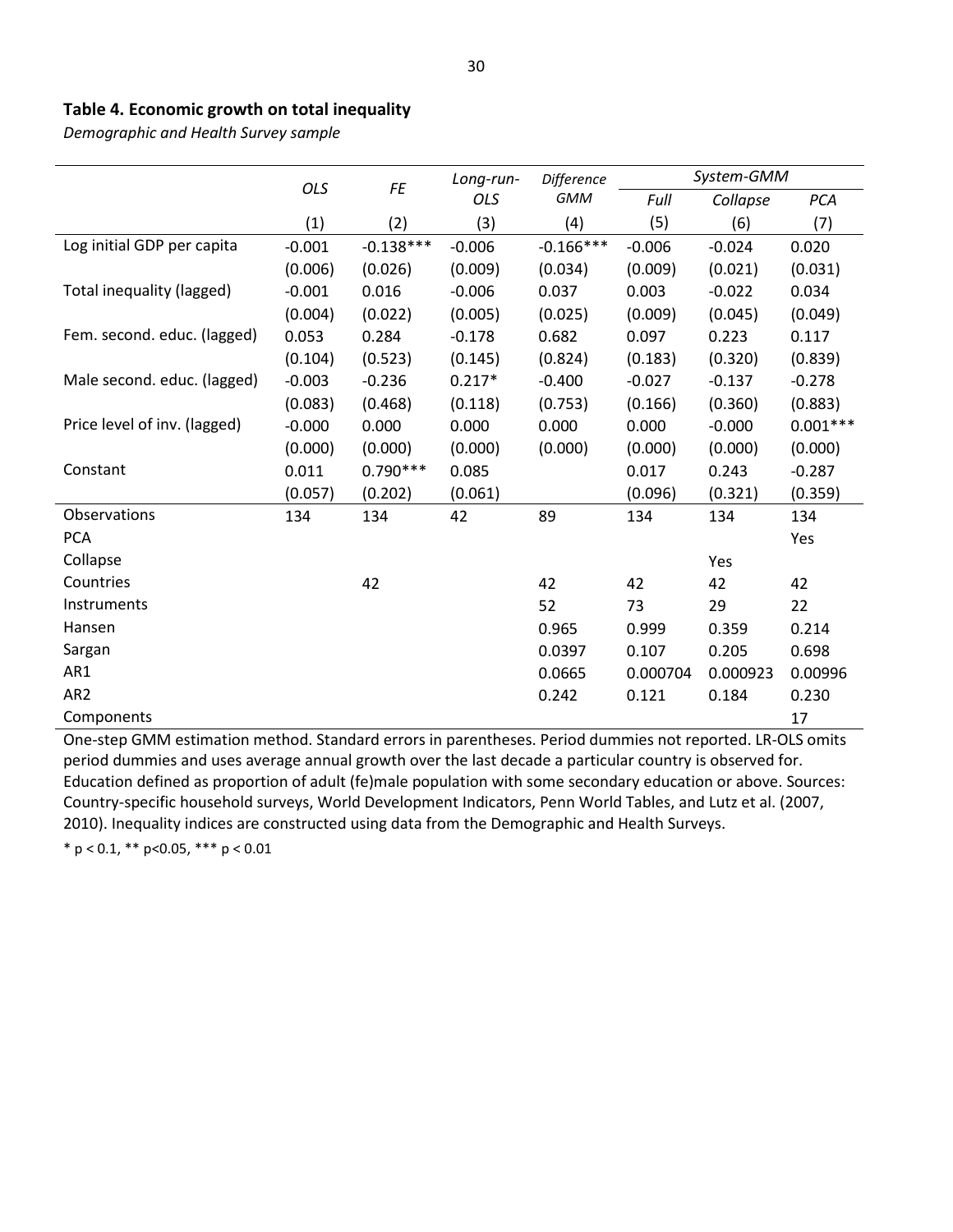## **Table 4. Economic growth on total inequality**

*Demographic and Health Survey sample*

|                              | OLS      | FE          | Long-run- | Difference  |          | System-GMM |            |
|------------------------------|----------|-------------|-----------|-------------|----------|------------|------------|
|                              |          |             | OLS       | <b>GMM</b>  | Full     | Collapse   | <b>PCA</b> |
|                              | (1)      | (2)         | (3)       | (4)         | (5)      | (6)        | (7)        |
| Log initial GDP per capita   | $-0.001$ | $-0.138***$ | $-0.006$  | $-0.166***$ | $-0.006$ | $-0.024$   | 0.020      |
|                              | (0.006)  | (0.026)     | (0.009)   | (0.034)     | (0.009)  | (0.021)    | (0.031)    |
| Total inequality (lagged)    | $-0.001$ | 0.016       | $-0.006$  | 0.037       | 0.003    | $-0.022$   | 0.034      |
|                              | (0.004)  | (0.022)     | (0.005)   | (0.025)     | (0.009)  | (0.045)    | (0.049)    |
| Fem. second. educ. (lagged)  | 0.053    | 0.284       | $-0.178$  | 0.682       | 0.097    | 0.223      | 0.117      |
|                              | (0.104)  | (0.523)     | (0.145)   | (0.824)     | (0.183)  | (0.320)    | (0.839)    |
| Male second. educ. (lagged)  | $-0.003$ | $-0.236$    | $0.217*$  | $-0.400$    | $-0.027$ | $-0.137$   | $-0.278$   |
|                              | (0.083)  | (0.468)     | (0.118)   | (0.753)     | (0.166)  | (0.360)    | (0.883)    |
| Price level of inv. (lagged) | $-0.000$ | 0.000       | 0.000     | 0.000       | 0.000    | $-0.000$   | $0.001***$ |
|                              | (0.000)  | (0.000)     | (0.000)   | (0.000)     | (0.000)  | (0.000)    | (0.000)    |
| Constant                     | 0.011    | $0.790***$  | 0.085     |             | 0.017    | 0.243      | $-0.287$   |
|                              | (0.057)  | (0.202)     | (0.061)   |             | (0.096)  | (0.321)    | (0.359)    |
| Observations                 | 134      | 134         | 42        | 89          | 134      | 134        | 134        |
| <b>PCA</b>                   |          |             |           |             |          |            | Yes        |
| Collapse                     |          |             |           |             |          | Yes        |            |
| Countries                    |          | 42          |           | 42          | 42       | 42         | 42         |
| Instruments                  |          |             |           | 52          | 73       | 29         | 22         |
| Hansen                       |          |             |           | 0.965       | 0.999    | 0.359      | 0.214      |
| Sargan                       |          |             |           | 0.0397      | 0.107    | 0.205      | 0.698      |
| AR1                          |          |             |           | 0.0665      | 0.000704 | 0.000923   | 0.00996    |
| AR <sub>2</sub>              |          |             |           | 0.242       | 0.121    | 0.184      | 0.230      |
| Components                   |          |             |           |             |          |            | 17         |

One-step GMM estimation method. Standard errors in parentheses. Period dummies not reported. LR-OLS omits period dummies and uses average annual growth over the last decade a particular country is observed for. Education defined as proportion of adult (fe)male population with some secondary education or above. Sources: Country-specific household surveys, World Development Indicators, Penn World Tables, and Lutz et al. (2007, 2010). Inequality indices are constructed using data from the Demographic and Health Surveys.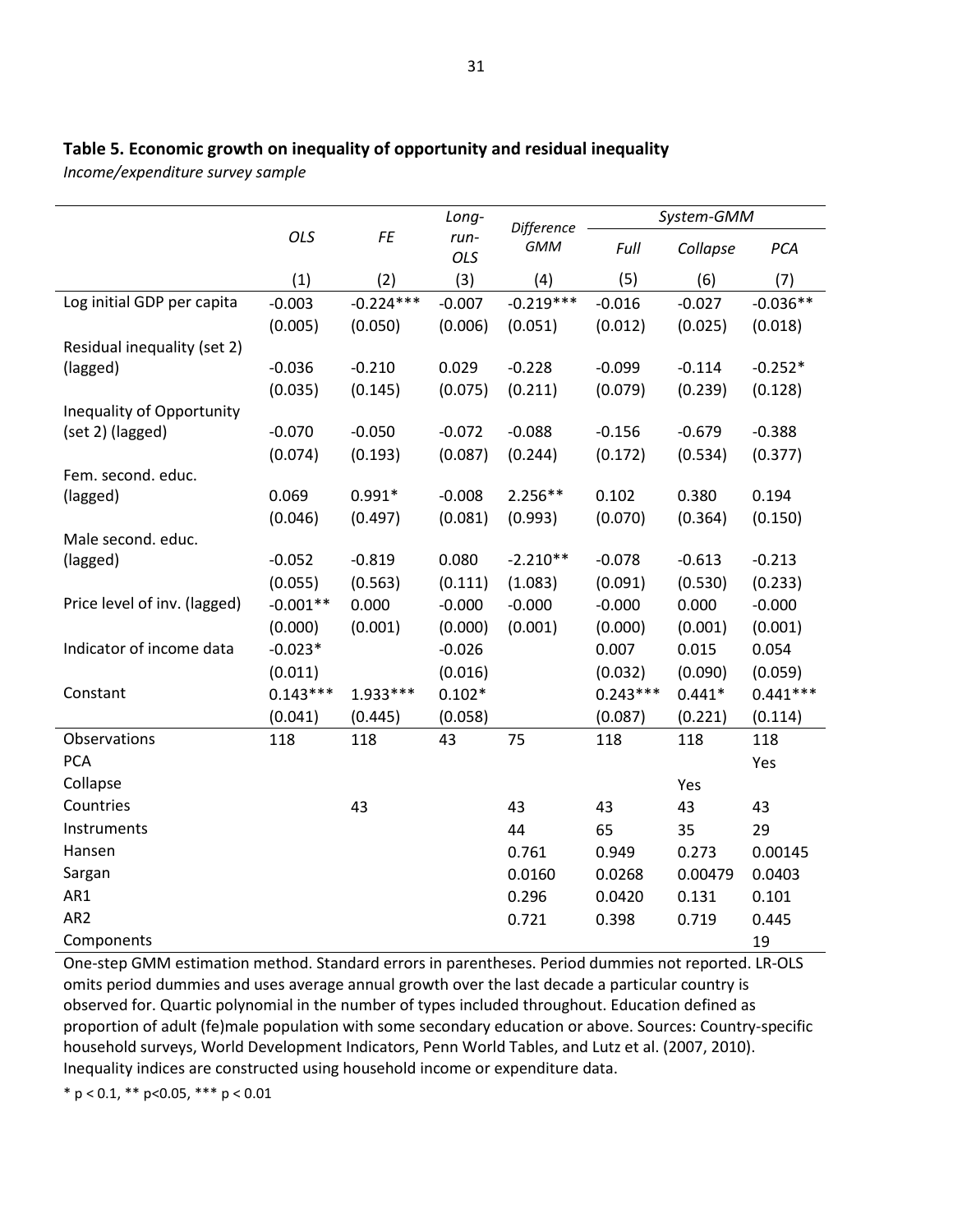## **Table 5. Economic growth on inequality of opportunity and residual inequality**

*Income/expenditure survey sample*

|                              |            |             | Long-         | Difference  |            | System-GMM |            |
|------------------------------|------------|-------------|---------------|-------------|------------|------------|------------|
|                              | OLS        | FE          | $run-$<br>OLS | <b>GMM</b>  | Full       | Collapse   | PCA        |
|                              | (1)        | (2)         | (3)           | (4)         | (5)        | (6)        | (7)        |
| Log initial GDP per capita   | $-0.003$   | $-0.224***$ | $-0.007$      | $-0.219***$ | $-0.016$   | $-0.027$   | $-0.036**$ |
|                              | (0.005)    | (0.050)     | (0.006)       | (0.051)     | (0.012)    | (0.025)    | (0.018)    |
| Residual inequality (set 2)  |            |             |               |             |            |            |            |
| (lagged)                     | $-0.036$   | $-0.210$    | 0.029         | $-0.228$    | $-0.099$   | $-0.114$   | $-0.252*$  |
|                              | (0.035)    | (0.145)     | (0.075)       | (0.211)     | (0.079)    | (0.239)    | (0.128)    |
| Inequality of Opportunity    |            |             |               |             |            |            |            |
| (set 2) (lagged)             | $-0.070$   | $-0.050$    | $-0.072$      | $-0.088$    | $-0.156$   | $-0.679$   | $-0.388$   |
|                              | (0.074)    | (0.193)     | (0.087)       | (0.244)     | (0.172)    | (0.534)    | (0.377)    |
| Fem. second. educ.           |            |             |               |             |            |            |            |
| (lagged)                     | 0.069      | $0.991*$    | $-0.008$      | $2.256**$   | 0.102      | 0.380      | 0.194      |
| Male second. educ.           | (0.046)    | (0.497)     | (0.081)       | (0.993)     | (0.070)    | (0.364)    | (0.150)    |
| (lagged)                     | $-0.052$   | $-0.819$    | 0.080         | $-2.210**$  | $-0.078$   | $-0.613$   | $-0.213$   |
|                              | (0.055)    | (0.563)     | (0.111)       | (1.083)     | (0.091)    | (0.530)    | (0.233)    |
| Price level of inv. (lagged) | $-0.001**$ | 0.000       | $-0.000$      | $-0.000$    | $-0.000$   | 0.000      | $-0.000$   |
|                              | (0.000)    | (0.001)     | (0.000)       | (0.001)     | (0.000)    | (0.001)    | (0.001)    |
| Indicator of income data     | $-0.023*$  |             | $-0.026$      |             | 0.007      | 0.015      | 0.054      |
|                              | (0.011)    |             | (0.016)       |             | (0.032)    | (0.090)    | (0.059)    |
| Constant                     | $0.143***$ | $1.933***$  | $0.102*$      |             | $0.243***$ | $0.441*$   | $0.441***$ |
|                              | (0.041)    | (0.445)     | (0.058)       |             | (0.087)    | (0.221)    | (0.114)    |
| Observations                 | 118        | 118         | 43            | 75          | 118        | 118        | 118        |
| <b>PCA</b>                   |            |             |               |             |            |            | Yes        |
| Collapse                     |            |             |               |             |            | Yes        |            |
| Countries                    |            | 43          |               | 43          | 43         | 43         | 43         |
| Instruments                  |            |             |               | 44          | 65         | 35         | 29         |
| Hansen                       |            |             |               | 0.761       | 0.949      | 0.273      | 0.00145    |
| Sargan                       |            |             |               | 0.0160      | 0.0268     | 0.00479    | 0.0403     |
| AR1                          |            |             |               | 0.296       | 0.0420     | 0.131      | 0.101      |
| AR <sub>2</sub>              |            |             |               | 0.721       | 0.398      | 0.719      | 0.445      |
| Components                   |            |             |               |             |            |            | 19         |

One-step GMM estimation method. Standard errors in parentheses. Period dummies not reported. LR-OLS omits period dummies and uses average annual growth over the last decade a particular country is observed for. Quartic polynomial in the number of types included throughout. Education defined as proportion of adult (fe)male population with some secondary education or above. Sources: Country-specific household surveys, World Development Indicators, Penn World Tables, and Lutz et al. (2007, 2010). Inequality indices are constructed using household income or expenditure data.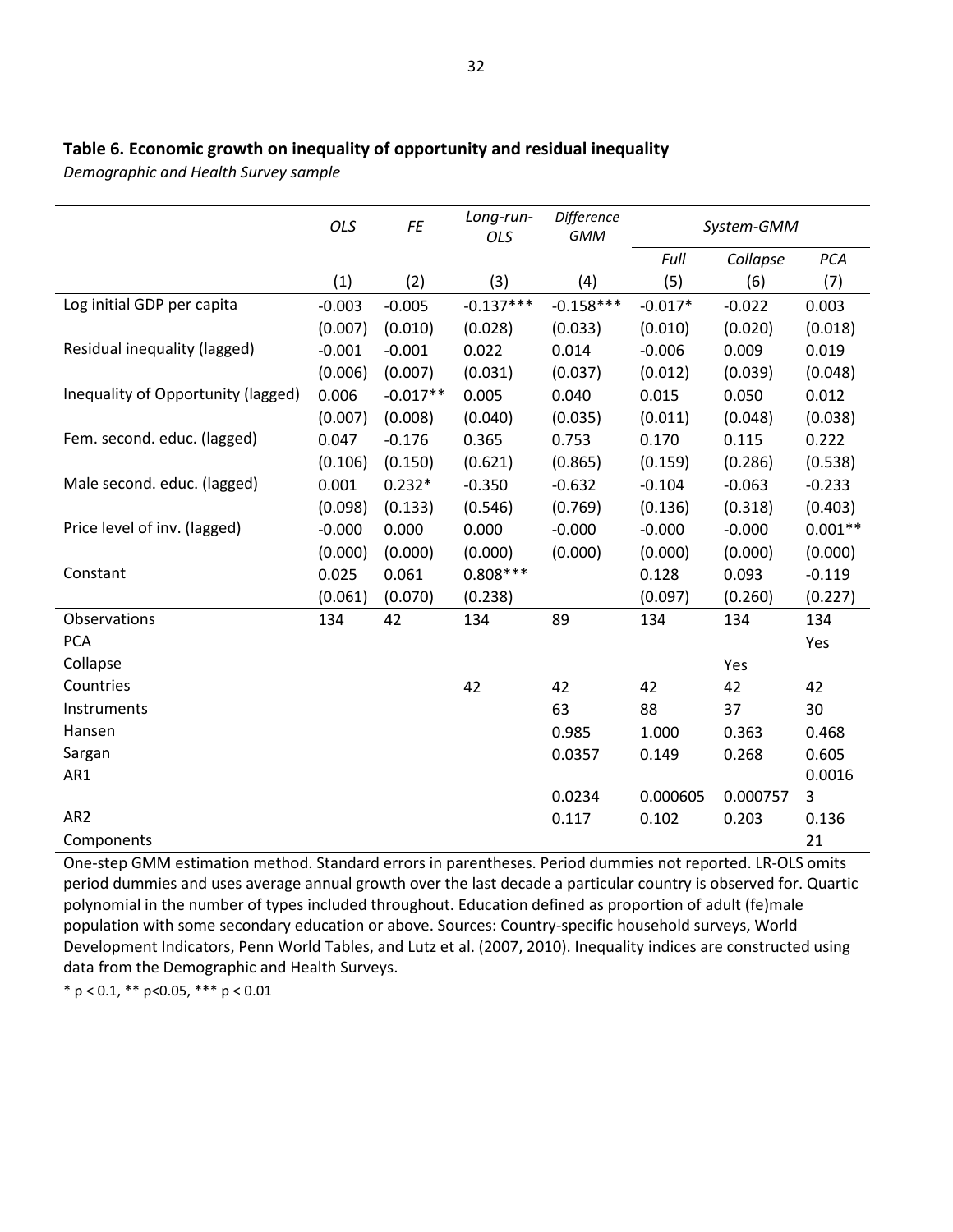## **Table 6. Economic growth on inequality of opportunity and residual inequality**

*Demographic and Health Survey sample*

|                                    | <b>OLS</b> | FE         | Long-run-<br>OLS | Difference<br><b>GMM</b> |           | System-GMM |           |
|------------------------------------|------------|------------|------------------|--------------------------|-----------|------------|-----------|
|                                    |            |            |                  |                          | Full      | Collapse   | PCA       |
|                                    | (1)        | (2)        | (3)              | (4)                      | (5)       | (6)        | (7)       |
| Log initial GDP per capita         | $-0.003$   | $-0.005$   | $-0.137***$      | $-0.158***$              | $-0.017*$ | $-0.022$   | 0.003     |
|                                    | (0.007)    | (0.010)    | (0.028)          | (0.033)                  | (0.010)   | (0.020)    | (0.018)   |
| Residual inequality (lagged)       | $-0.001$   | $-0.001$   | 0.022            | 0.014                    | $-0.006$  | 0.009      | 0.019     |
|                                    | (0.006)    | (0.007)    | (0.031)          | (0.037)                  | (0.012)   | (0.039)    | (0.048)   |
| Inequality of Opportunity (lagged) | 0.006      | $-0.017**$ | 0.005            | 0.040                    | 0.015     | 0.050      | 0.012     |
|                                    | (0.007)    | (0.008)    | (0.040)          | (0.035)                  | (0.011)   | (0.048)    | (0.038)   |
| Fem. second. educ. (lagged)        | 0.047      | $-0.176$   | 0.365            | 0.753                    | 0.170     | 0.115      | 0.222     |
|                                    | (0.106)    | (0.150)    | (0.621)          | (0.865)                  | (0.159)   | (0.286)    | (0.538)   |
| Male second. educ. (lagged)        | 0.001      | $0.232*$   | $-0.350$         | $-0.632$                 | $-0.104$  | $-0.063$   | $-0.233$  |
|                                    | (0.098)    | (0.133)    | (0.546)          | (0.769)                  | (0.136)   | (0.318)    | (0.403)   |
| Price level of inv. (lagged)       | $-0.000$   | 0.000      | 0.000            | $-0.000$                 | $-0.000$  | $-0.000$   | $0.001**$ |
|                                    | (0.000)    | (0.000)    | (0.000)          | (0.000)                  | (0.000)   | (0.000)    | (0.000)   |
| Constant                           | 0.025      | 0.061      | $0.808***$       |                          | 0.128     | 0.093      | $-0.119$  |
|                                    | (0.061)    | (0.070)    | (0.238)          |                          | (0.097)   | (0.260)    | (0.227)   |
| Observations                       | 134        | 42         | 134              | 89                       | 134       | 134        | 134       |
| <b>PCA</b>                         |            |            |                  |                          |           |            | Yes       |
| Collapse                           |            |            |                  |                          |           | Yes        |           |
| Countries                          |            |            | 42               | 42                       | 42        | 42         | 42        |
| Instruments                        |            |            |                  | 63                       | 88        | 37         | 30        |
| Hansen                             |            |            |                  | 0.985                    | 1.000     | 0.363      | 0.468     |
| Sargan                             |            |            |                  | 0.0357                   | 0.149     | 0.268      | 0.605     |
| AR1                                |            |            |                  |                          |           |            | 0.0016    |
|                                    |            |            |                  | 0.0234                   | 0.000605  | 0.000757   | 3         |
| AR <sub>2</sub>                    |            |            |                  | 0.117                    | 0.102     | 0.203      | 0.136     |
| Components                         |            |            |                  |                          |           |            | 21        |

One-step GMM estimation method. Standard errors in parentheses. Period dummies not reported. LR-OLS omits period dummies and uses average annual growth over the last decade a particular country is observed for. Quartic polynomial in the number of types included throughout. Education defined as proportion of adult (fe)male population with some secondary education or above. Sources: Country-specific household surveys, World Development Indicators, Penn World Tables, and Lutz et al. (2007, 2010). Inequality indices are constructed using data from the Demographic and Health Surveys.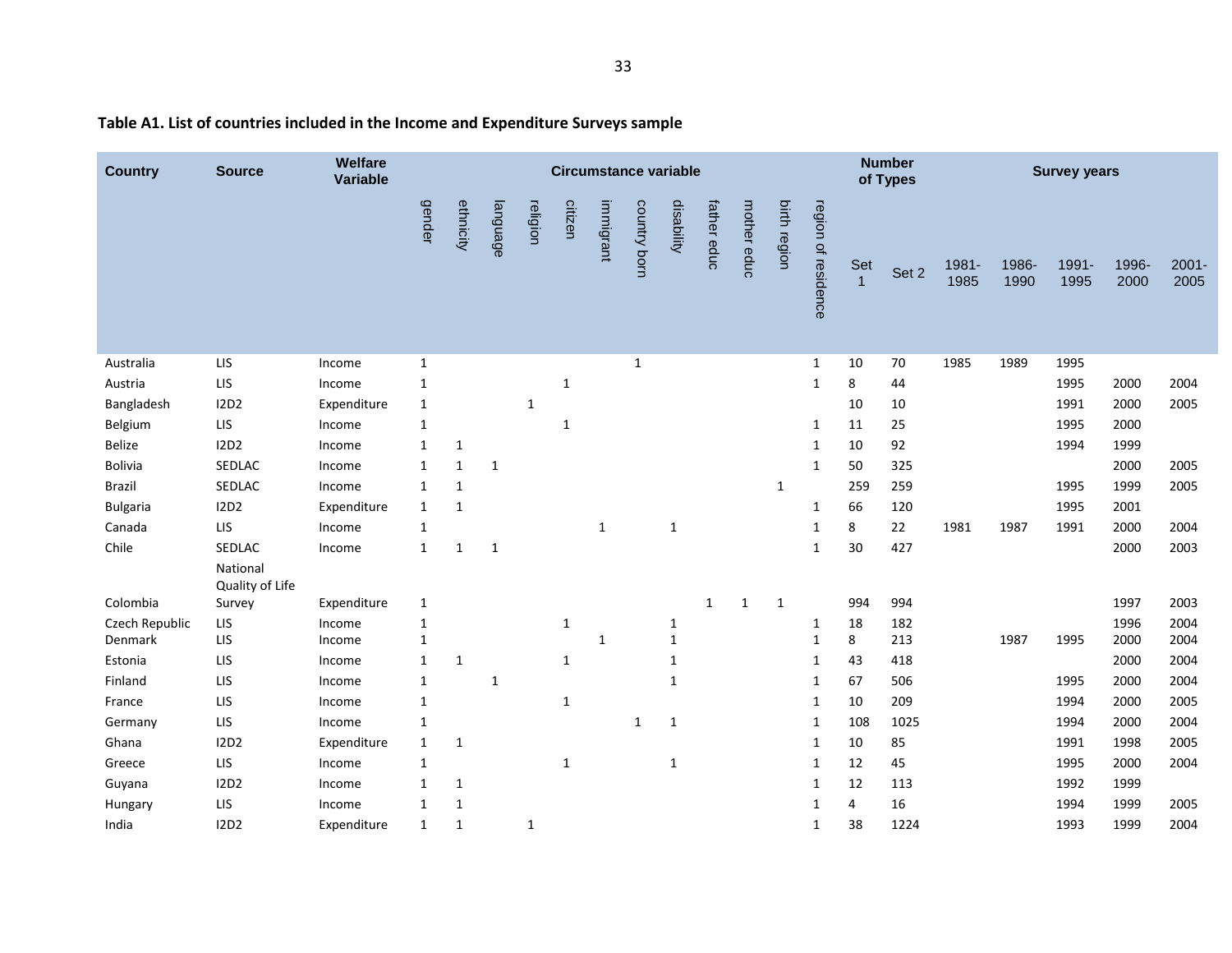| <b>Country</b>  | <b>Source</b>               | Welfare<br><b>Variable</b> |              |              |              |              | <b>Circumstance variable</b> |              |              |              |              |              |              |                     |                       | <b>Number</b><br>of Types |               |               | <b>Survey years</b> |               |                  |
|-----------------|-----------------------------|----------------------------|--------------|--------------|--------------|--------------|------------------------------|--------------|--------------|--------------|--------------|--------------|--------------|---------------------|-----------------------|---------------------------|---------------|---------------|---------------------|---------------|------------------|
|                 |                             |                            | gender       | ethnicity    | language     | religion     | citizen                      | immigrant    | country born | disability   | father educ  | mother educ  | birth region | region of residence | Set<br>$\overline{1}$ | Set 2                     | 1981-<br>1985 | 1986-<br>1990 | 1991-<br>1995       | 1996-<br>2000 | $2001 -$<br>2005 |
| Australia       | LIS                         | Income                     | $\mathbf{1}$ |              |              |              |                              |              | $\mathbf{1}$ |              |              |              |              | $\mathbf{1}$        | 10                    | 70                        | 1985          | 1989          | 1995                |               |                  |
| Austria         | LIS                         | Income                     | $\mathbf{1}$ |              |              |              | $1\,$                        |              |              |              |              |              |              | $\mathbf{1}$        | 8                     | 44                        |               |               | 1995                | 2000          | 2004             |
| Bangladesh      | <b>I2D2</b>                 | Expenditure                | $\mathbf{1}$ |              |              | $\mathbf 1$  |                              |              |              |              |              |              |              |                     | 10                    | 10                        |               |               | 1991                | 2000          | 2005             |
| Belgium         | LIS                         | Income                     | $\mathbf{1}$ |              |              |              | $\mathbf{1}$                 |              |              |              |              |              |              | $\mathbf{1}$        | 11                    | 25                        |               |               | 1995                | 2000          |                  |
| Belize          | 12D2                        | Income                     | 1            | 1            |              |              |                              |              |              |              |              |              |              | 1                   | 10                    | 92                        |               |               | 1994                | 1999          |                  |
| Bolivia         | SEDLAC                      | Income                     | $\mathbf{1}$ | 1            | $\mathbf{1}$ |              |                              |              |              |              |              |              |              | $\mathbf{1}$        | 50                    | 325                       |               |               |                     | 2000          | 2005             |
| <b>Brazil</b>   | SEDLAC                      | Income                     | 1            | $\mathbf{1}$ |              |              |                              |              |              |              |              |              | $\mathbf{1}$ |                     | 259                   | 259                       |               |               | 1995                | 1999          | 2005             |
| <b>Bulgaria</b> | 12D2                        | Expenditure                | $\mathbf{1}$ | $\mathbf{1}$ |              |              |                              |              |              |              |              |              |              | $\mathbf{1}$        | 66                    | 120                       |               |               | 1995                | 2001          |                  |
| Canada          | LIS                         | Income                     | 1            |              |              |              |                              | $\mathbf{1}$ |              | $\mathbf{1}$ |              |              |              | 1                   | 8                     | 22                        | 1981          | 1987          | 1991                | 2000          | 2004             |
| Chile           | SEDLAC                      | Income                     | $\mathbf{1}$ | $\mathbf{1}$ | $\mathbf{1}$ |              |                              |              |              |              |              |              |              | $\mathbf{1}$        | 30                    | 427                       |               |               |                     | 2000          | 2003             |
|                 | National<br>Quality of Life |                            |              |              |              |              |                              |              |              |              |              |              |              |                     |                       |                           |               |               |                     |               |                  |
| Colombia        | Survey                      | Expenditure                | $\mathbf{1}$ |              |              |              |                              |              |              |              | $\mathbf{1}$ | $\mathbf{1}$ | $\mathbf{1}$ |                     | 994                   | 994                       |               |               |                     | 1997          | 2003             |
| Czech Republic  | LIS                         | Income                     | $\mathbf{1}$ |              |              |              | $\mathbf{1}$                 |              |              | $\mathbf{1}$ |              |              |              | $\mathbf{1}$        | 18                    | 182                       |               |               |                     | 1996          | 2004             |
| Denmark         | LIS                         | Income                     | 1            |              |              |              |                              | 1            |              | $\mathbf{1}$ |              |              |              | $\mathbf{1}$        | 8                     | 213                       |               | 1987          | 1995                | 2000          | 2004             |
| Estonia         | LIS                         | Income                     | $\mathbf{1}$ | $\mathbf{1}$ |              |              | $\mathbf{1}$                 |              |              | $\mathbf{1}$ |              |              |              | 1                   | 43                    | 418                       |               |               |                     | 2000          | 2004             |
| Finland         | LIS                         | Income                     | $\mathbf{1}$ |              | $\mathbf{1}$ |              |                              |              |              | $\mathbf{1}$ |              |              |              | 1                   | 67                    | 506                       |               |               | 1995                | 2000          | 2004             |
| France          | LIS                         | Income                     | 1            |              |              |              | $\mathbf{1}$                 |              |              |              |              |              |              | 1                   | 10                    | 209                       |               |               | 1994                | 2000          | 2005             |
| Germany         | LIS                         | Income                     | $\mathbf{1}$ |              |              |              |                              |              | 1            | $\mathbf{1}$ |              |              |              | 1                   | 108                   | 1025                      |               |               | 1994                | 2000          | 2004             |
| Ghana           | 12D2                        | Expenditure                | $\mathbf{1}$ | $\mathbf{1}$ |              |              |                              |              |              |              |              |              |              | 1                   | 10                    | 85                        |               |               | 1991                | 1998          | 2005             |
| Greece          | LIS                         | Income                     | 1            |              |              |              | $\mathbf{1}$                 |              |              | $\mathbf{1}$ |              |              |              | 1                   | 12                    | 45                        |               |               | 1995                | 2000          | 2004             |
| Guyana          | 12D2                        | Income                     | 1            | $\mathbf{1}$ |              |              |                              |              |              |              |              |              |              | 1                   | 12                    | 113                       |               |               | 1992                | 1999          |                  |
| Hungary         | LIS                         | Income                     | $\mathbf{1}$ | $\mathbf{1}$ |              |              |                              |              |              |              |              |              |              | $\mathbf{1}$        | 4                     | 16                        |               |               | 1994                | 1999          | 2005             |
| India           | <b>I2D2</b>                 | Expenditure                | $\mathbf{1}$ | 1            |              | $\mathbf{1}$ |                              |              |              |              |              |              |              | 1                   | 38                    | 1224                      |               |               | 1993                | 1999          | 2004             |

# **Table A1. List of countries included in the Income and Expenditure Surveys sample**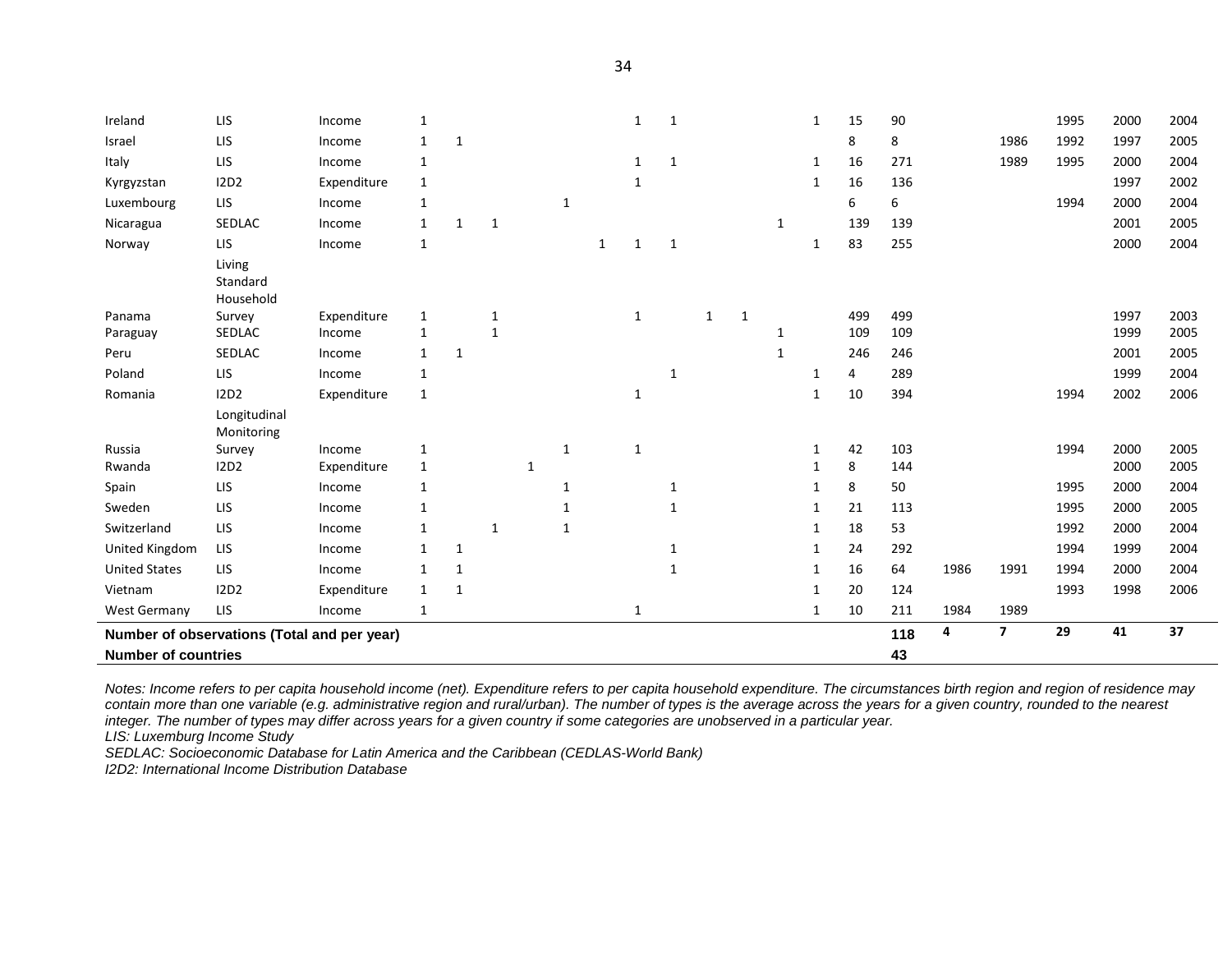| Ireland                                     | <b>LIS</b>                      | Income      |              |              |              |   |              |   | 1            | 1            |              |   |              | 1            | 15  | 90  |      |                | 1995 | 2000 | 2004 |
|---------------------------------------------|---------------------------------|-------------|--------------|--------------|--------------|---|--------------|---|--------------|--------------|--------------|---|--------------|--------------|-----|-----|------|----------------|------|------|------|
| Israel                                      | LIS                             | Income      | 1            | 1            |              |   |              |   |              |              |              |   |              |              | 8   | 8   |      | 1986           | 1992 | 1997 | 2005 |
| Italy                                       | LIS                             | Income      | 1            |              |              |   |              |   | 1            | 1            |              |   |              | 1            | 16  | 271 |      | 1989           | 1995 | 2000 | 2004 |
| Kyrgyzstan                                  | <b>I2D2</b>                     | Expenditure | $\mathbf{1}$ |              |              |   |              |   | 1            |              |              |   |              | 1            | 16  | 136 |      |                |      | 1997 | 2002 |
| Luxembourg                                  | LIS                             | Income      | 1            |              |              |   | 1            |   |              |              |              |   |              |              | 6   | 6   |      |                | 1994 | 2000 | 2004 |
| Nicaragua                                   | SEDLAC                          | Income      | 1            | 1            | $\mathbf{1}$ |   |              |   |              |              |              |   | 1            |              | 139 | 139 |      |                |      | 2001 | 2005 |
| Norway                                      | LIS                             | Income      | 1            |              |              |   |              | 1 | 1            | 1            |              |   |              | 1            | 83  | 255 |      |                |      | 2000 | 2004 |
|                                             | Living<br>Standard<br>Household |             |              |              |              |   |              |   |              |              |              |   |              |              |     |     |      |                |      |      |      |
| Panama                                      | Survey                          | Expenditure | 1            |              | 1            |   |              |   | $\mathbf{1}$ |              | $\mathbf{1}$ | 1 |              |              | 499 | 499 |      |                |      | 1997 | 2003 |
| Paraguay                                    | SEDLAC                          | Income      | 1            |              | $\mathbf{1}$ |   |              |   |              |              |              |   | 1            |              | 109 | 109 |      |                |      | 1999 | 2005 |
| Peru                                        | SEDLAC                          | Income      | 1            | $\mathbf{1}$ |              |   |              |   |              |              |              |   | $\mathbf{1}$ |              | 246 | 246 |      |                |      | 2001 | 2005 |
| Poland                                      | <b>LIS</b>                      | Income      | 1            |              |              |   |              |   |              | 1            |              |   |              | 1            | 4   | 289 |      |                |      | 1999 | 2004 |
| Romania                                     | <b>I2D2</b>                     | Expenditure | $\mathbf{1}$ |              |              |   |              |   | $\mathbf{1}$ |              |              |   |              | 1            | 10  | 394 |      |                | 1994 | 2002 | 2006 |
|                                             | Longitudinal<br>Monitoring      |             |              |              |              |   |              |   |              |              |              |   |              |              |     |     |      |                |      |      |      |
| Russia                                      | Survey                          | Income      | 1            |              |              |   | 1            |   | $\mathbf{1}$ |              |              |   |              | 1            | 42  | 103 |      |                | 1994 | 2000 | 2005 |
| Rwanda                                      | 12D2                            | Expenditure | $\mathbf 1$  |              |              | 1 |              |   |              |              |              |   |              | 1            | 8   | 144 |      |                |      | 2000 | 2005 |
| Spain                                       | <b>LIS</b>                      | Income      | 1            |              |              |   | $\mathbf{1}$ |   |              | 1            |              |   |              | 1            | 8   | 50  |      |                | 1995 | 2000 | 2004 |
| Sweden                                      | <b>LIS</b>                      | Income      | 1            |              |              |   | 1            |   |              |              |              |   |              | 1            | 21  | 113 |      |                | 1995 | 2000 | 2005 |
| Switzerland                                 | LIS                             | Income      | 1            |              | 1            |   | 1            |   |              |              |              |   |              | 1            | 18  | 53  |      |                | 1992 | 2000 | 2004 |
| United Kingdom                              | LIS                             | Income      | 1            | 1            |              |   |              |   |              | 1            |              |   |              | 1            | 24  | 292 |      |                | 1994 | 1999 | 2004 |
| <b>United States</b>                        | LIS                             | Income      | $\mathbf{1}$ | 1            |              |   |              |   |              | $\mathbf{1}$ |              |   |              | $\mathbf{1}$ | 16  | 64  | 1986 | 1991           | 1994 | 2000 | 2004 |
| Vietnam                                     | 12D2                            | Expenditure | 1            | $\mathbf{1}$ |              |   |              |   |              |              |              |   |              | 1            | 20  | 124 |      |                | 1993 | 1998 | 2006 |
| <b>West Germany</b>                         | LIS                             | Income      | $\mathbf{1}$ |              |              |   |              |   | $\mathbf{1}$ |              |              |   |              | 1            | 10  | 211 | 1984 | 1989           |      |      |      |
| Number of observations (Total and per year) |                                 |             |              |              |              |   |              |   |              |              |              |   |              |              |     | 118 | 4    | $\overline{7}$ | 29   | 41   | 37   |
| <b>Number of countries</b>                  |                                 |             |              |              |              |   |              |   |              |              |              |   |              |              |     | 43  |      |                |      |      |      |

*Notes: Income refers to per capita household income (net). Expenditure refers to per capita household expenditure. The circumstances birth region and region of residence may contain more than one variable (e.g. administrative region and rural/urban). The number of types is the average across the years for a given country, rounded to the nearest integer. The number of types may differ across years for a given country if some categories are unobserved in a particular year.*

*LIS: Luxemburg Income Study*

*SEDLAC: Socioeconomic Database for Latin America and the Caribbean (CEDLAS-World Bank)*

*I2D2: International Income Distribution Database*

34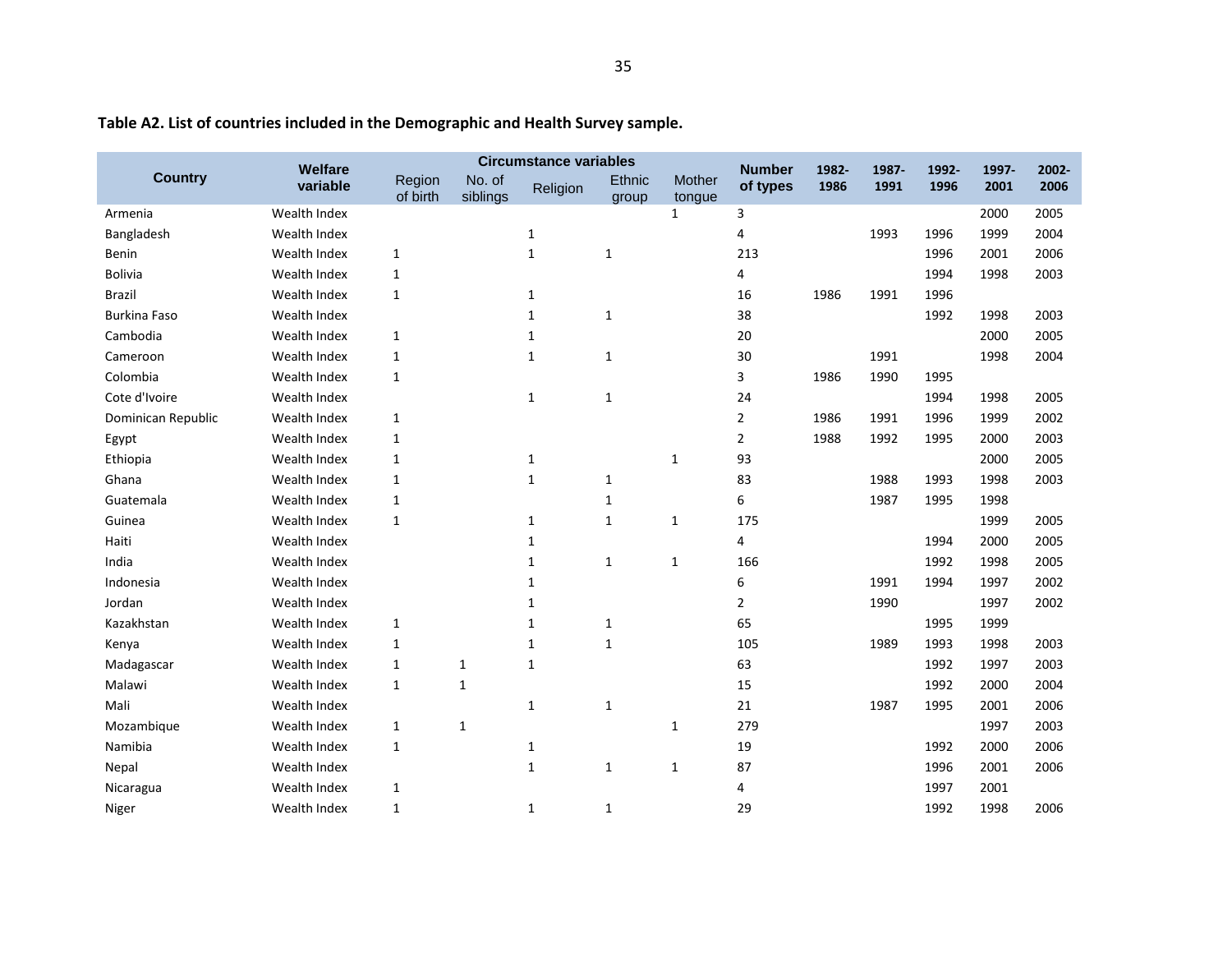|                     | <b>Welfare</b> |                    |                    | <b>Circumstance variables</b> |                 |                  | <b>Number</b>  | 1982- | 1987- | 1992- | 1997- | 2002- |
|---------------------|----------------|--------------------|--------------------|-------------------------------|-----------------|------------------|----------------|-------|-------|-------|-------|-------|
| <b>Country</b>      | variable       | Region<br>of birth | No. of<br>siblings | Religion                      | Ethnic<br>group | Mother<br>tongue | of types       | 1986  | 1991  | 1996  | 2001  | 2006  |
| Armenia             | Wealth Index   |                    |                    |                               |                 | $\mathbf{1}$     | 3              |       |       |       | 2000  | 2005  |
| Bangladesh          | Wealth Index   |                    |                    | $\mathbf{1}$                  |                 |                  | 4              |       | 1993  | 1996  | 1999  | 2004  |
| Benin               | Wealth Index   | $\mathbf{1}$       |                    | $\mathbf{1}$                  | $\mathbf{1}$    |                  | 213            |       |       | 1996  | 2001  | 2006  |
| Bolivia             | Wealth Index   | $\mathbf{1}$       |                    |                               |                 |                  | 4              |       |       | 1994  | 1998  | 2003  |
| <b>Brazil</b>       | Wealth Index   | $\mathbf{1}$       |                    | $\mathbf{1}$                  |                 |                  | 16             | 1986  | 1991  | 1996  |       |       |
| <b>Burkina Faso</b> | Wealth Index   |                    |                    | $\mathbf{1}$                  | $\mathbf{1}$    |                  | 38             |       |       | 1992  | 1998  | 2003  |
| Cambodia            | Wealth Index   | $\mathbf{1}$       |                    | $\mathbf{1}$                  |                 |                  | 20             |       |       |       | 2000  | 2005  |
| Cameroon            | Wealth Index   | $\mathbf{1}$       |                    | $\mathbf{1}$                  | $\mathbf{1}$    |                  | 30             |       | 1991  |       | 1998  | 2004  |
| Colombia            | Wealth Index   | 1                  |                    |                               |                 |                  | 3              | 1986  | 1990  | 1995  |       |       |
| Cote d'Ivoire       | Wealth Index   |                    |                    | $\mathbf{1}$                  | 1               |                  | 24             |       |       | 1994  | 1998  | 2005  |
| Dominican Republic  | Wealth Index   | 1                  |                    |                               |                 |                  | $\overline{2}$ | 1986  | 1991  | 1996  | 1999  | 2002  |
| Egypt               | Wealth Index   | $\mathbf{1}$       |                    |                               |                 |                  | $\overline{2}$ | 1988  | 1992  | 1995  | 2000  | 2003  |
| Ethiopia            | Wealth Index   | $\mathbf{1}$       |                    | $\mathbf{1}$                  |                 | 1                | 93             |       |       |       | 2000  | 2005  |
| Ghana               | Wealth Index   | $\mathbf{1}$       |                    | $\mathbf{1}$                  | $\mathbf{1}$    |                  | 83             |       | 1988  | 1993  | 1998  | 2003  |
| Guatemala           | Wealth Index   | 1                  |                    |                               | 1               |                  | 6              |       | 1987  | 1995  | 1998  |       |
| Guinea              | Wealth Index   | 1                  |                    | $\mathbf{1}$                  | $\mathbf{1}$    | 1                | 175            |       |       |       | 1999  | 2005  |
| Haiti               | Wealth Index   |                    |                    | $\mathbf{1}$                  |                 |                  | 4              |       |       | 1994  | 2000  | 2005  |
| India               | Wealth Index   |                    |                    | $\mathbf{1}$                  | $\mathbf{1}$    | $\mathbf{1}$     | 166            |       |       | 1992  | 1998  | 2005  |
| Indonesia           | Wealth Index   |                    |                    | $\mathbf{1}$                  |                 |                  | 6              |       | 1991  | 1994  | 1997  | 2002  |
| Jordan              | Wealth Index   |                    |                    | $\mathbf{1}$                  |                 |                  | $\overline{2}$ |       | 1990  |       | 1997  | 2002  |
| Kazakhstan          | Wealth Index   | 1                  |                    | 1                             | $\mathbf{1}$    |                  | 65             |       |       | 1995  | 1999  |       |
| Kenya               | Wealth Index   | 1                  |                    | $\mathbf{1}$                  | $\mathbf{1}$    |                  | 105            |       | 1989  | 1993  | 1998  | 2003  |
| Madagascar          | Wealth Index   | $\mathbf{1}$       | 1                  | $\mathbf{1}$                  |                 |                  | 63             |       |       | 1992  | 1997  | 2003  |
| Malawi              | Wealth Index   | $\mathbf{1}$       | $\mathbf{1}$       |                               |                 |                  | 15             |       |       | 1992  | 2000  | 2004  |
| Mali                | Wealth Index   |                    |                    | $\mathbf{1}$                  | $\mathbf{1}$    |                  | 21             |       | 1987  | 1995  | 2001  | 2006  |
| Mozambique          | Wealth Index   | 1                  | 1                  |                               |                 | 1                | 279            |       |       |       | 1997  | 2003  |
| Namibia             | Wealth Index   | $\mathbf{1}$       |                    | $\mathbf{1}$                  |                 |                  | 19             |       |       | 1992  | 2000  | 2006  |
| Nepal               | Wealth Index   |                    |                    | $\mathbf{1}$                  | $\mathbf{1}$    | $\mathbf{1}$     | 87             |       |       | 1996  | 2001  | 2006  |
| Nicaragua           | Wealth Index   | $\mathbf{1}$       |                    |                               |                 |                  | 4              |       |       | 1997  | 2001  |       |
| Niger               | Wealth Index   | 1                  |                    | 1                             | 1               |                  | 29             |       |       | 1992  | 1998  | 2006  |

**Table A2. List of countries included in the Demographic and Health Survey sample.**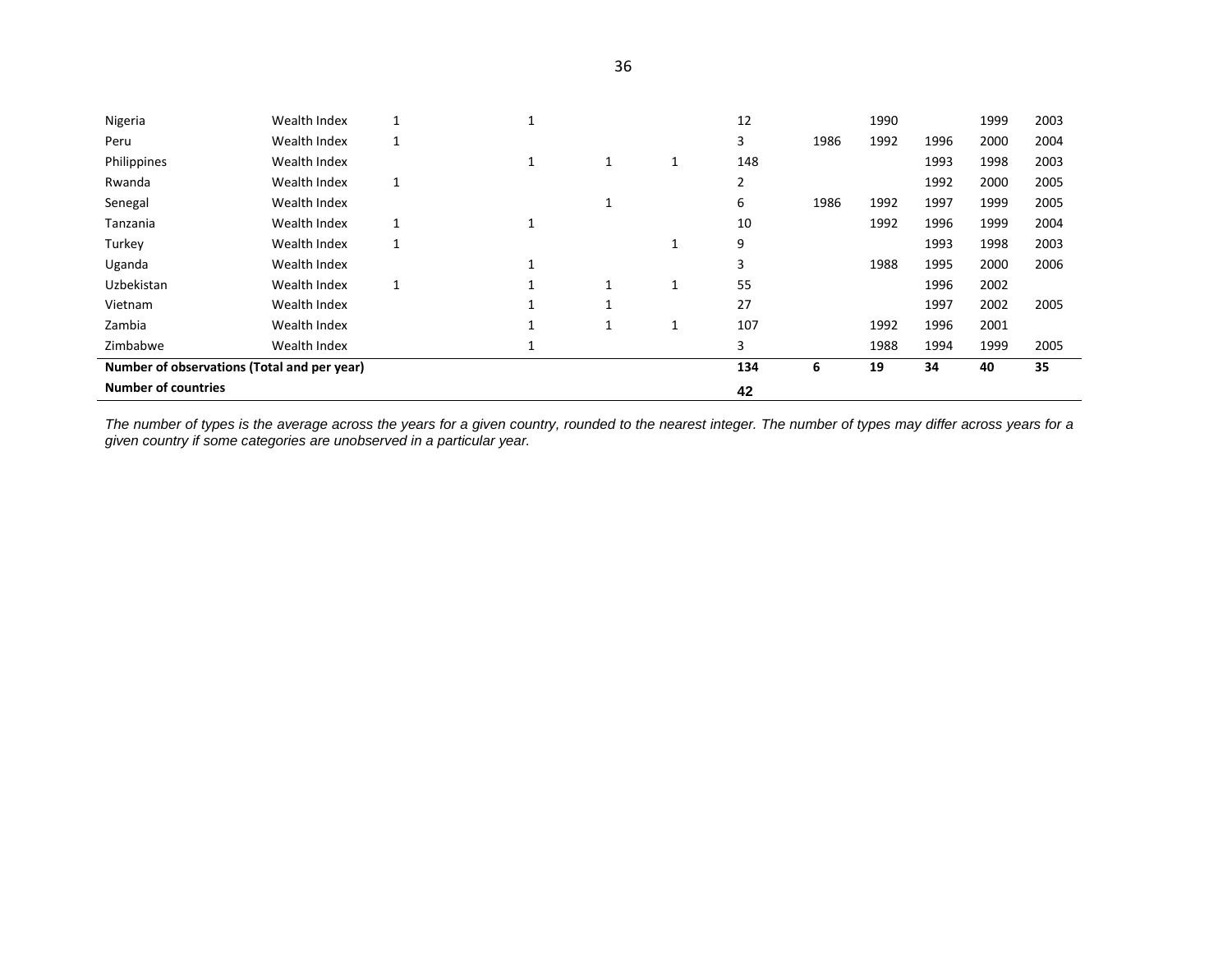| Nigeria                                     | Wealth Index |              |              |   | 12  |      | 1990 |      | 1999 | 2003 |
|---------------------------------------------|--------------|--------------|--------------|---|-----|------|------|------|------|------|
| Peru                                        | Wealth Index | 1            |              |   | 3   | 1986 | 1992 | 1996 | 2000 | 2004 |
| Philippines                                 | Wealth Index |              | 1            |   | 148 |      |      | 1993 | 1998 | 2003 |
| Rwanda                                      | Wealth Index | $\mathbf{1}$ |              |   | 2   |      |      | 1992 | 2000 | 2005 |
| Senegal                                     | Wealth Index |              |              |   | 6   | 1986 | 1992 | 1997 | 1999 | 2005 |
| Tanzania                                    | Wealth Index | 1            | 1            |   | 10  |      | 1992 | 1996 | 1999 | 2004 |
| Turkey                                      | Wealth Index | 1            |              |   | 9   |      |      | 1993 | 1998 | 2003 |
| Uganda                                      | Wealth Index |              | $\perp$      |   | 3   |      | 1988 | 1995 | 2000 | 2006 |
| Uzbekistan                                  | Wealth Index | 1            | $\mathbf{1}$ |   | 55  |      |      | 1996 | 2002 |      |
| Vietnam                                     | Wealth Index |              |              |   | 27  |      |      | 1997 | 2002 | 2005 |
| Zambia                                      | Wealth Index |              |              | 1 | 107 |      | 1992 | 1996 | 2001 |      |
| Zimbabwe                                    | Wealth Index |              |              |   | 3   |      | 1988 | 1994 | 1999 | 2005 |
| Number of observations (Total and per year) |              |              |              |   | 134 | 6    | 19   | 34   | 40   | 35   |
| <b>Number of countries</b>                  |              |              |              |   | 42  |      |      |      |      |      |

*The number of types is the average across the years for a given country, rounded to the nearest integer. The number of types may differ across years for a given country if some categories are unobserved in a particular year.*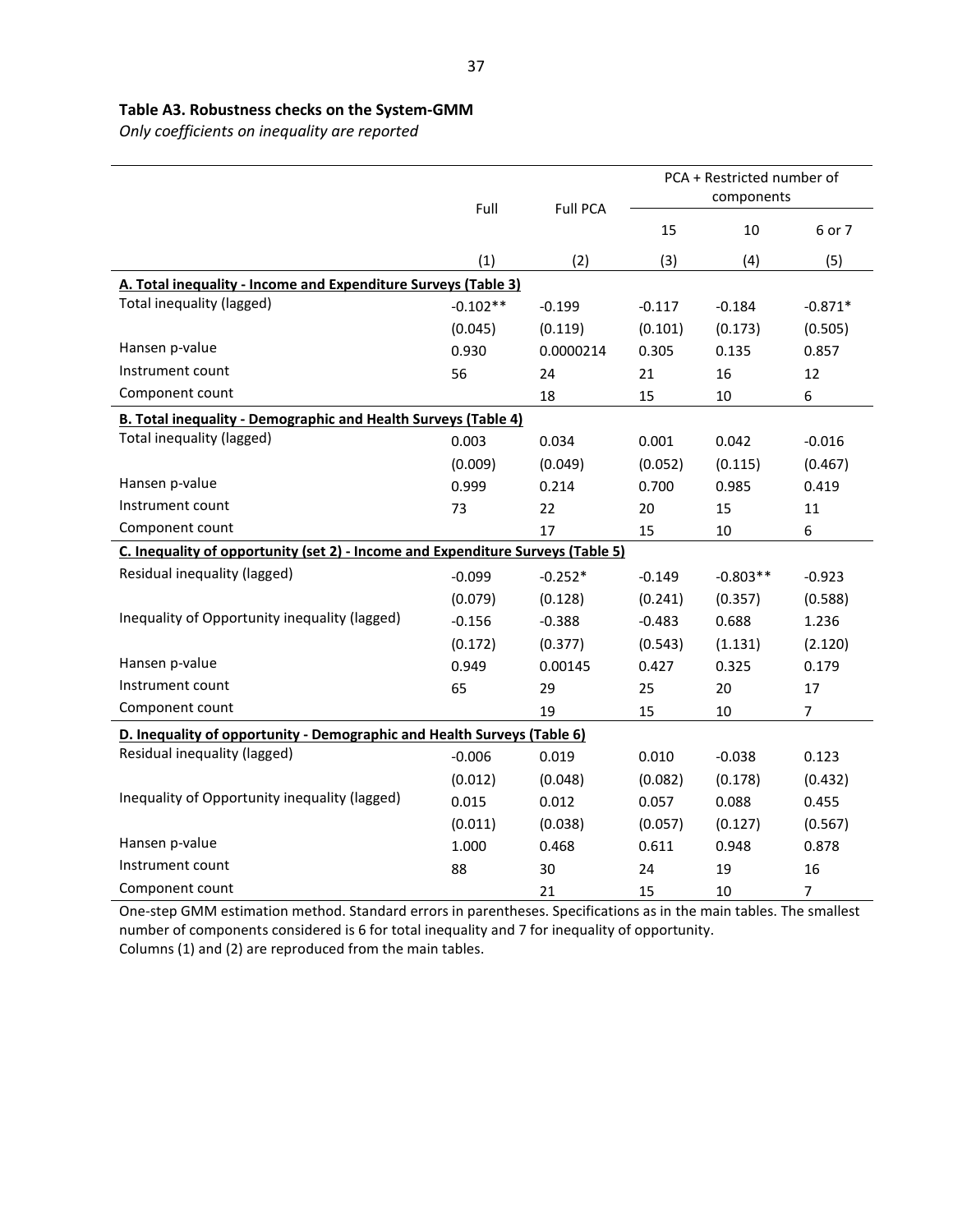## **Table A3. Robustness checks on the System-GMM**

*Only coefficients on inequality are reported*

|                                                                                 | Full<br><b>Full PCA</b> |           | PCA + Restricted number of<br>components |            |                |  |  |  |  |
|---------------------------------------------------------------------------------|-------------------------|-----------|------------------------------------------|------------|----------------|--|--|--|--|
|                                                                                 |                         |           | 15                                       | 10         | 6 or 7         |  |  |  |  |
|                                                                                 | (1)                     | (2)       | (3)                                      | (4)        | (5)            |  |  |  |  |
| A. Total inequality - Income and Expenditure Surveys (Table 3)                  |                         |           |                                          |            |                |  |  |  |  |
| Total inequality (lagged)                                                       | $-0.102**$              | $-0.199$  | $-0.117$                                 | $-0.184$   | $-0.871*$      |  |  |  |  |
|                                                                                 | (0.045)                 | (0.119)   | (0.101)                                  | (0.173)    | (0.505)        |  |  |  |  |
| Hansen p-value                                                                  | 0.930                   | 0.0000214 | 0.305                                    | 0.135      | 0.857          |  |  |  |  |
| Instrument count                                                                | 56                      | 24        | 21                                       | 16         | 12             |  |  |  |  |
| Component count                                                                 |                         | 18        | 15                                       | 10         | 6              |  |  |  |  |
| <b>B. Total inequality - Demographic and Health Surveys (Table 4)</b>           |                         |           |                                          |            |                |  |  |  |  |
| Total inequality (lagged)                                                       | 0.003                   | 0.034     | 0.001                                    | 0.042      | $-0.016$       |  |  |  |  |
|                                                                                 | (0.009)                 | (0.049)   | (0.052)                                  | (0.115)    | (0.467)        |  |  |  |  |
| Hansen p-value                                                                  | 0.999                   | 0.214     | 0.700                                    | 0.985      | 0.419          |  |  |  |  |
| Instrument count                                                                | 73                      | 22        | 20                                       | 15         | 11             |  |  |  |  |
| Component count                                                                 |                         | 17        | 15                                       | $10\,$     | 6              |  |  |  |  |
| C. Inequality of opportunity (set 2) - Income and Expenditure Surveys (Table 5) |                         |           |                                          |            |                |  |  |  |  |
| Residual inequality (lagged)                                                    | $-0.099$                | $-0.252*$ | $-0.149$                                 | $-0.803**$ | $-0.923$       |  |  |  |  |
|                                                                                 | (0.079)                 | (0.128)   | (0.241)                                  | (0.357)    | (0.588)        |  |  |  |  |
| Inequality of Opportunity inequality (lagged)                                   | $-0.156$                | $-0.388$  | $-0.483$                                 | 0.688      | 1.236          |  |  |  |  |
|                                                                                 | (0.172)                 | (0.377)   | (0.543)                                  | (1.131)    | (2.120)        |  |  |  |  |
| Hansen p-value                                                                  | 0.949                   | 0.00145   | 0.427                                    | 0.325      | 0.179          |  |  |  |  |
| Instrument count                                                                | 65                      | 29        | 25                                       | 20         | 17             |  |  |  |  |
| Component count                                                                 |                         | 19        | 15                                       | 10         | $\overline{7}$ |  |  |  |  |
| D. Inequality of opportunity - Demographic and Health Surveys (Table 6)         |                         |           |                                          |            |                |  |  |  |  |
| Residual inequality (lagged)                                                    | $-0.006$                | 0.019     | 0.010                                    | $-0.038$   | 0.123          |  |  |  |  |
|                                                                                 | (0.012)                 | (0.048)   | (0.082)                                  | (0.178)    | (0.432)        |  |  |  |  |
| Inequality of Opportunity inequality (lagged)                                   | 0.015                   | 0.012     | 0.057                                    | 0.088      | 0.455          |  |  |  |  |
|                                                                                 | (0.011)                 | (0.038)   | (0.057)                                  | (0.127)    | (0.567)        |  |  |  |  |
| Hansen p-value                                                                  | 1.000                   | 0.468     | 0.611                                    | 0.948      | 0.878          |  |  |  |  |
| Instrument count                                                                | 88                      | 30        | 24                                       | 19         | 16             |  |  |  |  |
| Component count                                                                 |                         | 21        | 15                                       | 10         | $\overline{7}$ |  |  |  |  |

One-step GMM estimation method. Standard errors in parentheses. Specifications as in the main tables. The smallest number of components considered is 6 for total inequality and 7 for inequality of opportunity. Columns (1) and (2) are reproduced from the main tables.